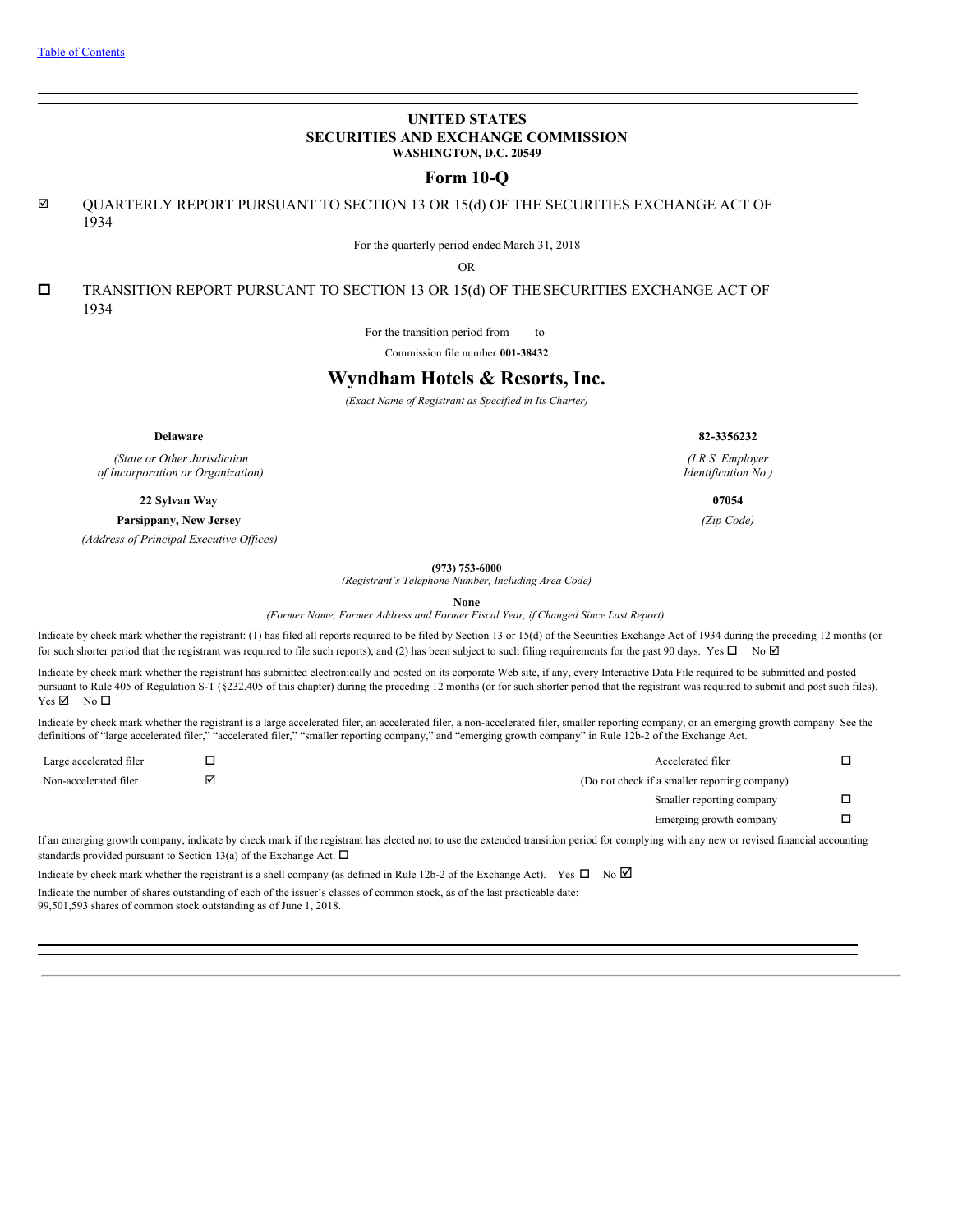# **UNITED STATES SECURITIES AND EXCHANGE COMMISSION WASHINGTON, D.C. 20549**

# **Form 10-Q**

 $\boxtimes$  QUARTERLY REPORT PURSUANT TO SECTION 13 OR 15(d) OF THE SECURITIES EXCHANGE ACT OF 1934

For the quarterly period ended March 31, 2018

OR

 $\square$  TRANSITION REPORT PURSUANT TO SECTION 13 OR 15(d) OF THE SECURITIES EXCHANGE ACT OF 1934

For the transition period from  $\_\_$  to  $\_\_$ 

Commission file number **001-38432**

# **Wyndham Hotels & Resorts, Inc.**

*(Exact Name of Registrant as Specified in Its Charter)*

*(State or Other Jurisdiction of Incorporation or Organization)*

**22 Sylvan Way 07054**

**Parsippany, New Jersey** *(Zip Code)*

*(Address of Principal Executive Of ices)*

**(973) 753-6000**

*(Registrant's Telephone Number, Including Area Code)*

**None**

*(Former Name, Former Address and Former Fiscal Year, if Changed Since Last Report)*

Indicate by check mark whether the registrant: (1) has filed all reports required to be filed by Section 13 or 15(d) of the Securities Exchange Act of 1934 during the preceding 12 months (or for such shorter period that the registrant was required to file such reports), and (2) has been subject to such filing requirements for the past 90 days. Yes  $\Box$  No  $\Box$ 

Indicate by check mark whether the registrant has submitted electronically and posted on its corporate Web site, if any, every Interactive Data File required to be submitted and posted pursuant to Rule 405 of Regulation S-T (§232.405 of this chapter) during the preceding 12 months (or for such shorter period that the registrant was required to submit and post such files).  $Yes \nightharpoonup$  No  $\square$ 

Indicate by check mark whether the registrant is a large accelerated filer, an accelerated filer, a non-accelerated filer, smaller reporting company, or an emerging growth company. See the definitions of "large accelerated filer," "accelerated filer," "smaller reporting company," and "emerging growth company" in Rule 12b-2 of the Exchange Act.

| Large accelerated filer |   | Accelerated filer                             |  |
|-------------------------|---|-----------------------------------------------|--|
| Non-accelerated filer   | ☑ | (Do not check if a smaller reporting company) |  |
|                         |   | Smaller reporting company                     |  |
|                         |   | Emerging growth company                       |  |

If an emerging growth company, indicate by check mark if the registrant has elected not to use the extended transition period for complying with any new or revised financial accounting standards provided pursuant to Section 13(a) of the Exchange Act.  $\Box$ 

Indicate by check mark whether the registrant is a shell company (as defined in Rule 12b-2 of the Exchange Act). Yes  $\Box$  No  $\Box$ Indicate the number of shares outstanding of each of the issuer's classes of common stock, as of the last practicable date: 99,501,593 shares of common stock outstanding as of June 1, 2018.

**Delaware 82-3356232**

*(I.R.S. Employer Identification No.)*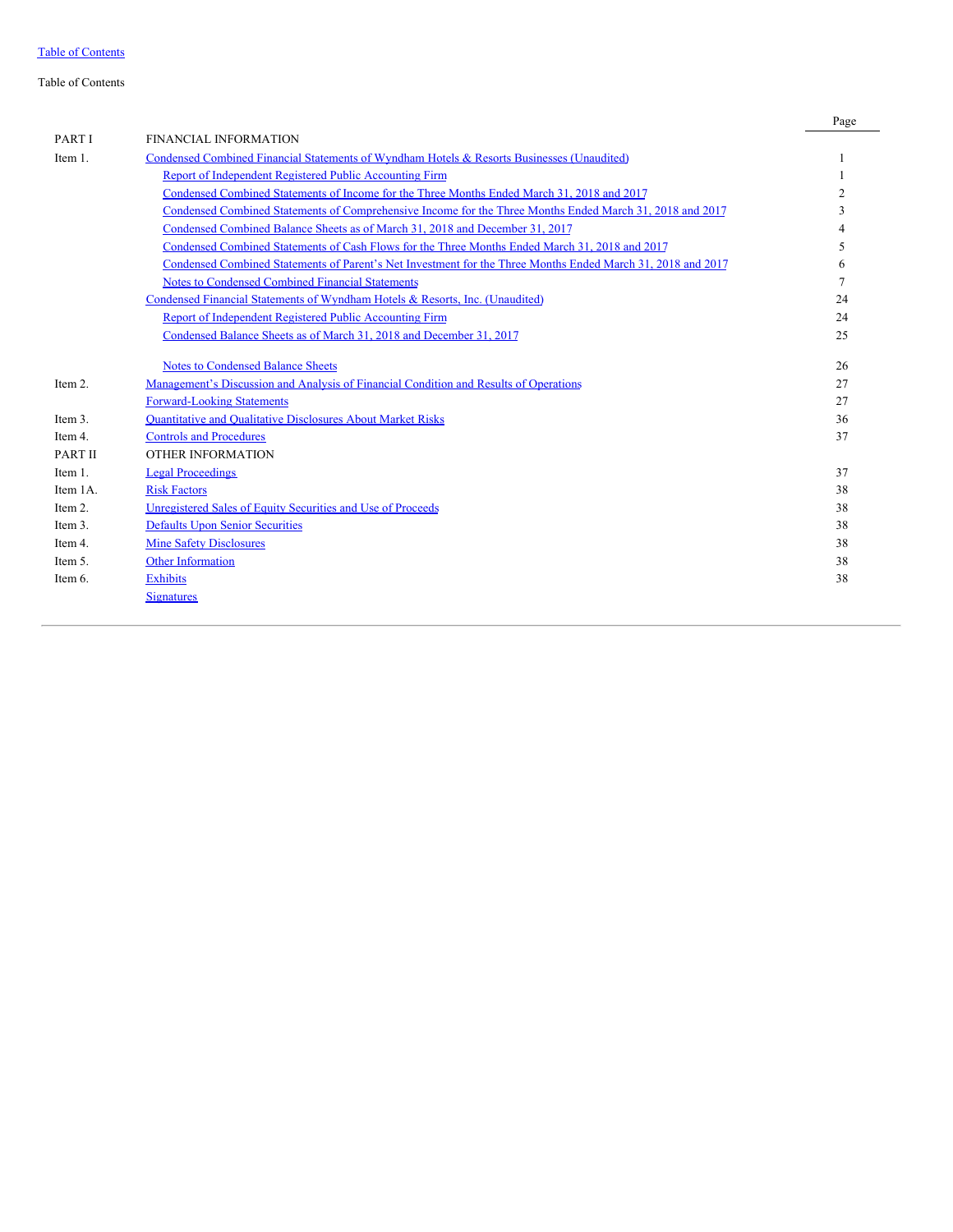# Table of Contents

Table of Contents

|                |                                                                                                             | Page |
|----------------|-------------------------------------------------------------------------------------------------------------|------|
| <b>PARTI</b>   | <b>FINANCIAL INFORMATION</b>                                                                                |      |
| Item 1.        | Condensed Combined Financial Statements of Wyndham Hotels & Resorts Businesses (Unaudited)                  | 1    |
|                | Report of Independent Registered Public Accounting Firm                                                     |      |
|                | Condensed Combined Statements of Income for the Three Months Ended March 31, 2018 and 2017                  | 2    |
|                | Condensed Combined Statements of Comprehensive Income for the Three Months Ended March 31, 2018 and 2017    | 3    |
|                | Condensed Combined Balance Sheets as of March 31, 2018 and December 31, 2017                                | 4    |
|                | Condensed Combined Statements of Cash Flows for the Three Months Ended March 31, 2018 and 2017              | 5    |
|                | Condensed Combined Statements of Parent's Net Investment for the Three Months Ended March 31, 2018 and 2017 | 6    |
|                | Notes to Condensed Combined Financial Statements                                                            | 7    |
|                | Condensed Financial Statements of Wyndham Hotels & Resorts, Inc. (Unaudited)                                | 24   |
|                | Report of Independent Registered Public Accounting Firm                                                     | 24   |
|                | Condensed Balance Sheets as of March 31, 2018 and December 31, 2017                                         | 25   |
|                | <b>Notes to Condensed Balance Sheets</b>                                                                    | 26   |
| Item 2.        | Management's Discussion and Analysis of Financial Condition and Results of Operations                       | 27   |
|                | <b>Forward-Looking Statements</b>                                                                           | 27   |
| Item 3.        | <b>Ouantitative and Oualitative Disclosures About Market Risks</b>                                          | 36   |
| Item 4.        | <b>Controls and Procedures</b>                                                                              | 37   |
| <b>PART II</b> | <b>OTHER INFORMATION</b>                                                                                    |      |
| Item 1.        | <b>Legal Proceedings</b>                                                                                    | 37   |
| Item 1A.       | <b>Risk Factors</b>                                                                                         | 38   |
| Item 2.        | Unregistered Sales of Equity Securities and Use of Proceeds                                                 | 38   |
| Item 3.        | <b>Defaults Upon Senior Securities</b>                                                                      | 38   |
| Item 4.        | <b>Mine Safety Disclosures</b>                                                                              | 38   |
| Item 5.        | Other Information                                                                                           | 38   |
| Item 6.        | <b>Exhibits</b>                                                                                             | 38   |
|                | <b>Signatures</b>                                                                                           |      |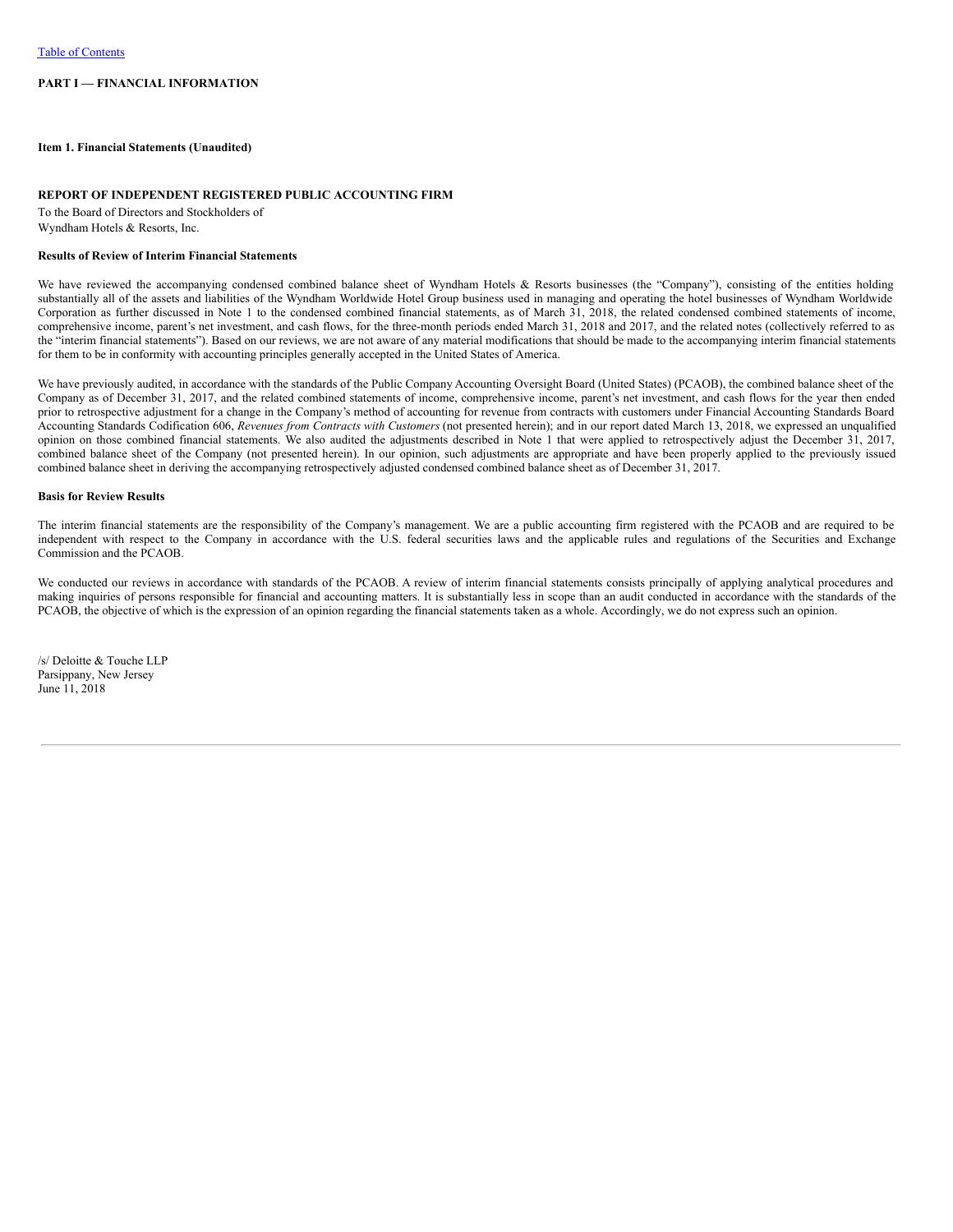# **PART I — FINANCIAL INFORMATION**

<span id="page-2-0"></span>**Item 1. Financial Statements (Unaudited)**

## <span id="page-2-1"></span>**REPORT OF INDEPENDENT REGISTERED PUBLIC ACCOUNTING FIRM**

To the Board of Directors and Stockholders of Wyndham Hotels & Resorts, Inc.

#### **Results of Review of Interim Financial Statements**

We have reviewed the accompanying condensed combined balance sheet of Wyndham Hotels & Resorts businesses (the "Company"), consisting of the entities holding substantially all of the assets and liabilities of the Wyndham Worldwide Hotel Group business used in managing and operating the hotel businesses of Wyndham Worldwide Corporation as further discussed in Note 1 to the condensed combined financial statements, as of March 31, 2018, the related condensed combined statements of income, comprehensive income, parent's net investment, and cash flows, for the three-month periods ended March 31, 2018 and 2017, and the related notes (collectively referred to as the "interim financial statements"). Based on our reviews, we are not aware of any material modifications that should be made to the accompanying interim financial statements for them to be in conformity with accounting principles generally accepted in the United States of America.

We have previously audited, in accordance with the standards of the Public Company Accounting Oversight Board (United States) (PCAOB), the combined balance sheet of the Company as of December 31, 2017, and the related combined statements of income, comprehensive income, parent's net investment, and cash flows for the year then ended prior to retrospective adjustment for a change in the Company's method of accounting for revenue from contracts with customers under Financial Accounting Standards Board Accounting Standards Codification 606, *Revenues from Contracts with Customers* (not presented herein); and in our report dated March 13, 2018, we expressed an unqualified opinion on those combined financial statements. We also audited the adjustments described in Note 1 that were applied to retrospectively adjust the December 31, 2017, combined balance sheet of the Company (not presented herein). In our opinion, such adjustments are appropriate and have been properly applied to the previously issued combined balance sheet in deriving the accompanying retrospectively adjusted condensed combined balance sheet as of December 31, 2017.

## **Basis for Review Results**

The interim financial statements are the responsibility of the Company's management. We are a public accounting firm registered with the PCAOB and are required to be independent with respect to the Company in accordance with the U.S. federal securities laws and the applicable rules and regulations of the Securities and Exchange Commission and the PCAOB.

We conducted our reviews in accordance with standards of the PCAOB. A review of interim financial statements consists principally of applying analytical procedures and making inquiries of persons responsible for financial and accounting matters. It is substantially less in scope than an audit conducted in accordance with the standards of the PCAOB, the objective of which is the expression of an opinion regarding the financial statements taken as a whole. Accordingly, we do not express such an opinion.

/s/ Deloitte & Touche LLP Parsippany, New Jersey June 11, 2018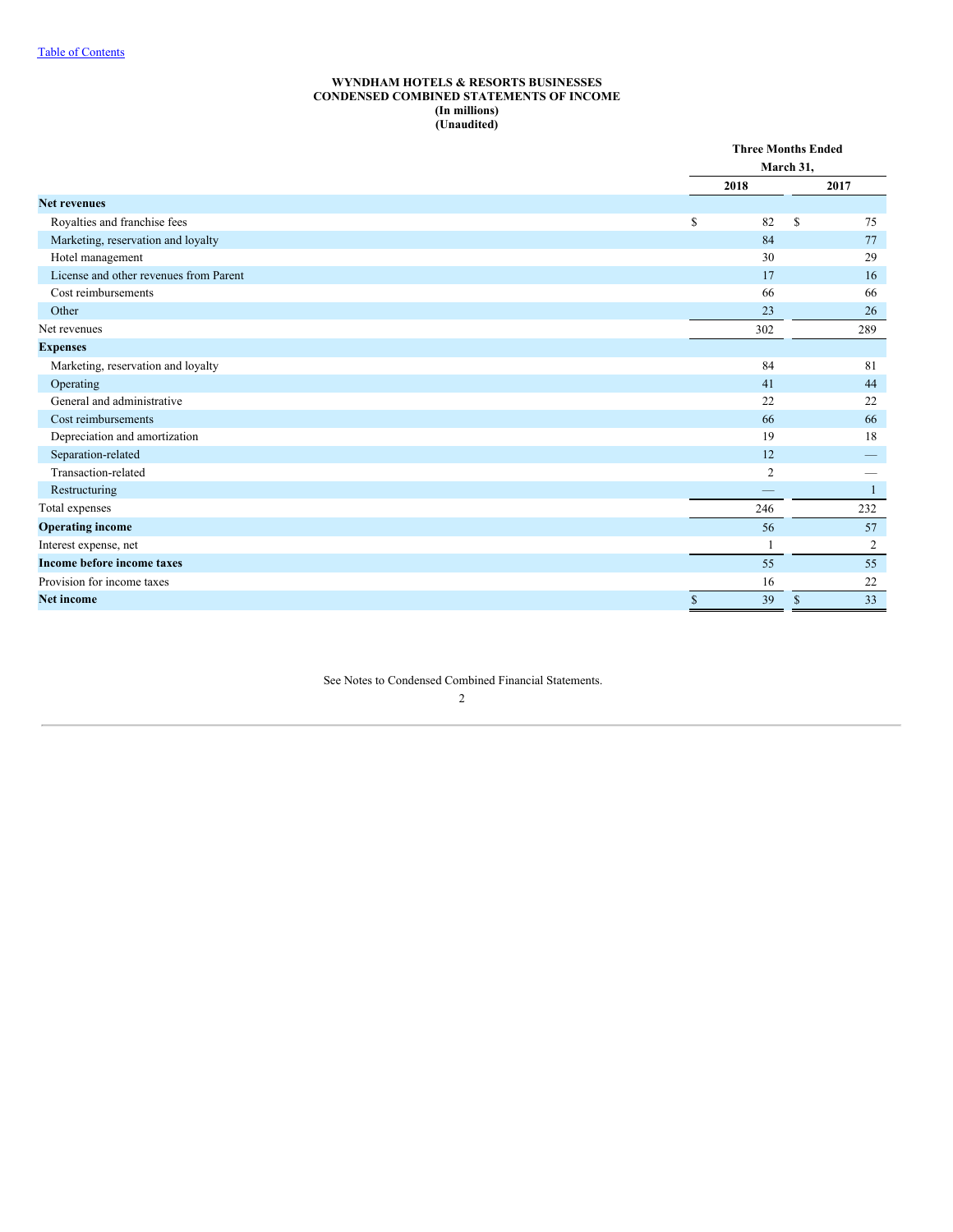#### **WYNDHAM HOTELS & RESORTS BUSINESSES CONDENSED COMBINED STATEMENTS OF INCOME (In millions) (Unaudited)**

<span id="page-3-0"></span>

|                                        | <b>Three Months Ended</b> |    |                |  |
|----------------------------------------|---------------------------|----|----------------|--|
|                                        | March 31,                 |    |                |  |
|                                        | 2018                      |    | 2017           |  |
| <b>Net revenues</b>                    |                           |    |                |  |
| Royalties and franchise fees           | \$<br>82                  | \$ | 75             |  |
| Marketing, reservation and loyalty     | 84                        |    | 77             |  |
| Hotel management                       | 30                        |    | 29             |  |
| License and other revenues from Parent | 17                        |    | 16             |  |
| Cost reimbursements                    | 66                        |    | 66             |  |
| Other                                  | 23                        |    | 26             |  |
| Net revenues                           | 302                       |    | 289            |  |
| <b>Expenses</b>                        |                           |    |                |  |
| Marketing, reservation and loyalty     | 84                        |    | 81             |  |
| Operating                              | 41                        |    | 44             |  |
| General and administrative             | 22                        |    | 22             |  |
| Cost reimbursements                    | 66                        |    | 66             |  |
| Depreciation and amortization          | 19                        |    | 18             |  |
| Separation-related                     | 12                        |    |                |  |
| Transaction-related                    | $\overline{2}$            |    |                |  |
| Restructuring                          |                           |    | $\mathbf{1}$   |  |
| Total expenses                         | 246                       |    | 232            |  |
| <b>Operating income</b>                | 56                        |    | 57             |  |
| Interest expense, net                  |                           |    | $\overline{2}$ |  |
| Income before income taxes             | 55                        |    | 55             |  |
| Provision for income taxes             | 16                        |    | 22             |  |
| <b>Net income</b>                      | \$<br>39                  | \$ | 33             |  |

See Notes to Condensed Combined Financial Statements.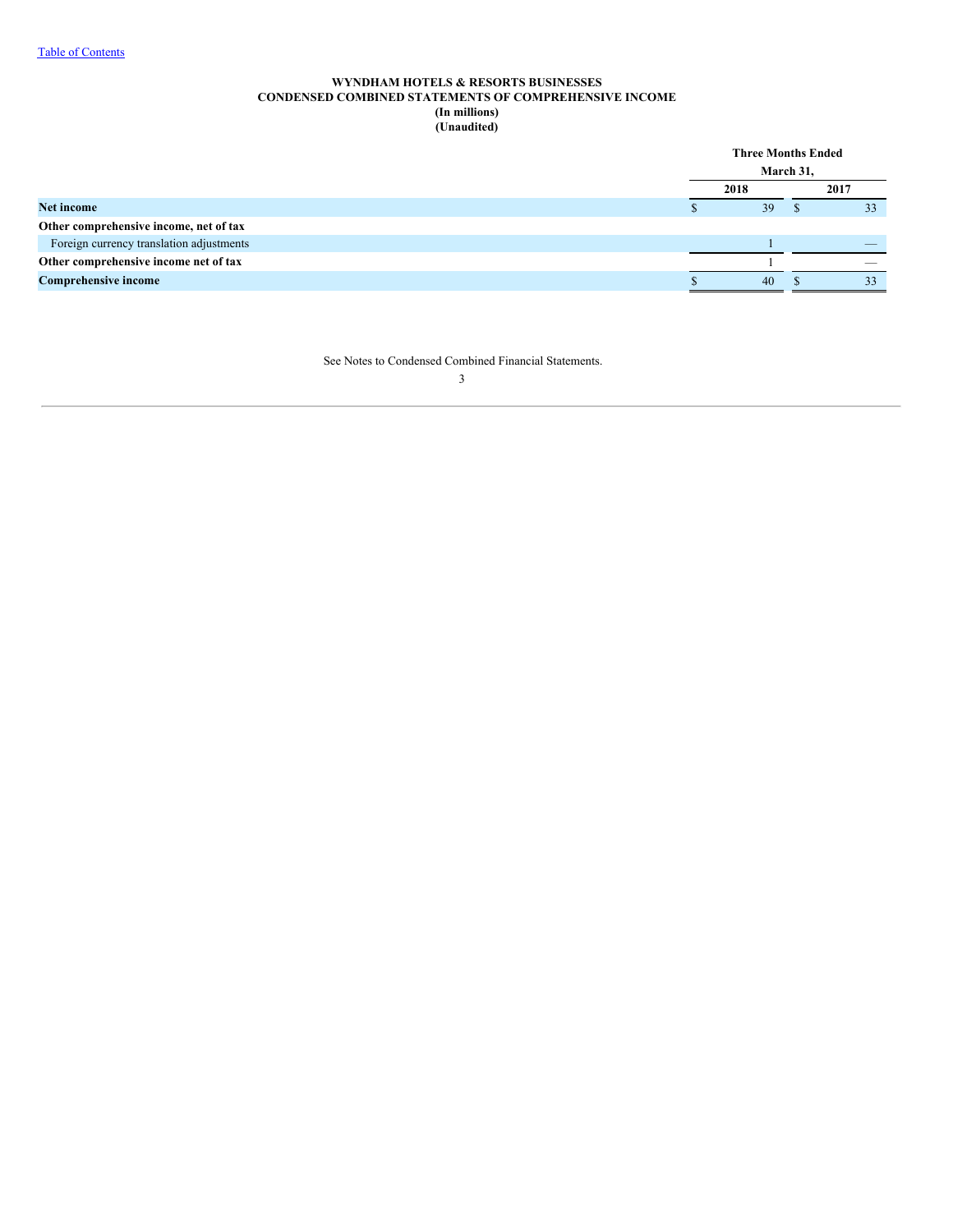## **WYNDHAM HOTELS & RESORTS BUSINESSES CONDENSED COMBINED STATEMENTS OF COMPREHENSIVE INCOME (In millions) (Unaudited)**

<span id="page-4-0"></span>

|                                          | <b>Three Months Ended</b> |      |  |  |  |
|------------------------------------------|---------------------------|------|--|--|--|
|                                          | March 31,                 |      |  |  |  |
|                                          | 2018                      | 2017 |  |  |  |
| Net income                               | 39                        | 33   |  |  |  |
| Other comprehensive income, net of tax   |                           |      |  |  |  |
| Foreign currency translation adjustments |                           |      |  |  |  |
| Other comprehensive income net of tax    |                           |      |  |  |  |
| <b>Comprehensive income</b>              | 40                        | 33   |  |  |  |
|                                          |                           |      |  |  |  |

See Notes to Condensed Combined Financial Statements.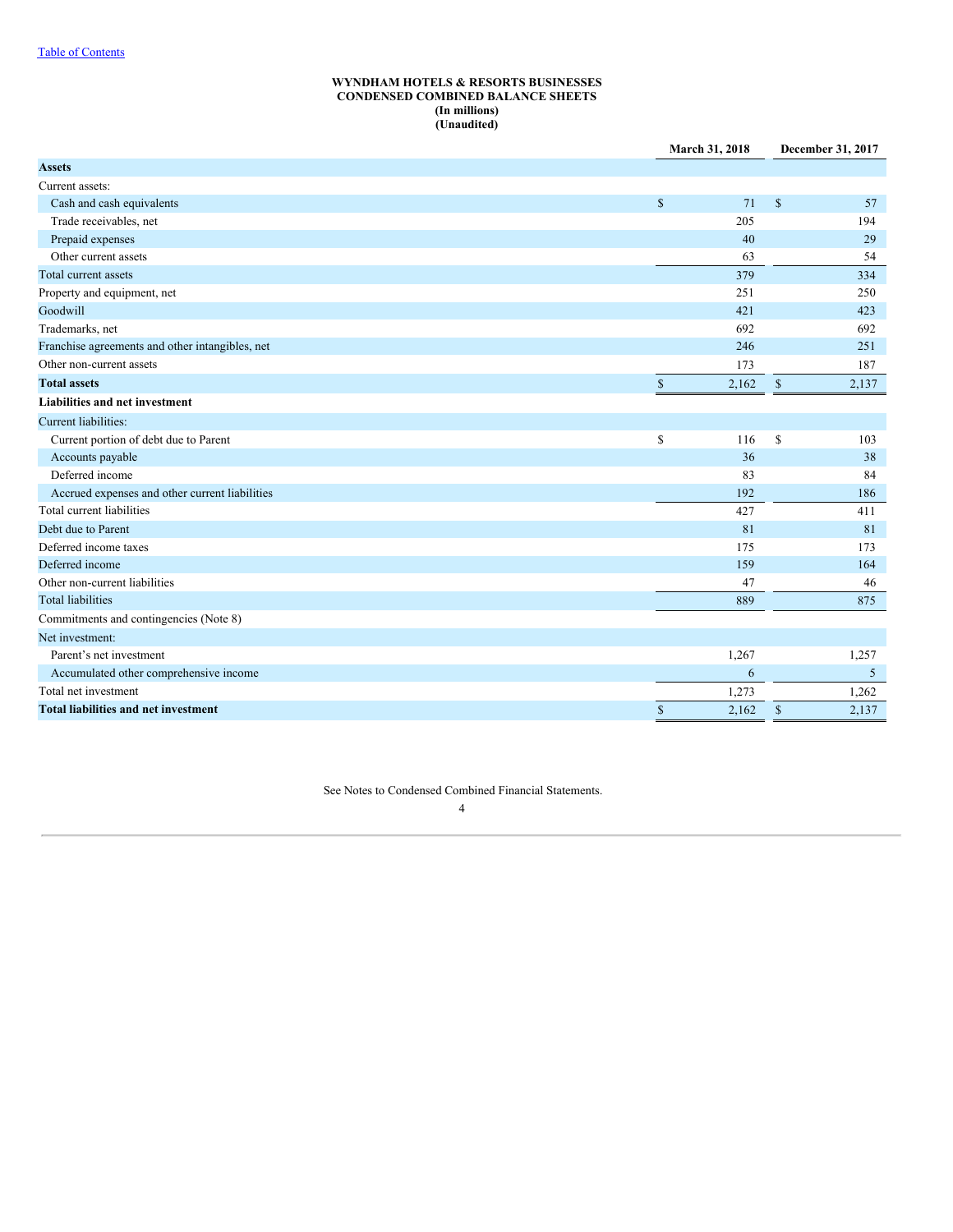#### **WYNDHAM HOTELS & RESORTS BUSINESSES CONDENSED COMBINED BALANCE SHEETS (In millions) (Unaudited)**

<span id="page-5-0"></span>

|                                                 |              | March 31, 2018 |               | December 31, 2017 |  |
|-------------------------------------------------|--------------|----------------|---------------|-------------------|--|
| <b>Assets</b>                                   |              |                |               |                   |  |
| Current assets:                                 |              |                |               |                   |  |
| Cash and cash equivalents                       | $\mathbb{S}$ | 71             | $\mathcal{S}$ | 57                |  |
| Trade receivables, net                          |              | 205            |               | 194               |  |
| Prepaid expenses                                |              | 40             |               | 29                |  |
| Other current assets                            |              | 63             |               | 54                |  |
| Total current assets                            |              | 379            |               | 334               |  |
| Property and equipment, net                     |              | 251            |               | 250               |  |
| Goodwill                                        |              | 421            |               | 423               |  |
| Trademarks, net                                 |              | 692            |               | 692               |  |
| Franchise agreements and other intangibles, net |              | 246            |               | 251               |  |
| Other non-current assets                        |              | 173            |               | 187               |  |
| <b>Total assets</b>                             | $\mathbb{S}$ | 2,162          | $\mathbb{S}$  | 2,137             |  |
| Liabilities and net investment                  |              |                |               |                   |  |
| Current liabilities:                            |              |                |               |                   |  |
| Current portion of debt due to Parent           | \$           | 116            | \$            | 103               |  |
| Accounts payable                                |              | 36             |               | 38                |  |
| Deferred income                                 |              | 83             |               | 84                |  |
| Accrued expenses and other current liabilities  |              | 192            |               | 186               |  |
| Total current liabilities                       |              | 427            |               | 411               |  |
| Debt due to Parent                              |              | 81             |               | 81                |  |
| Deferred income taxes                           |              | 175            |               | 173               |  |
| Deferred income                                 |              | 159            |               | 164               |  |
| Other non-current liabilities                   |              | 47             |               | 46                |  |
| <b>Total liabilities</b>                        |              | 889            |               | 875               |  |
| Commitments and contingencies (Note 8)          |              |                |               |                   |  |
| Net investment:                                 |              |                |               |                   |  |
| Parent's net investment                         |              | 1,267          |               | 1,257             |  |
| Accumulated other comprehensive income          |              | 6              |               | 5                 |  |
| Total net investment                            |              | 1,273          |               | 1,262             |  |
| <b>Total liabilities and net investment</b>     | $\mathbb{S}$ | 2,162          | $\mathcal{S}$ | 2,137             |  |

See Notes to Condensed Combined Financial Statements.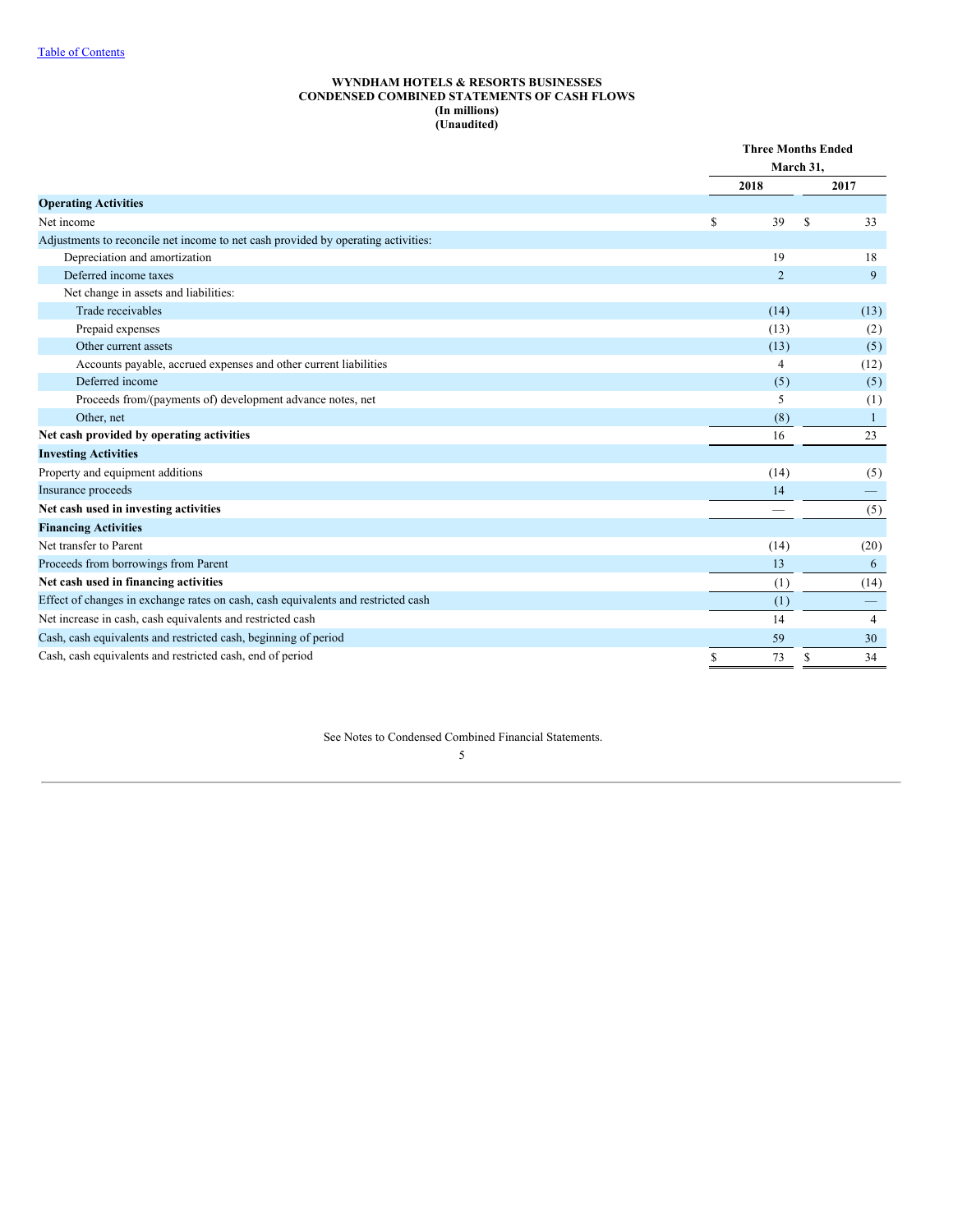#### **WYNDHAM HOTELS & RESORTS BUSINESSES CONDENSED COMBINED STATEMENTS OF CASH FLOWS (In millions) (Unaudited)**

<span id="page-6-0"></span>

|                                                                                   |                     | <b>Three Months Ended</b><br>March 31, |                |  |  |
|-----------------------------------------------------------------------------------|---------------------|----------------------------------------|----------------|--|--|
|                                                                                   |                     |                                        |                |  |  |
|                                                                                   | 2018                |                                        | 2017           |  |  |
| <b>Operating Activities</b>                                                       |                     |                                        |                |  |  |
| Net income                                                                        | <sup>\$</sup><br>39 | S.                                     | 33             |  |  |
| Adjustments to reconcile net income to net cash provided by operating activities: |                     |                                        |                |  |  |
| Depreciation and amortization                                                     | 19                  |                                        | 18             |  |  |
| Deferred income taxes                                                             | $\overline{2}$      |                                        | 9              |  |  |
| Net change in assets and liabilities:                                             |                     |                                        |                |  |  |
| Trade receivables                                                                 | (14)                |                                        | (13)           |  |  |
| Prepaid expenses                                                                  | (13)                |                                        | (2)            |  |  |
| Other current assets                                                              | (13)                |                                        | (5)            |  |  |
| Accounts payable, accrued expenses and other current liabilities                  | 4                   |                                        | (12)           |  |  |
| Deferred income                                                                   | (5)                 |                                        | (5)            |  |  |
| Proceeds from/(payments of) development advance notes, net                        | 5                   |                                        | (1)            |  |  |
| Other, net                                                                        | (8)                 |                                        |                |  |  |
| Net cash provided by operating activities                                         | 16                  |                                        | 23             |  |  |
| <b>Investing Activities</b>                                                       |                     |                                        |                |  |  |
| Property and equipment additions                                                  | (14)                |                                        | (5)            |  |  |
| Insurance proceeds                                                                | 14                  |                                        |                |  |  |
| Net cash used in investing activities                                             |                     |                                        | (5)            |  |  |
| <b>Financing Activities</b>                                                       |                     |                                        |                |  |  |
| Net transfer to Parent                                                            | (14)                |                                        | (20)           |  |  |
| Proceeds from borrowings from Parent                                              | 13                  |                                        | 6              |  |  |
| Net cash used in financing activities                                             | (1)                 |                                        | (14)           |  |  |
| Effect of changes in exchange rates on cash, cash equivalents and restricted cash | (1)                 |                                        | -              |  |  |
| Net increase in cash, cash equivalents and restricted cash                        | 14                  |                                        | $\overline{4}$ |  |  |
| Cash, cash equivalents and restricted cash, beginning of period                   | 59                  |                                        | 30             |  |  |
| Cash, cash equivalents and restricted cash, end of period                         | \$<br>73            | \$                                     | 34             |  |  |

See Notes to Condensed Combined Financial Statements.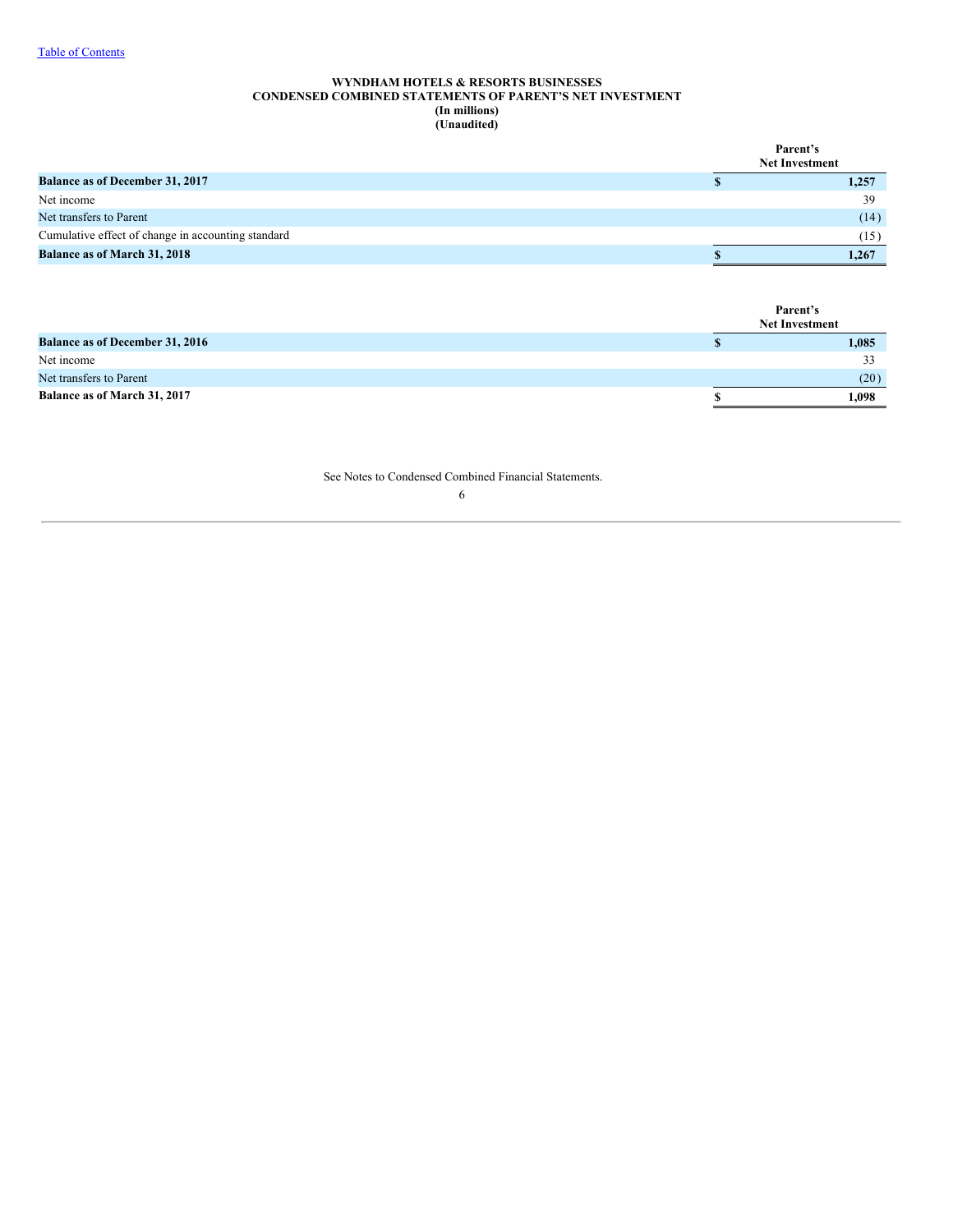#### **WYNDHAM HOTELS & RESORTS BUSINESSES CONDENSED COMBINED STATEMENTS OF PARENT'S NET INVESTMENT (In millions) (Unaudited)**

<span id="page-7-0"></span>

|                                                    | Parent's<br><b>Net Investment</b> |       |  |
|----------------------------------------------------|-----------------------------------|-------|--|
| <b>Balance as of December 31, 2017</b>             |                                   | 1,257 |  |
| Net income                                         |                                   | 39    |  |
| Net transfers to Parent                            |                                   | (14)  |  |
| Cumulative effect of change in accounting standard |                                   | (15)  |  |
| <b>Balance as of March 31, 2018</b>                |                                   | 1,267 |  |

|                                        | Parent's<br><b>Net Investment</b> |       |
|----------------------------------------|-----------------------------------|-------|
| <b>Balance as of December 31, 2016</b> |                                   | 1,085 |
| Net income                             |                                   | 33    |
| Net transfers to Parent                |                                   | (20)  |
| Balance as of March 31, 2017           |                                   | 1,098 |

See Notes to Condensed Combined Financial Statements.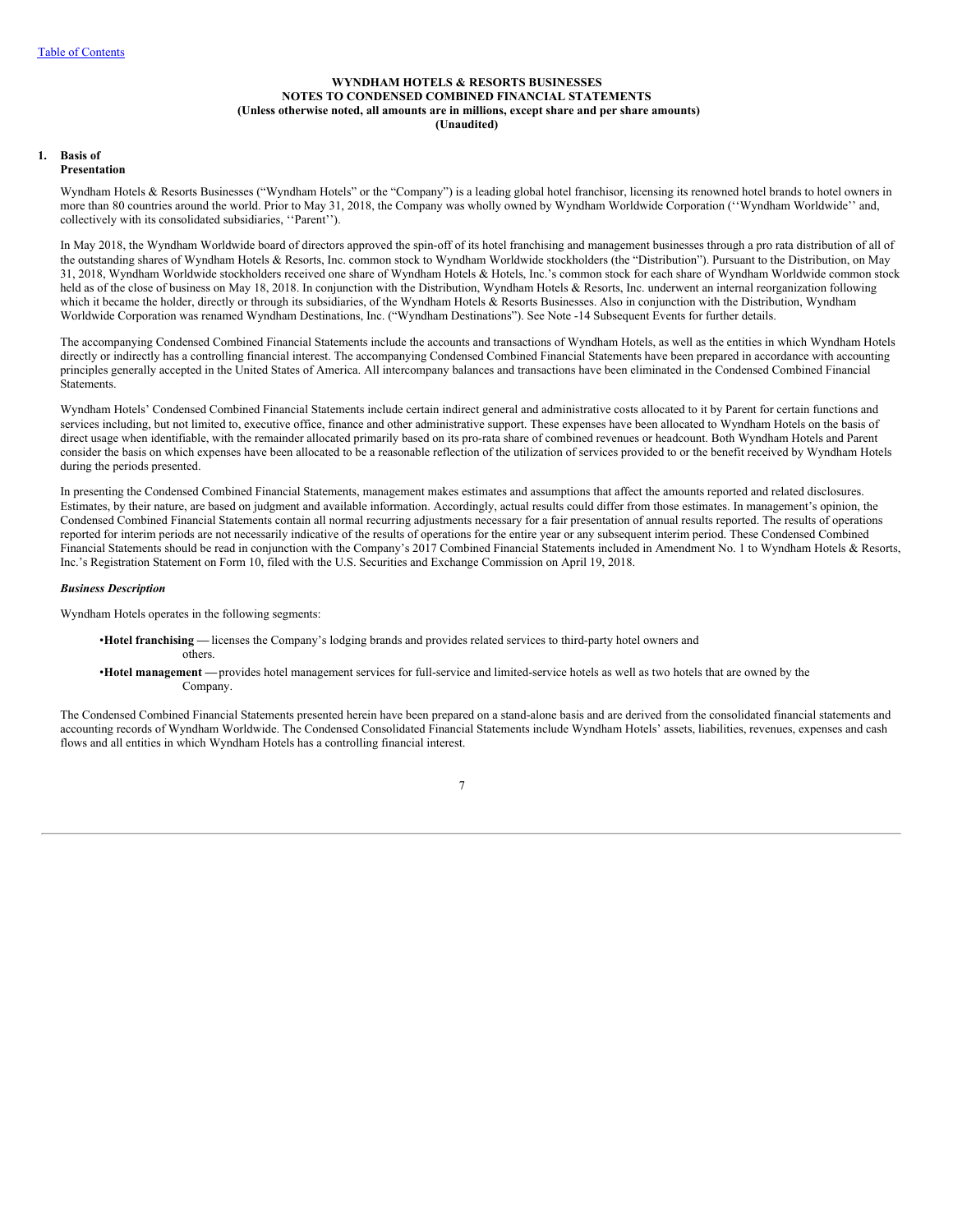## **WYNDHAM HOTELS & RESORTS BUSINESSES NOTES TO CONDENSED COMBINED FINANCIAL STATEMENTS (Unless otherwise noted, all amounts are in millions, except share and per share amounts) (Unaudited)**

#### <span id="page-8-0"></span>**1. Basis of Presentation**

Wyndham Hotels & Resorts Businesses ("Wyndham Hotels" or the "Company") is a leading global hotel franchisor, licensing its renowned hotel brands to hotel owners in more than 80 countries around the world. Prior to May 31, 2018, the Company was wholly owned by Wyndham Worldwide Corporation (''Wyndham Worldwide'' and, collectively with its consolidated subsidiaries, ''Parent'').

In May 2018, the Wyndham Worldwide board of directors approved the spin-off of its hotel franchising and management businesses through a pro rata distribution of all of the outstanding shares of Wyndham Hotels & Resorts, Inc. common stock to Wyndham Worldwide stockholders (the "Distribution"). Pursuant to the Distribution, on May 31, 2018, Wyndham Worldwide stockholders received one share of Wyndham Hotels & Hotels, Inc.'s common stock for each share of Wyndham Worldwide common stock held as of the close of business on May 18, 2018. In conjunction with the Distribution, Wyndham Hotels & Resorts, Inc. underwent an internal reorganization following which it became the holder, directly or through its subsidiaries, of the Wyndham Hotels & Resorts Businesses. Also in conjunction with the Distribution, Wyndham Worldwide Corporation was renamed Wyndham Destinations, Inc. ("Wyndham Destinations"). See Note -14 Subsequent Events for further details.

The accompanying Condensed Combined Financial Statements include the accounts and transactions of Wyndham Hotels, as well as the entities in which Wyndham Hotels directly or indirectly has a controlling financial interest. The accompanying Condensed Combined Financial Statements have been prepared in accordance with accounting principles generally accepted in the United States of America. All intercompany balances and transactions have been eliminated in the Condensed Combined Financial **Statements** 

Wyndham Hotels' Condensed Combined Financial Statements include certain indirect general and administrative costs allocated to it by Parent for certain functions and services including, but not limited to, executive office, finance and other administrative support. These expenses have been allocated to Wyndham Hotels on the basis of direct usage when identifiable, with the remainder allocated primarily based on its pro-rata share of combined revenues or headcount. Both Wyndham Hotels and Parent consider the basis on which expenses have been allocated to be a reasonable reflection of the utilization of services provided to or the benefit received by Wyndham Hotels during the periods presented.

In presenting the Condensed Combined Financial Statements, management makes estimates and assumptions that affect the amounts reported and related disclosures. Estimates, by their nature, are based on judgment and available information. Accordingly, actual results could differ from those estimates. In management's opinion, the Condensed Combined Financial Statements contain all normal recurring adjustments necessary for a fair presentation of annual results reported. The results of operations reported for interim periods are not necessarily indicative of the results of operations for the entire year or any subsequent interim period. These Condensed Combined Financial Statements should be read in conjunction with the Company's 2017 Combined Financial Statements included in Amendment No. 1 to Wyndham Hotels & Resorts, Inc.'s Registration Statement on Form 10, filed with the U.S. Securities and Exchange Commission on April 19, 2018.

## *Business Description*

Wyndham Hotels operates in the following segments:

- •**Hotel franchising —** licenses the Company's lodging brands and provides related services to third-party hotel owners and others.
- •**Hotel management —**provides hotel management services for full-service and limited-service hotels as well as two hotels that are owned by the Company.

The Condensed Combined Financial Statements presented herein have been prepared on a stand-alone basis and are derived from the consolidated financial statements and accounting records of Wyndham Worldwide. The Condensed Consolidated Financial Statements include Wyndham Hotels' assets, liabilities, revenues, expenses and cash flows and all entities in which Wyndham Hotels has a controlling financial interest.

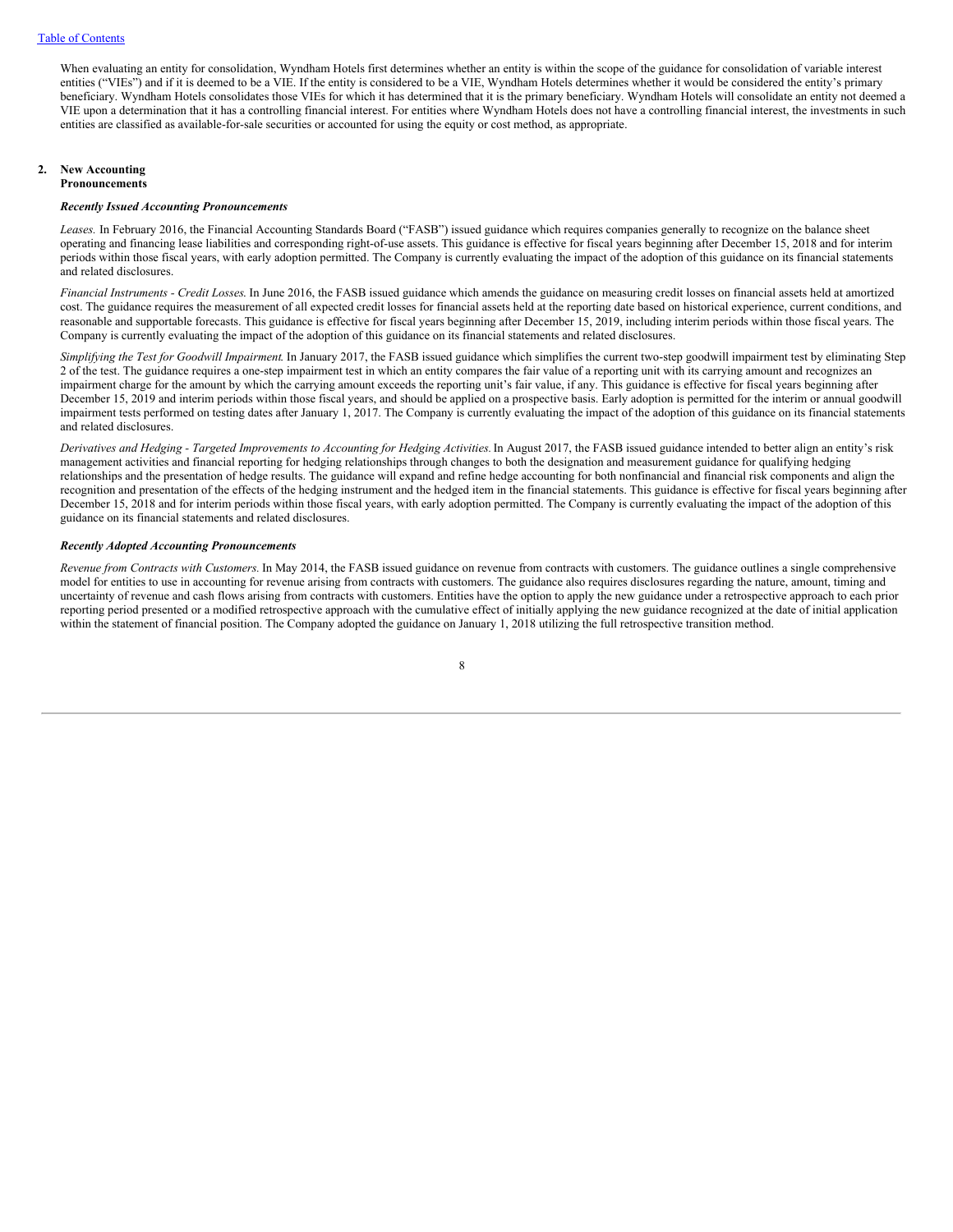When evaluating an entity for consolidation, Wyndham Hotels first determines whether an entity is within the scope of the guidance for consolidation of variable interest entities ("VIEs") and if it is deemed to be a VIE. If the entity is considered to be a VIE, Wyndham Hotels determines whether it would be considered the entity's primary beneficiary. Wyndham Hotels consolidates those VIEs for which it has determined that it is the primary beneficiary. Wyndham Hotels will consolidate an entity not deemed a VIE upon a determination that it has a controlling financial interest. For entities where Wyndham Hotels does not have a controlling financial interest, the investments in such entities are classified as available-for-sale securities or accounted for using the equity or cost method, as appropriate.

# **2. New Accounting**

# **Pronouncements**

# *Recently Issued Accounting Pronouncements*

Leases. In February 2016, the Financial Accounting Standards Board ("FASB") issued guidance which requires companies generally to recognize on the balance sheet operating and financing lease liabilities and corresponding right-of-use assets. This guidance is effective for fiscal years beginning after December 15, 2018 and for interim periods within those fiscal years, with early adoption permitted. The Company is currently evaluating the impact of the adoption of this guidance on its financial statements and related disclosures.

*Financial Instruments - Credit Losses*. In June 2016, the FASB issued guidance which amends the guidance on measuring credit losses on financial assets held at amortized cost. The guidance requires the measurement of all expected credit losses for financial assets held at the reporting date based on historical experience, current conditions, and reasonable and supportable forecasts. This guidance is effective for fiscal years beginning after December 15, 2019, including interim periods within those fiscal years. The Company is currently evaluating the impact of the adoption of this guidance on its financial statements and related disclosures.

*Simplifying the Test for Goodwill Impairment*. In January 2017, the FASB issued guidance which simplifies the current two-step goodwill impairment test by eliminating Step 2 of the test. The guidance requires a one-step impairment test in which an entity compares the fair value of a reporting unit with its carrying amount and recognizes an impairment charge for the amount by which the carrying amount exceeds the reporting unit's fair value, if any. This guidance is effective for fiscal years beginning after December 15, 2019 and interim periods within those fiscal years, and should be applied on a prospective basis. Early adoption is permitted for the interim or annual goodwill impairment tests performed on testing dates after January 1, 2017. The Company is currently evaluating the impact of the adoption of this guidance on its financial statements and related disclosures.

Derivatives and Hedging - Targeted Improvements to Accounting for Hedging Activities. In August 2017, the FASB issued guidance intended to better align an entity's risk management activities and financial reporting for hedging relationships through changes to both the designation and measurement guidance for qualifying hedging relationships and the presentation of hedge results. The guidance will expand and refine hedge accounting for both nonfinancial and financial risk components and align the recognition and presentation of the effects of the hedging instrument and the hedged item in the financial statements. This guidance is effective for fiscal years beginning after December 15, 2018 and for interim periods within those fiscal years, with early adoption permitted. The Company is currently evaluating the impact of the adoption of this guidance on its financial statements and related disclosures.

#### *Recently Adopted Accounting Pronouncements*

*Revenue from Contracts with Customers.* In May 2014, the FASB issued guidance on revenue from contracts with customers. The guidance outlines a single comprehensive model for entities to use in accounting for revenue arising from contracts with customers. The guidance also requires disclosures regarding the nature, amount, timing and uncertainty of revenue and cash flows arising from contracts with customers. Entities have the option to apply the new guidance under a retrospective approach to each prior reporting period presented or a modified retrospective approach with the cumulative effect of initially applying the new guidance recognized at the date of initial application within the statement of financial position. The Company adopted the guidance on January 1, 2018 utilizing the full retrospective transition method.

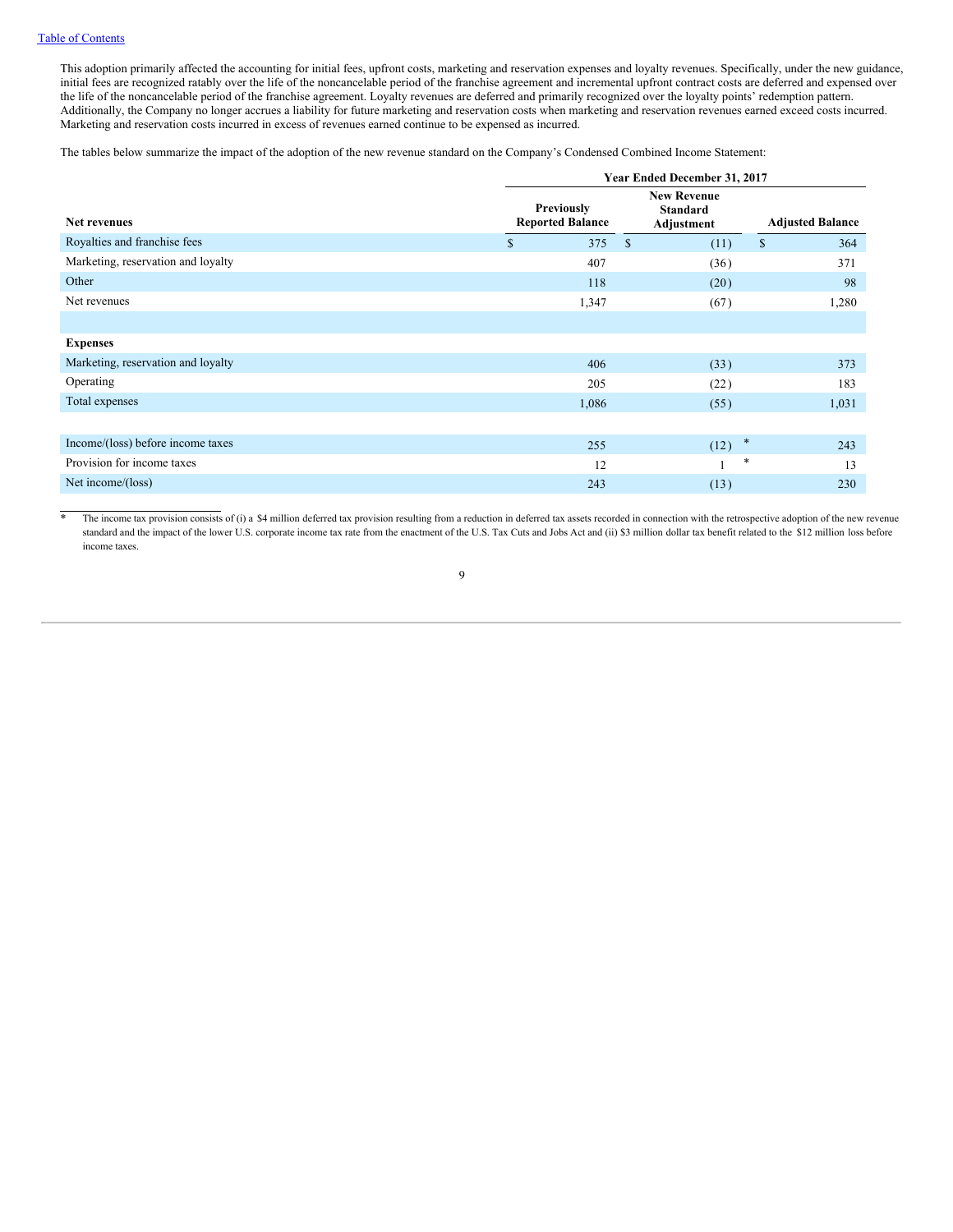This adoption primarily affected the accounting for initial fees, upfront costs, marketing and reservation expenses and loyalty revenues. Specifically, under the new guidance, initial fees are recognized ratably over the life of the noncancelable period of the franchise agreement and incremental upfront contract costs are deferred and expensed over the life of the noncancelable period of the franchise agreement. Loyalty revenues are deferred and primarily recognized over the loyalty points' redemption pattern. Additionally, the Company no longer accrues a liability for future marketing and reservation costs when marketing and reservation revenues earned exceed costs incurred. Marketing and reservation costs incurred in excess of revenues earned continue to be expensed as incurred.

The tables below summarize the impact of the adoption of the new revenue standard on the Company's Condensed Combined Income Statement:

|                                    | Year Ended December 31, 2017          |                                                     |                         |  |  |  |  |
|------------------------------------|---------------------------------------|-----------------------------------------------------|-------------------------|--|--|--|--|
| Net revenues                       | Previously<br><b>Reported Balance</b> | <b>New Revenue</b><br><b>Standard</b><br>Adjustment | <b>Adjusted Balance</b> |  |  |  |  |
| Royalties and franchise fees       | 375<br>$\mathbb{S}$                   | <sup>S</sup><br>(11)                                | \$<br>364               |  |  |  |  |
| Marketing, reservation and loyalty | 407                                   | (36)                                                | 371                     |  |  |  |  |
| Other                              | 118                                   | (20)                                                | 98                      |  |  |  |  |
| Net revenues                       | 1,347                                 | (67)                                                | 1,280                   |  |  |  |  |
|                                    |                                       |                                                     |                         |  |  |  |  |
| <b>Expenses</b>                    |                                       |                                                     |                         |  |  |  |  |
| Marketing, reservation and loyalty | 406                                   | (33)                                                | 373                     |  |  |  |  |
| Operating                          | 205                                   | (22)                                                | 183                     |  |  |  |  |
| Total expenses                     | 1,086                                 | (55)                                                | 1,031                   |  |  |  |  |
|                                    |                                       |                                                     |                         |  |  |  |  |
| Income/(loss) before income taxes  | 255                                   | $(12)$ *                                            | 243                     |  |  |  |  |
| Provision for income taxes         | 12                                    |                                                     | $\ast$<br>13            |  |  |  |  |
| Net income/(loss)                  | 243                                   | (13)                                                | 230                     |  |  |  |  |

The income tax provision consists of (i) a \$4 million deferred tax provision resulting from a reduction in deferred tax assets recorded in connection with the retrospective adoption of the new revenue standard and the impact of the lower U.S. corporate income tax rate from the enactment of the U.S. Tax Cuts and Jobs Act and (ii) \$3 million dollar tax benefit related to the \$12 million loss before income taxes.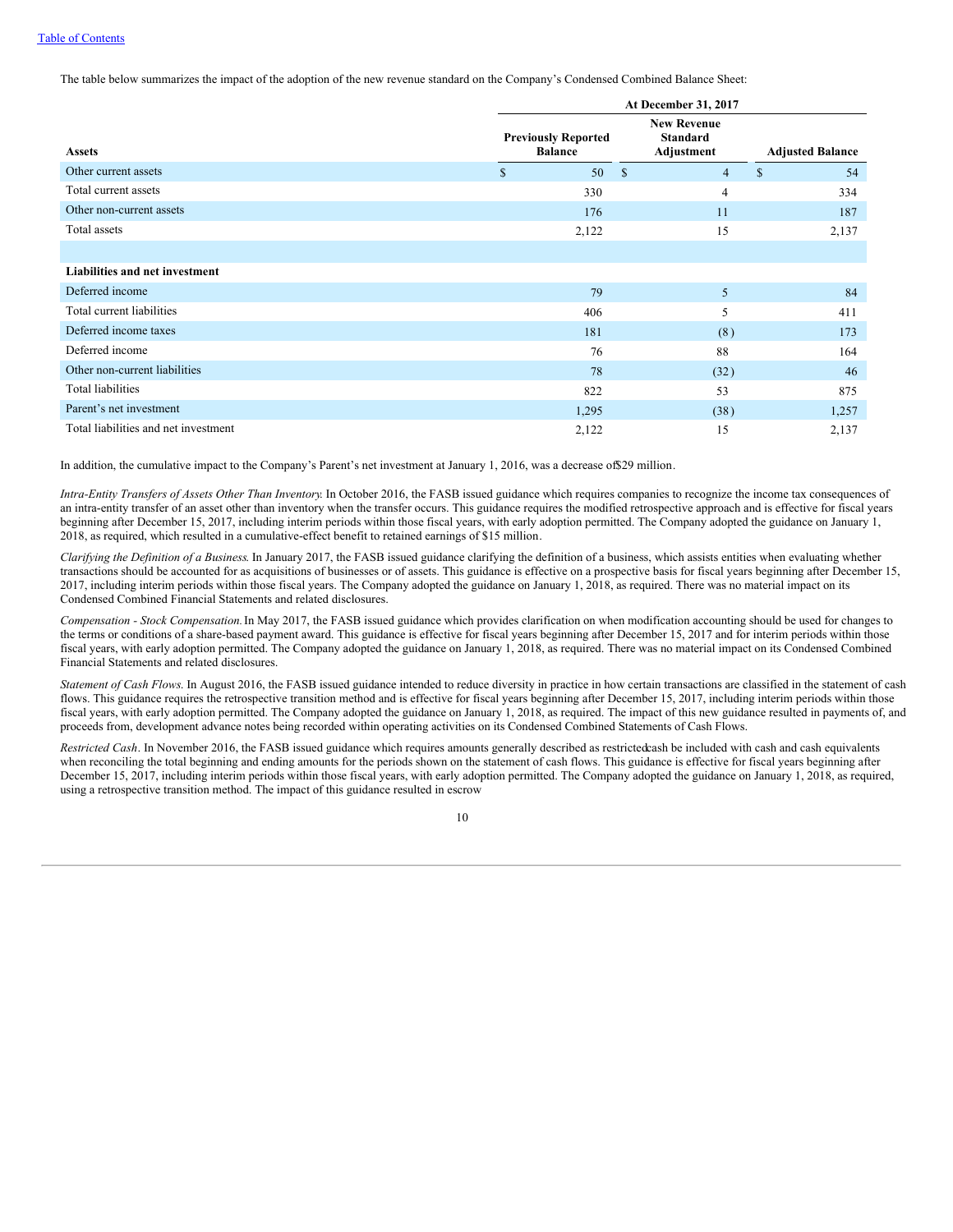The table below summarizes the impact of the adoption of the new revenue standard on the Company's Condensed Combined Balance Sheet:

|                                      | At December 31, 2017                         |              |                                                     |                         |  |  |  |
|--------------------------------------|----------------------------------------------|--------------|-----------------------------------------------------|-------------------------|--|--|--|
| <b>Assets</b>                        | <b>Previously Reported</b><br><b>Balance</b> |              | <b>New Revenue</b><br><b>Standard</b><br>Adjustment | <b>Adjusted Balance</b> |  |  |  |
| Other current assets                 | $\mathbb{S}$<br>50                           | $\mathbb{S}$ | $\overline{4}$                                      | $\mathbf S$<br>54       |  |  |  |
| Total current assets                 | 330                                          |              | $\overline{4}$                                      | 334                     |  |  |  |
| Other non-current assets             | 176                                          |              | 11                                                  | 187                     |  |  |  |
| Total assets                         | 2,122                                        |              | 15                                                  | 2,137                   |  |  |  |
|                                      |                                              |              |                                                     |                         |  |  |  |
| Liabilities and net investment       |                                              |              |                                                     |                         |  |  |  |
| Deferred income                      | 79                                           |              | 5                                                   | 84                      |  |  |  |
| Total current liabilities            | 406                                          |              | 5                                                   | 411                     |  |  |  |
| Deferred income taxes                | 181                                          |              | (8)                                                 | 173                     |  |  |  |
| Deferred income                      | 76                                           |              | 88                                                  | 164                     |  |  |  |
| Other non-current liabilities        | 78                                           |              | (32)                                                | 46                      |  |  |  |
| Total liabilities                    | 822                                          |              | 53                                                  | 875                     |  |  |  |
| Parent's net investment              | 1,295                                        |              | (38)                                                | 1,257                   |  |  |  |
| Total liabilities and net investment | 2,122                                        |              | 15                                                  | 2,137                   |  |  |  |

In addition, the cumulative impact to the Company's Parent's net investment at January 1, 2016, was a decrease of \$29 million.

*Intra-Entity Transfers of Assets Other Than Inventory*. In October 2016, the FASB issued guidance which requires companies to recognize the income tax consequences of an intra-entity transfer of an asset other than inventory when the transfer occurs. This guidance requires the modified retrospective approach and is effective for fiscal years beginning after December 15, 2017, including interim periods within those fiscal years, with early adoption permitted. The Company adopted the guidance on January 1, 2018, as required, which resulted in a cumulative-effect benefit to retained earnings of \$15 million.

*Clarifying the Definition of a Business*. In January 2017, the FASB issued guidance clarifying the definition of a business, which assists entities when evaluating whether transactions should be accounted for as acquisitions of businesses or of assets. This guidance is effective on a prospective basis for fiscal years beginning after December 15, 2017, including interim periods within those fiscal years. The Company adopted the guidance on January 1, 2018, as required. There was no material impact on its Condensed Combined Financial Statements and related disclosures.

*Compensation - Stock Compensation.*In May 2017, the FASB issued guidance which provides clarification on when modification accounting should be used for changes to the terms or conditions of a share-based payment award. This guidance is effective for fiscal years beginning after December 15, 2017 and for interim periods within those fiscal years, with early adoption permitted. The Company adopted the guidance on January 1, 2018, as required. There was no material impact on its Condensed Combined Financial Statements and related disclosures.

*Statement of Cash Flows*. In August 2016, the FASB issued guidance intended to reduce diversity in practice in how certain transactions are classified in the statement of cash flows. This guidance requires the retrospective transition method and is effective for fiscal years beginning after December 15, 2017, including interim periods within those fiscal years, with early adoption permitted. The Company adopted the guidance on January 1, 2018, as required. The impact of this new guidance resulted in payments of, and proceeds from, development advance notes being recorded within operating activities on its Condensed Combined Statements of Cash Flows.

*Restricted Cash*. In November 2016, the FASB issued guidance which requires amounts generally described as restrictedcash be included with cash and cash equivalents when reconciling the total beginning and ending amounts for the periods shown on the statement of cash flows. This guidance is effective for fiscal years beginning after December 15, 2017, including interim periods within those fiscal years, with early adoption permitted. The Company adopted the guidance on January 1, 2018, as required, using a retrospective transition method. The impact of this guidance resulted in escrow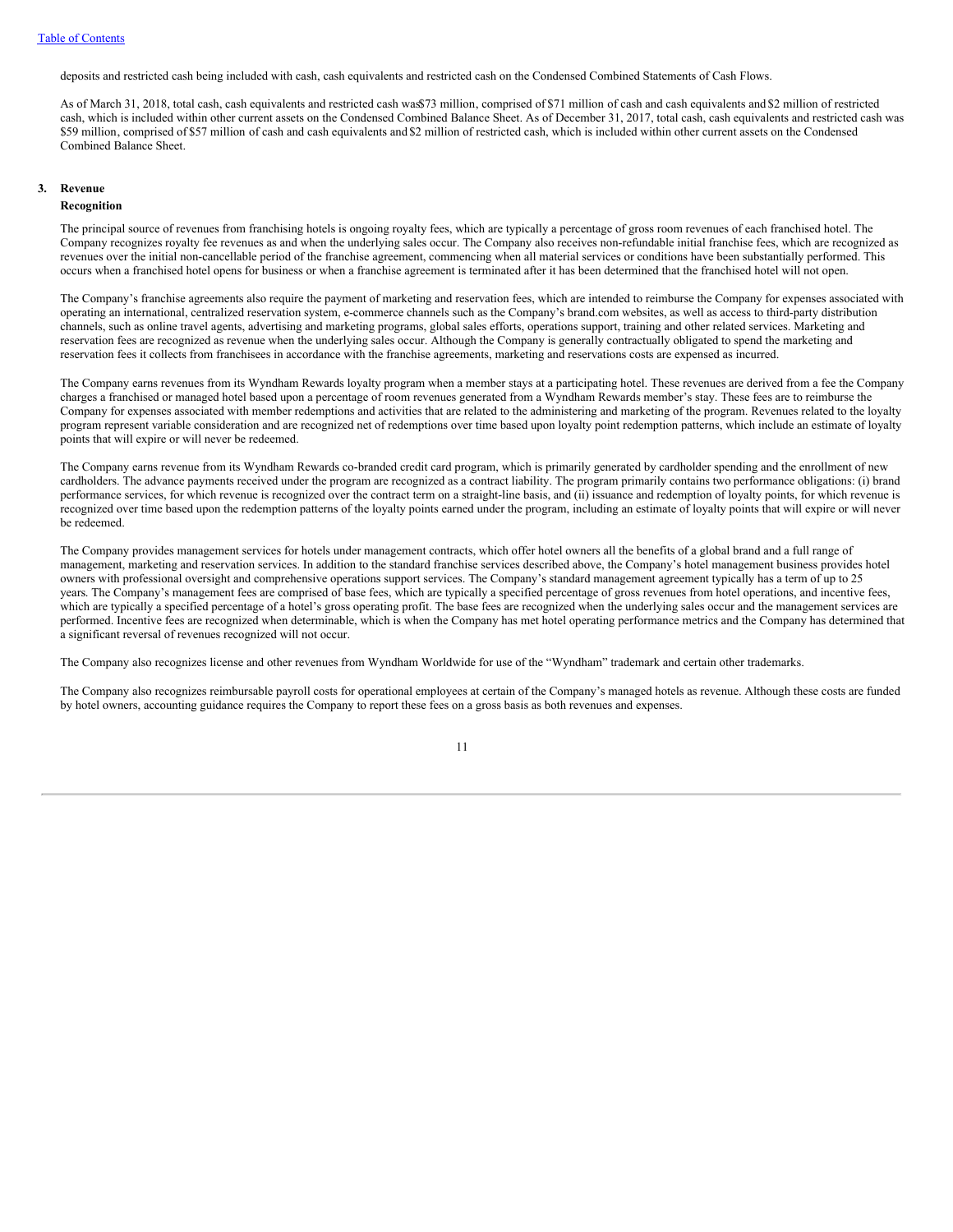deposits and restricted cash being included with cash, cash equivalents and restricted cash on the Condensed Combined Statements of Cash Flows.

As of March 31, 2018, total cash, cash equivalents and restricted cash was\$73 million, comprised of \$71 million of cash and cash equivalents and \$2 million of restricted cash, which is included within other current assets on the Condensed Combined Balance Sheet. As of December 31, 2017, total cash, cash equivalents and restricted cash was \$59 million, comprised of \$57 million of cash and cash equivalents and \$2 million of restricted cash, which is included within other current assets on the Condensed Combined Balance Sheet.

#### **3. Revenue**

## **Recognition**

The principal source of revenues from franchising hotels is ongoing royalty fees, which are typically a percentage of gross room revenues of each franchised hotel. The Company recognizes royalty fee revenues as and when the underlying sales occur. The Company also receives non-refundable initial franchise fees, which are recognized as revenues over the initial non-cancellable period of the franchise agreement, commencing when all material services or conditions have been substantially performed. This occurs when a franchised hotel opens for business or when a franchise agreement is terminated after it has been determined that the franchised hotel will not open.

The Company's franchise agreements also require the payment of marketing and reservation fees, which are intended to reimburse the Company for expenses associated with operating an international, centralized reservation system, e-commerce channels such as the Company's brand.com websites, as well as access to third-party distribution channels, such as online travel agents, advertising and marketing programs, global sales efforts, operations support, training and other related services. Marketing and reservation fees are recognized as revenue when the underlying sales occur. Although the Company is generally contractually obligated to spend the marketing and reservation fees it collects from franchisees in accordance with the franchise agreements, marketing and reservations costs are expensed as incurred.

The Company earns revenues from its Wyndham Rewards loyalty program when a member stays at a participating hotel. These revenues are derived from a fee the Company charges a franchised or managed hotel based upon a percentage of room revenues generated from a Wyndham Rewards member's stay. These fees are to reimburse the Company for expenses associated with member redemptions and activities that are related to the administering and marketing of the program. Revenues related to the loyalty program represent variable consideration and are recognized net of redemptions over time based upon loyalty point redemption patterns, which include an estimate of loyalty points that will expire or will never be redeemed.

The Company earns revenue from its Wyndham Rewards co-branded credit card program, which is primarily generated by cardholder spending and the enrollment of new cardholders. The advance payments received under the program are recognized as a contract liability. The program primarily contains two performance obligations: (i) brand performance services, for which revenue is recognized over the contract term on a straight-line basis, and (ii) issuance and redemption of loyalty points, for which revenue is recognized over time based upon the redemption patterns of the loyalty points earned under the program, including an estimate of loyalty points that will expire or will never be redeemed.

The Company provides management services for hotels under management contracts, which offer hotel owners all the benefits of a global brand and a full range of management, marketing and reservation services. In addition to the standard franchise services described above, the Company's hotel management business provides hotel owners with professional oversight and comprehensive operations support services. The Company's standard management agreement typically has a term of up to 25 years. The Company's management fees are comprised of base fees, which are typically a specified percentage of gross revenues from hotel operations, and incentive fees, which are typically a specified percentage of a hotel's gross operating profit. The base fees are recognized when the underlying sales occur and the management services are performed. Incentive fees are recognized when determinable, which is when the Company has met hotel operating performance metrics and the Company has determined that a significant reversal of revenues recognized will not occur.

The Company also recognizes license and other revenues from Wyndham Worldwide for use of the "Wyndham" trademark and certain other trademarks.

The Company also recognizes reimbursable payroll costs for operational employees at certain of the Company's managed hotels as revenue. Although these costs are funded by hotel owners, accounting guidance requires the Company to report these fees on a gross basis as both revenues and expenses.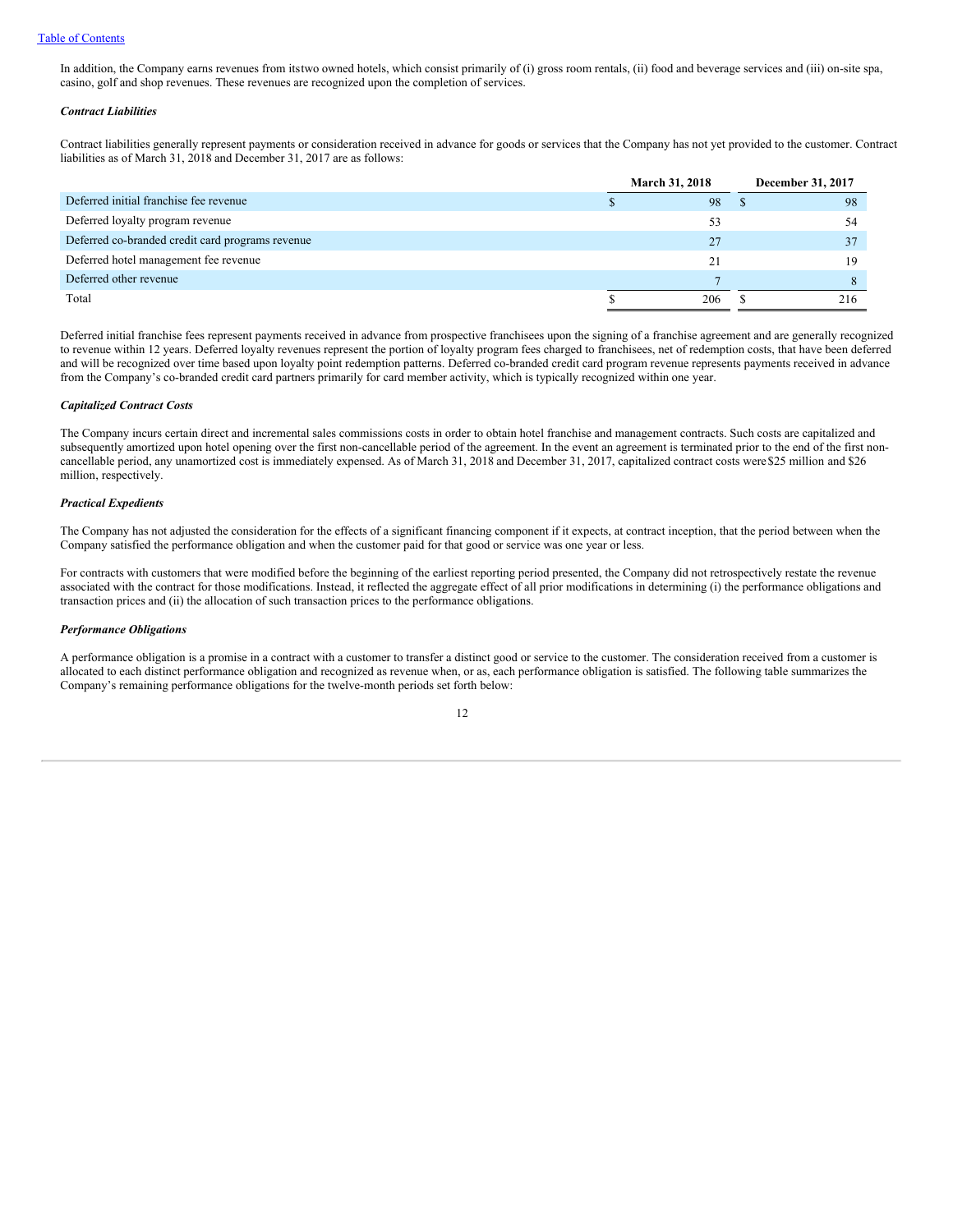In addition, the Company earns revenues from itstwo owned hotels, which consist primarily of (i) gross room rentals, (ii) food and beverage services and (iii) on-site spa, casino, golf and shop revenues. These revenues are recognized upon the completion of services.

## *Contract Liabilities*

Contract liabilities generally represent payments or consideration received in advance for goods or services that the Company has not yet provided to the customer. Contract liabilities as of March 31, 2018 and December 31, 2017 are as follows:

|                                                  | <b>March 31, 2018</b> |     |  | December 31, 2017 |
|--------------------------------------------------|-----------------------|-----|--|-------------------|
| Deferred initial franchise fee revenue           |                       | 98  |  | 98                |
| Deferred loyalty program revenue                 |                       | 53  |  | 54                |
| Deferred co-branded credit card programs revenue |                       | 27  |  | 37                |
| Deferred hotel management fee revenue            |                       | 21  |  | 19                |
| Deferred other revenue                           |                       |     |  |                   |
| Total                                            |                       | 206 |  | 216               |

Deferred initial franchise fees represent payments received in advance from prospective franchisees upon the signing of a franchise agreement and are generally recognized to revenue within 12 years. Deferred loyalty revenues represent the portion of loyalty program fees charged to franchisees, net of redemption costs, that have been deferred and will be recognized over time based upon loyalty point redemption patterns. Deferred co-branded credit card program revenue represents payments received in advance from the Company's co-branded credit card partners primarily for card member activity, which is typically recognized within one year.

#### *Capitalized Contract Costs*

The Company incurs certain direct and incremental sales commissions costs in order to obtain hotel franchise and management contracts. Such costs are capitalized and subsequently amortized upon hotel opening over the first non-cancellable period of the agreement. In the event an agreement is terminated prior to the end of the first noncancellable period, any unamortized cost is immediately expensed. As of March 31, 2018 and December 31, 2017, capitalized contract costs were\$25 million and \$26 million, respectively.

#### *Practical Expedients*

The Company has not adjusted the consideration for the effects of a significant financing component if it expects, at contract inception, that the period between when the Company satisfied the performance obligation and when the customer paid for that good or service was one year or less.

For contracts with customers that were modified before the beginning of the earliest reporting period presented, the Company did not retrospectively restate the revenue associated with the contract for those modifications. Instead, it reflected the aggregate effect of all prior modifications in determining (i) the performance obligations and transaction prices and (ii) the allocation of such transaction prices to the performance obligations.

#### *Performance Obligations*

A performance obligation is a promise in a contract with a customer to transfer a distinct good or service to the customer. The consideration received from a customer is allocated to each distinct performance obligation and recognized as revenue when, or as, each performance obligation is satisfied. The following table summarizes the Company's remaining performance obligations for the twelve-month periods set forth below: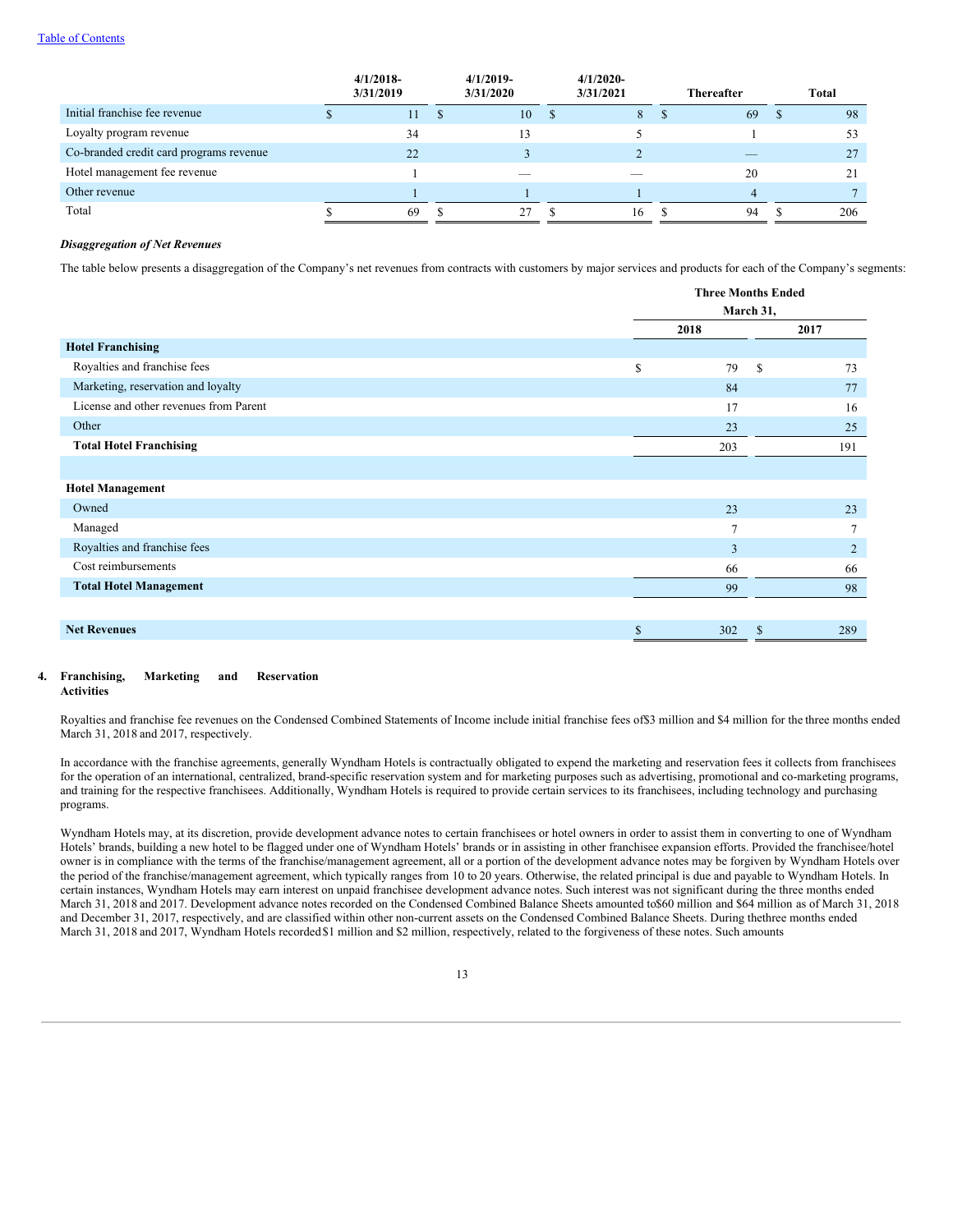## Table of Contents

|                                         | $4/1/2018$ -<br>3/31/2019 |    | $4/1/2019-$<br>3/31/2020 |      | $4/1/2020-$<br>3/31/2021 |   | Thereafter | Total |
|-----------------------------------------|---------------------------|----|--------------------------|------|--------------------------|---|------------|-------|
| Initial franchise fee revenue           | 11                        | -S | 10                       | - \$ | 8 <sup>1</sup>           | ъ | 69         | 98    |
| Loyalty program revenue                 | 34                        |    | 13                       |      |                          |   |            | 53    |
| Co-branded credit card programs revenue | 22                        |    |                          |      |                          |   | _          | 27    |
| Hotel management fee revenue            |                           |    |                          |      |                          |   | 20         | 21    |
| Other revenue                           |                           |    |                          |      |                          |   |            |       |
| Total                                   | 69                        |    | 27                       |      | 16                       |   | 94         | 206   |

#### *Disaggregation of Net Revenues*

The table below presents a disaggregation of the Company's net revenues from contracts with customers by major services and products for each of the Company's segments:

|                                        |      | <b>Three Months Ended</b> |                     |  |  |  |
|----------------------------------------|------|---------------------------|---------------------|--|--|--|
|                                        |      | March 31,                 |                     |  |  |  |
|                                        | 2018 |                           | 2017                |  |  |  |
| <b>Hotel Franchising</b>               |      |                           |                     |  |  |  |
| Royalties and franchise fees           | \$   | 79                        | <sup>\$</sup><br>73 |  |  |  |
| Marketing, reservation and loyalty     |      | 84                        | 77                  |  |  |  |
| License and other revenues from Parent |      | 17                        | 16                  |  |  |  |
| Other                                  |      | 23                        | 25                  |  |  |  |
| <b>Total Hotel Franchising</b>         |      | 203                       | 191                 |  |  |  |
|                                        |      |                           |                     |  |  |  |
| <b>Hotel Management</b>                |      |                           |                     |  |  |  |
| Owned                                  |      | 23                        | 23                  |  |  |  |
| Managed                                |      | $7\phantom{.0}$           | 7                   |  |  |  |
| Royalties and franchise fees           |      | $\mathfrak{Z}$            | $\overline{2}$      |  |  |  |
| Cost reimbursements                    |      | 66                        | 66                  |  |  |  |
| <b>Total Hotel Management</b>          |      | 99                        | 98                  |  |  |  |
|                                        |      |                           |                     |  |  |  |
| <b>Net Revenues</b>                    | \$   | 302                       | \$<br>289           |  |  |  |

#### **4. Franchising, Marketing and Reservation Activities**

Royalties and franchise fee revenues on the Condensed Combined Statements of Income include initial franchise fees of\$3 million and \$4 million for the three months ended March 31, 2018 and 2017, respectively.

In accordance with the franchise agreements, generally Wyndham Hotels is contractually obligated to expend the marketing and reservation fees it collects from franchisees for the operation of an international, centralized, brand-specific reservation system and for marketing purposes such as advertising, promotional and co-marketing programs, and training for the respective franchisees. Additionally, Wyndham Hotels is required to provide certain services to its franchisees, including technology and purchasing programs.

Wyndham Hotels may, at its discretion, provide development advance notes to certain franchisees or hotel owners in order to assist them in converting to one of Wyndham Hotels' brands, building a new hotel to be flagged under one of Wyndham Hotels' brands or in assisting in other franchisee expansion efforts. Provided the franchisee/hotel owner is in compliance with the terms of the franchise/management agreement, all or a portion of the development advance notes may be forgiven by Wyndham Hotels over the period of the franchise/management agreement, which typically ranges from 10 to 20 years. Otherwise, the related principal is due and payable to Wyndham Hotels. In certain instances, Wyndham Hotels may earn interest on unpaid franchisee development advance notes. Such interest was not significant during the three months ended March 31, 2018 and 2017. Development advance notes recorded on the Condensed Combined Balance Sheets amounted to\$60 million and \$64 million as of March 31, 2018 and December 31, 2017, respectively, and are classified within other non-current assets on the Condensed Combined Balance Sheets. During thethree months ended March 31, 2018 and 2017, Wyndham Hotels recorded\$1 million and \$2 million, respectively, related to the forgiveness of these notes. Such amounts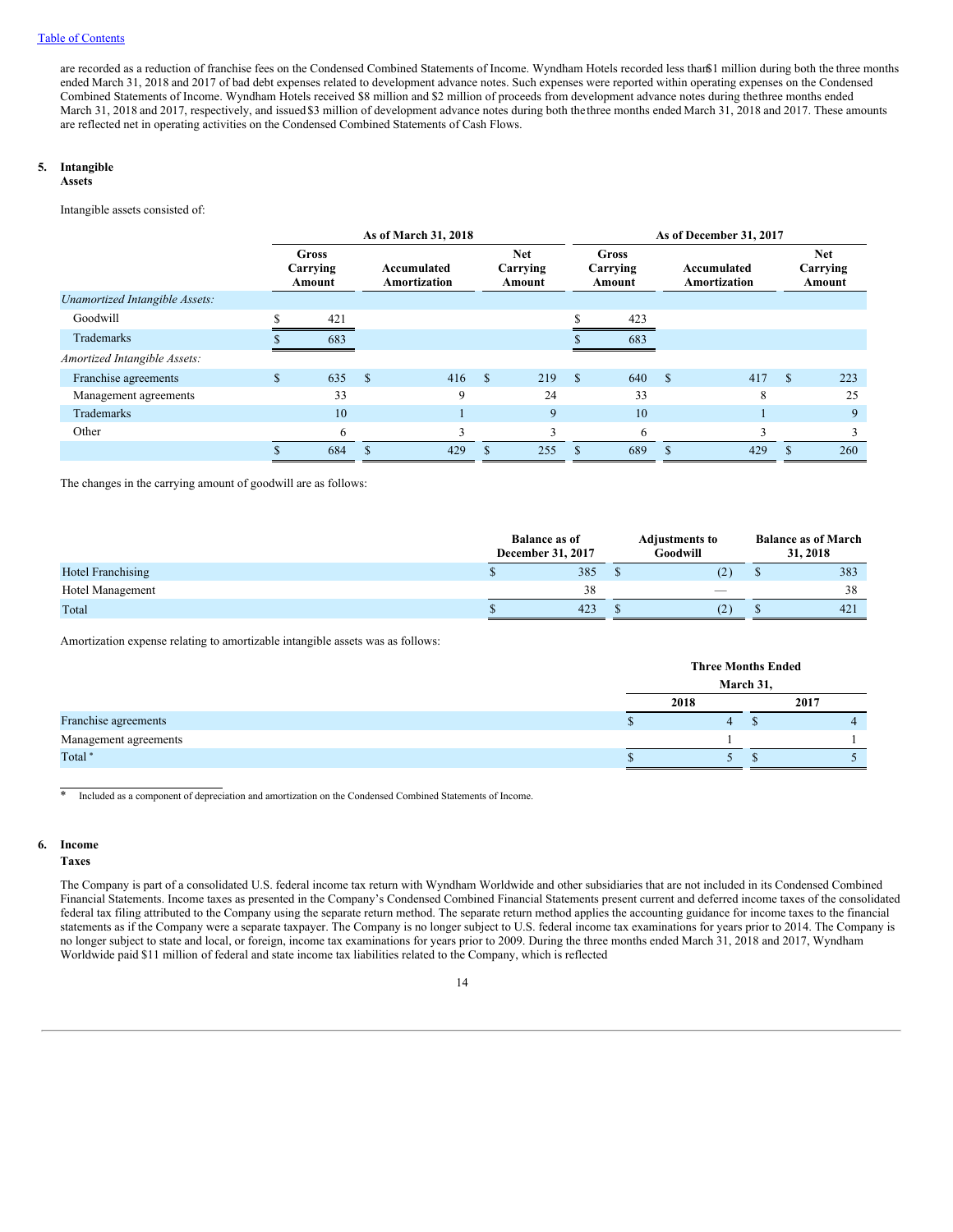are recorded as a reduction of franchise fees on the Condensed Combined Statements of Income. Wyndham Hotels recorded less than\$1 million during both the three months ended March 31, 2018 and 2017 of bad debt expenses related to development advance notes. Such expenses were reported within operating expenses on the Condensed Combined Statements of Income. Wyndham Hotels received \$8 million and \$2 million of proceeds from development advance notes during thethree months ended March 31, 2018 and 2017, respectively, and issued \$3 million of development advance notes during both the three months ended March 31, 2018 and 2017. These amounts are reflected net in operating activities on the Condensed Combined Statements of Cash Flows.

#### **5. Intangible**

#### **Assets**

Intangible assets consisted of:

|                                |                             |             | As of March 31, 2018               |               |                                  | As of December 31, 2017 |                             |              |                             |              |                                  |
|--------------------------------|-----------------------------|-------------|------------------------------------|---------------|----------------------------------|-------------------------|-----------------------------|--------------|-----------------------------|--------------|----------------------------------|
|                                | Gross<br>Carrying<br>Amount |             | Accumulated<br><b>Amortization</b> |               | <b>Net</b><br>Carrying<br>Amount |                         | Gross<br>Carrying<br>Amount |              | Accumulated<br>Amortization |              | <b>Net</b><br>Carrying<br>Amount |
| Unamortized Intangible Assets: |                             |             |                                    |               |                                  |                         |                             |              |                             |              |                                  |
| Goodwill                       | 421                         |             |                                    |               |                                  |                         | 423                         |              |                             |              |                                  |
| Trademarks                     | 683                         |             |                                    |               |                                  |                         | 683                         |              |                             |              |                                  |
| Amortized Intangible Assets:   |                             |             |                                    |               |                                  |                         |                             |              |                             |              |                                  |
| Franchise agreements           | \$<br>635                   | $\mathbf S$ | 416                                | <sup>\$</sup> | 219                              | $\mathbf{s}$            | 640                         | $\mathbf{s}$ | 417                         | $\mathbf{s}$ | 223                              |
| Management agreements          | 33                          |             | 9                                  |               | 24                               |                         | 33                          |              | 8                           |              | 25                               |
| Trademarks                     | 10                          |             |                                    |               | 9                                |                         | 10                          |              |                             |              | 9                                |
| Other                          | 6                           |             | $\rightarrow$                      |               | 3                                |                         | 6                           |              | $\rightarrow$               |              | 3                                |
|                                | 684                         |             | 429                                | $\mathcal{S}$ | 255                              |                         | 689                         |              | 429                         |              | 260                              |

The changes in the carrying amount of goodwill are as follows:

|                   | <b>Balance as of</b><br>December 31, 2017 |     | <b>Adjustments to</b><br>Goodwill | <b>Balance as of March</b><br>31, 2018 |                 |  |
|-------------------|-------------------------------------------|-----|-----------------------------------|----------------------------------------|-----------------|--|
| Hotel Franchising |                                           | 385 | (2)                               |                                        | 383             |  |
| Hotel Management  |                                           | 38  | ___                               |                                        | 38              |  |
| Total             |                                           | 423 | (2)                               |                                        | 42 <sup>1</sup> |  |

Amortization expense relating to amortizable intangible assets was as follows:

|                       |      | <b>Three Months Ended</b> |  |      |  |  |  |
|-----------------------|------|---------------------------|--|------|--|--|--|
|                       |      | March 31,                 |  |      |  |  |  |
|                       | 2018 |                           |  | 2017 |  |  |  |
| Franchise agreements  |      | $\overline{4}$            |  |      |  |  |  |
| Management agreements |      |                           |  |      |  |  |  |
| Total*                |      |                           |  |      |  |  |  |

Included as a component of depreciation and amortization on the Condensed Combined Statements of Income.

#### **6. Income**

## **Taxes**

The Company is part of a consolidated U.S. federal income tax return with Wyndham Worldwide and other subsidiaries that are not included in its Condensed Combined Financial Statements. Income taxes as presented in the Company's Condensed Combined Financial Statements present current and deferred income taxes of the consolidated federal tax filing attributed to the Company using the separate return method. The separate return method applies the accounting guidance for income taxes to the financial statements as if the Company were a separate taxpayer. The Company is no longer subject to U.S. federal income tax examinations for years prior to 2014. The Company is no longer subject to state and local, or foreign, income tax examinations for years prior to 2009. During the three months ended March 31, 2018 and 2017, Wyndham Worldwide paid \$11 million of federal and state income tax liabilities related to the Company, which is reflected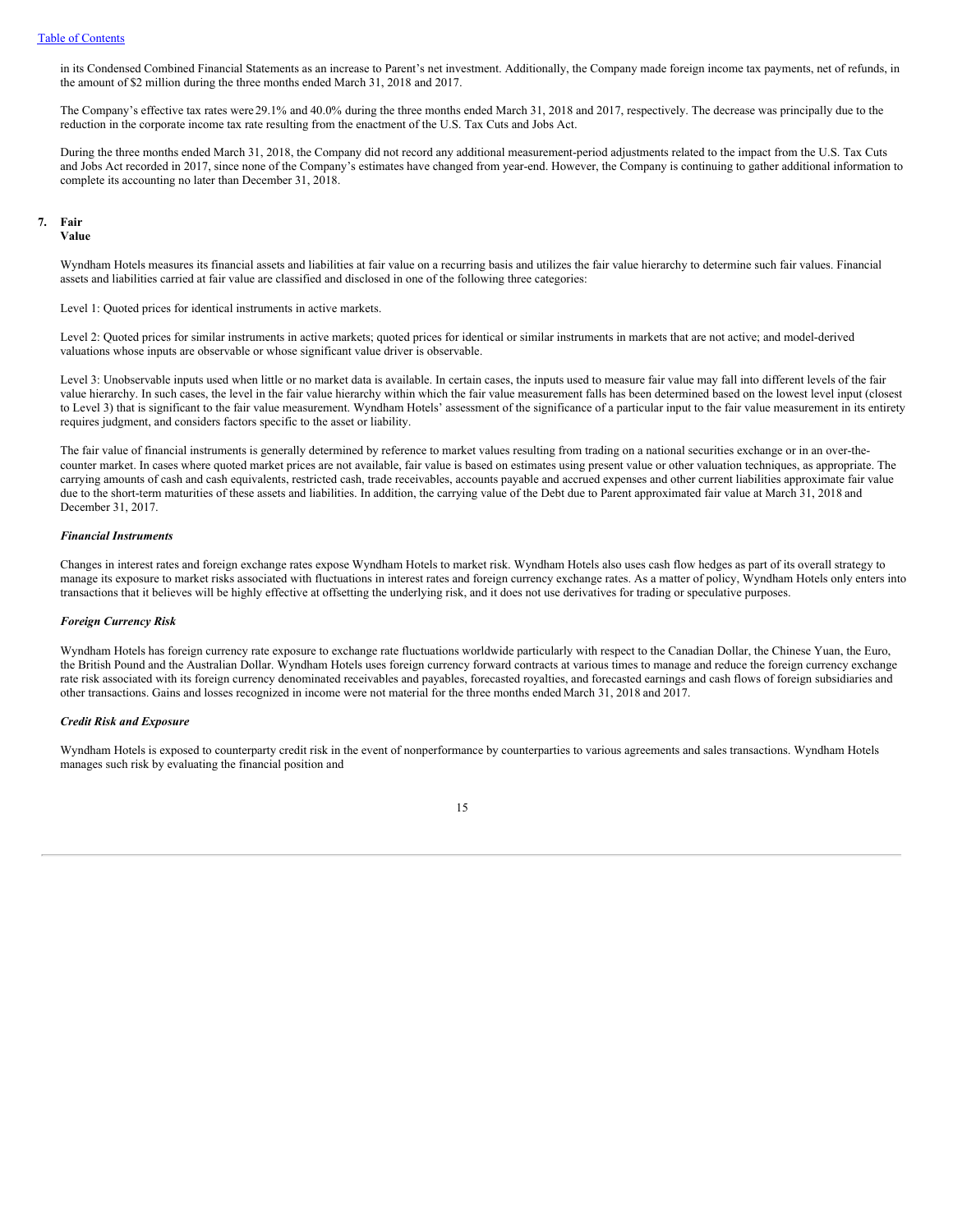in its Condensed Combined Financial Statements as an increase to Parent's net investment. Additionally, the Company made foreign income tax payments, net of refunds, in the amount of \$2 million during the three months ended March 31, 2018 and 2017.

The Company's effective tax rates were 29.1% and 40.0% during the three months ended March 31, 2018 and 2017, respectively. The decrease was principally due to the reduction in the corporate income tax rate resulting from the enactment of the U.S. Tax Cuts and Jobs Act.

During the three months ended March 31, 2018, the Company did not record any additional measurement-period adjustments related to the impact from the U.S. Tax Cuts and Jobs Act recorded in 2017, since none of the Company's estimates have changed from year-end. However, the Company is continuing to gather additional information to complete its accounting no later than December 31, 2018.

## **7. Fair**

## **Value**

Wyndham Hotels measures its financial assets and liabilities at fair value on a recurring basis and utilizes the fair value hierarchy to determine such fair values. Financial assets and liabilities carried at fair value are classified and disclosed in one of the following three categories:

Level 1: Quoted prices for identical instruments in active markets.

Level 2: Quoted prices for similar instruments in active markets; quoted prices for identical or similar instruments in markets that are not active; and model-derived valuations whose inputs are observable or whose significant value driver is observable.

Level 3: Unobservable inputs used when little or no market data is available. In certain cases, the inputs used to measure fair value may fall into different levels of the fair value hierarchy. In such cases, the level in the fair value hierarchy within which the fair value measurement falls has been determined based on the lowest level input (closest to Level 3) that is significant to the fair value measurement. Wyndham Hotels' assessment of the significance of a particular input to the fair value measurement in its entirety requires judgment, and considers factors specific to the asset or liability.

The fair value of financial instruments is generally determined by reference to market values resulting from trading on a national securities exchange or in an over-thecounter market. In cases where quoted market prices are not available, fair value is based on estimates using present value or other valuation techniques, as appropriate. The carrying amounts of cash and cash equivalents, restricted cash, trade receivables, accounts payable and accrued expenses and other current liabilities approximate fair value due to the short-term maturities of these assets and liabilities. In addition, the carrying value of the Debt due to Parent approximated fair value at March 31, 2018 and December 31, 2017.

#### *Financial Instruments*

Changes in interest rates and foreign exchange rates expose Wyndham Hotels to market risk. Wyndham Hotels also uses cash flow hedges as part of its overall strategy to manage its exposure to market risks associated with fluctuations in interest rates and foreign currency exchange rates. As a matter of policy, Wyndham Hotels only enters into transactions that it believes will be highly effective at offsetting the underlying risk, and it does not use derivatives for trading or speculative purposes.

#### *Foreign Currency Risk*

Wyndham Hotels has foreign currency rate exposure to exchange rate fluctuations worldwide particularly with respect to the Canadian Dollar, the Chinese Yuan, the Euro, the British Pound and the Australian Dollar. Wyndham Hotels uses foreign currency forward contracts at various times to manage and reduce the foreign currency exchange rate risk associated with its foreign currency denominated receivables and payables, forecasted royalties, and forecasted earnings and cash flows of foreign subsidiaries and other transactions. Gains and losses recognized in income were not material for the three months ended March 31, 2018 and 2017.

#### *Credit Risk and Exposure*

Wyndham Hotels is exposed to counterparty credit risk in the event of nonperformance by counterparties to various agreements and sales transactions. Wyndham Hotels manages such risk by evaluating the financial position and

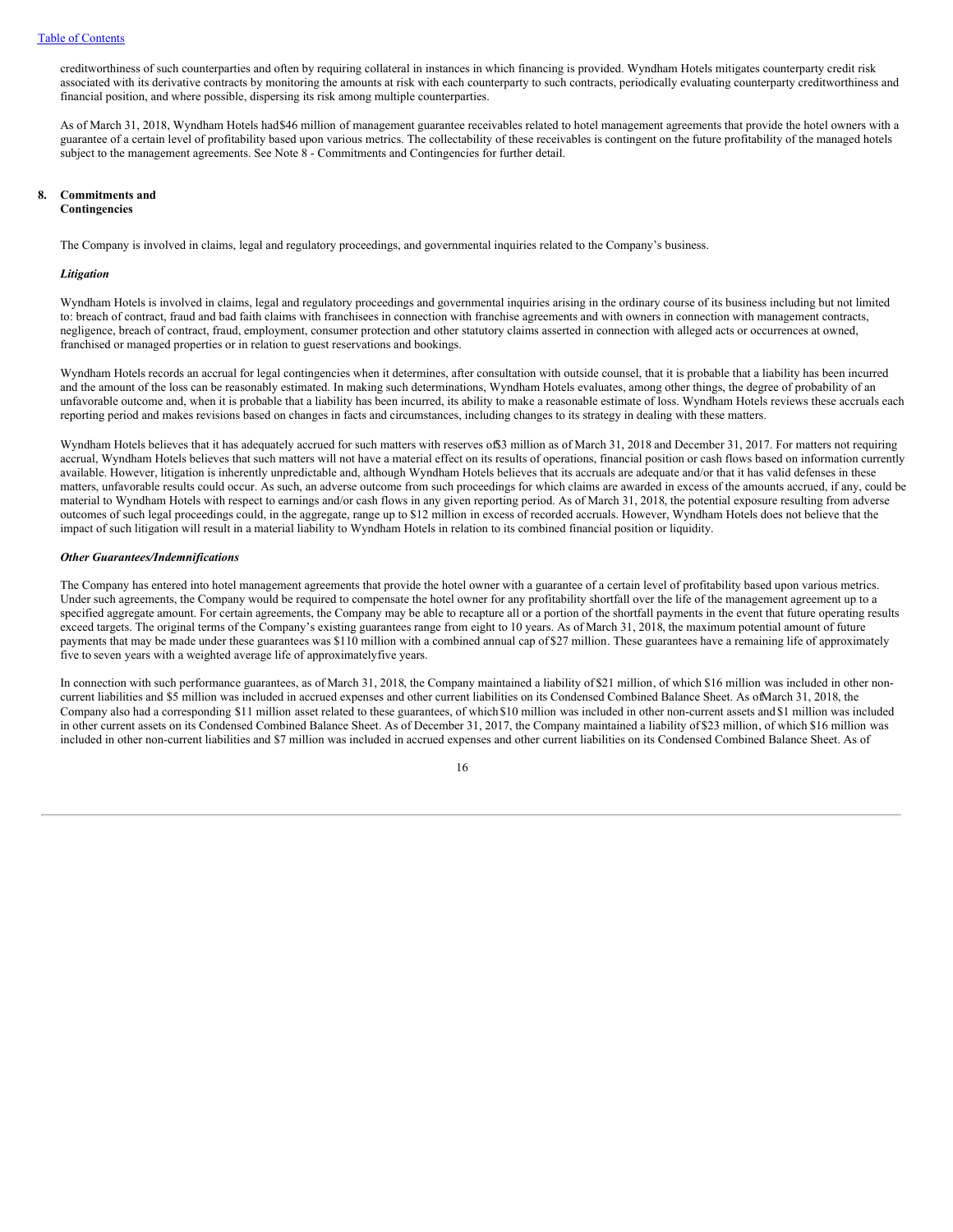creditworthiness of such counterparties and often by requiring collateral in instances in which financing is provided. Wyndham Hotels mitigates counterparty credit risk associated with its derivative contracts by monitoring the amounts at risk with each counterparty to such contracts, periodically evaluating counterparty creditworthiness and financial position, and where possible, dispersing its risk among multiple counterparties.

As of March 31, 2018, Wyndham Hotels had\$46 million of management guarantee receivables related to hotel management agreements that provide the hotel owners with a guarantee of a certain level of profitability based upon various metrics. The collectability of these receivables is contingent on the future profitability of the managed hotels subject to the management agreements. See Note  $\hat{8}$  - Commitments and Contingencies for further detail.

### **8. Commitments and**

## **Contingencies**

The Company is involved in claims, legal and regulatory proceedings, and governmental inquiries related to the Company's business.

#### *Litigation*

Wyndham Hotels is involved in claims, legal and regulatory proceedings and governmental inquiries arising in the ordinary course of its business including but not limited to: breach of contract, fraud and bad faith claims with franchisees in connection with franchise agreements and with owners in connection with management contracts, negligence, breach of contract, fraud, employment, consumer protection and other statutory claims asserted in connection with alleged acts or occurrences at owned, franchised or managed properties or in relation to guest reservations and bookings.

Wyndham Hotels records an accrual for legal contingencies when it determines, after consultation with outside counsel, that it is probable that a liability has been incurred and the amount of the loss can be reasonably estimated. In making such determinations, Wyndham Hotels evaluates, among other things, the degree of probability of an unfavorable outcome and, when it is probable that a liability has been incurred, its ability to make a reasonable estimate of loss. Wyndham Hotels reviews these accruals each reporting period and makes revisions based on changes in facts and circumstances, including changes to its strategy in dealing with these matters.

Wyndham Hotels believes that it has adequately accrued for such matters with reserves of \$3 million as of March 31, 2018 and December 31, 2017. For matters not requiring accrual, Wyndham Hotels believes that such matters will not have a material effect on its results of operations, financial position or cash flows based on information currently available. However, litigation is inherently unpredictable and, although Wyndham Hotels believes that its accruals are adequate and/or that it has valid defenses in these matters, unfavorable results could occur. As such, an adverse outcome from such proceedings for which claims are awarded in excess of the amounts accrued, if any, could be material to Wyndham Hotels with respect to earnings and/or cash flows in any given reporting period. As of March 31, 2018, the potential exposure resulting from adverse outcomes of such legal proceedings could, in the aggregate, range up to \$12 million in excess of recorded accruals. However, Wyndham Hotels does not believe that the impact of such litigation will result in a material liability to Wyndham Hotels in relation to its combined financial position or liquidity.

#### *Other Guarantees/Indemnifications*

The Company has entered into hotel management agreements that provide the hotel owner with a guarantee of a certain level of profitability based upon various metrics. Under such agreements, the Company would be required to compensate the hotel owner for any profitability shortfall over the life of the management agreement up to a specified aggregate amount. For certain agreements, the Company may be able to recapture all or a portion of the shortfall payments in the event that future operating results exceed targets. The original terms of the Company's existing guarantees range from eight to 10 years. As of March 31, 2018, the maximum potential amount of future payments that may be made under these guarantees was \$110 million with a combined annual cap of \$27 million. These guarantees have a remaining life of approximately five to seven years with a weighted average life of approximatelyfive years.

In connection with such performance guarantees, as of March 31, 2018, the Company maintained a liability of \$21 million, of which \$16 million was included in other noncurrent liabilities and \$5 million was included in accrued expenses and other current liabilities on its Condensed Combined Balance Sheet. As ofMarch 31, 2018, the Company also had a corresponding \$11 million asset related to these guarantees, of which\$10 million was included in other non-current assets and \$1 million was included in other current assets on its Condensed Combined Balance Sheet. As of December 31, 2017, the Company maintained a liability of \$23 million, of which \$16 million was included in other non-current liabilities and \$7 million was included in accrued expenses and other current liabilities on its Condensed Combined Balance Sheet. As of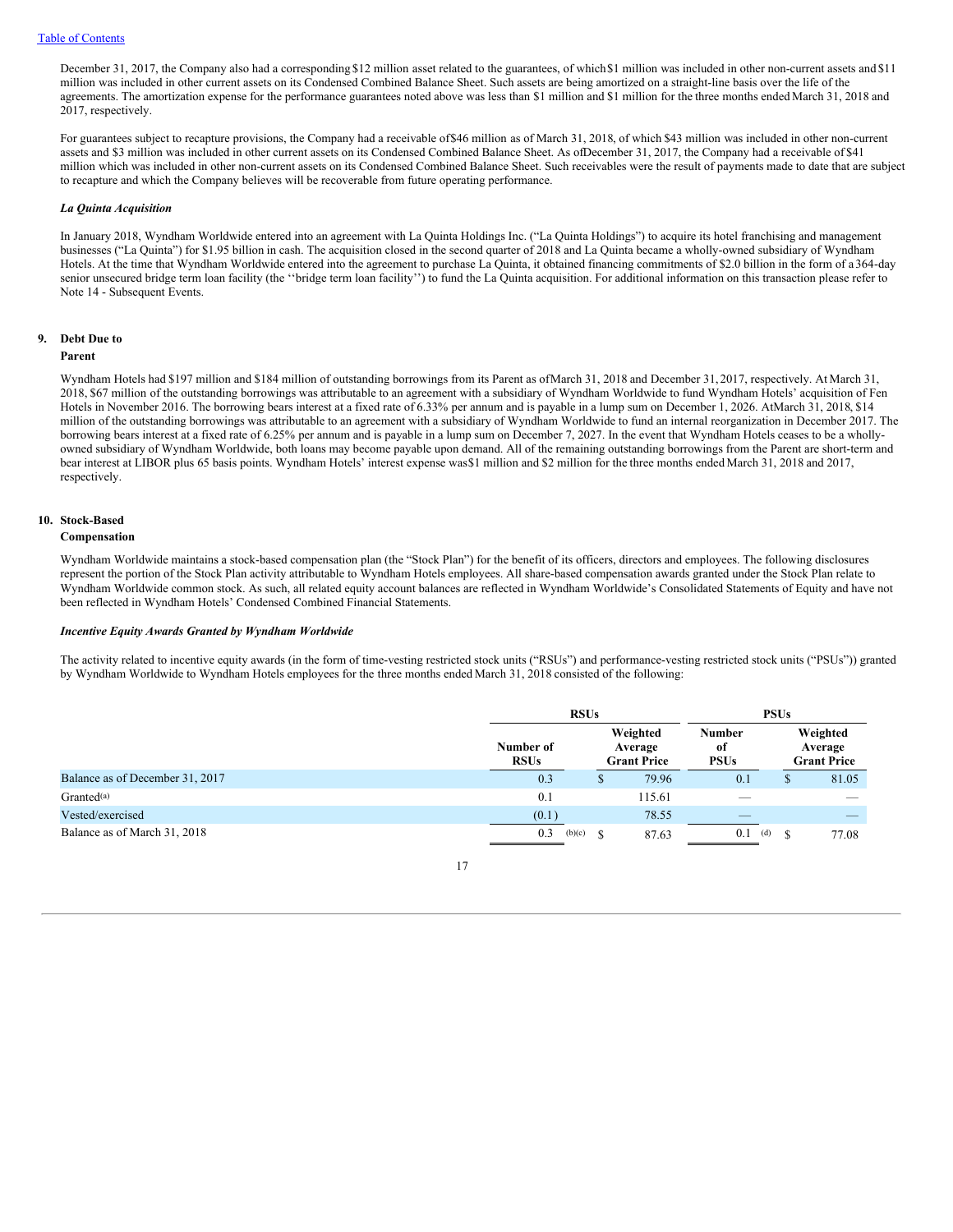December 31, 2017, the Company also had a corresponding \$12 million asset related to the guarantees, of which\$1 million was included in other non-current assets and \$11 million was included in other current assets on its Condensed Combined Balance Sheet. Such assets are being amortized on a straight-line basis over the life of the agreements. The amortization expense for the performance guarantees noted above was less than \$1 million and \$1 million for the three months ended March 31, 2018 and 2017, respectively.

For guarantees subject to recapture provisions, the Company had a receivable of \$46 million as of March 31, 2018, of which \$43 million was included in other non-current assets and \$3 million was included in other current assets on its Condensed Combined Balance Sheet. As ofDecember 31, 2017, the Company had a receivable of \$41 million which was included in other non-current assets on its Condensed Combined Balance Sheet. Such receivables were the result of payments made to date that are subject to recapture and which the Company believes will be recoverable from future operating performance.

#### *La Quinta Acquisition*

In January 2018, Wyndham Worldwide entered into an agreement with La Quinta Holdings Inc. ("La Quinta Holdings") to acquire its hotel franchising and management businesses ("La Quinta") for \$1.95 billion in cash. The acquisition closed in the second quarter of 2018 and La Quinta became a wholly-owned subsidiary of Wyndham Hotels. At the time that Wyndham Worldwide entered into the agreement to purchase La Quinta, it obtained financing commitments of \$2.0 billion in the form of a 364-day senior unsecured bridge term loan facility (the "bridge term loan facility") to fund the La Quinta acquisition. For additional information on this transaction please refer to Note 14 - Subsequent Events.

# **9. Debt Due to**

#### **Parent**

Wyndham Hotels had \$197 million and \$184 million of outstanding borrowings from its Parent as ofMarch 31, 2018 and December 31, 2017, respectively. At March 31, 2018, \$67 million of the outstanding borrowings was attributable to an agreement with a subsidiary of Wyndham Worldwide to fund Wyndham Hotels' acquisition of Fen Hotels in November 2016. The borrowing bears interest at a fixed rate of 6.33% per annum and is payable in a lump sum on December 1, 2026. AtMarch 31, 2018, \$14 million of the outstanding borrowings was attributable to an agreement with a subsidiary of Wyndham Worldwide to fund an internal reorganization in December 2017. The borrowing bears interest at a fixed rate of 6.25% per annum and is payable in a lump sum on December 7, 2027. In the event that Wyndham Hotels ceases to be a whollyowned subsidiary of Wyndham Worldwide, both loans may become payable upon demand. All of the remaining outstanding borrowings from the Parent are short-term and bear interest at LIBOR plus 65 basis points. Wyndham Hotels' interest expense was\$1 million and \$2 million for the three months ended March 31, 2018 and 2017, respectively.

# **10. Stock-Based**

## **Compensation**

Wyndham Worldwide maintains a stock-based compensation plan (the "Stock Plan") for the benefit of its officers, directors and employees. The following disclosures represent the portion of the Stock Plan activity attributable to Wyndham Hotels employees. All share-based compensation awards granted under the Stock Plan relate to Wyndham Worldwide common stock. As such, all related equity account balances are reflected in Wyndham Worldwide's Consolidated Statements of Equity and have not been reflected in Wyndham Hotels' Condensed Combined Financial Statements.

#### *Incentive Equity Awards Granted by Wyndham Worldwide*

The activity related to incentive equity awards (in the form of time-vesting restricted stock units ("RSUs") and performance-vesting restricted stock units ("PSUs")) granted by Wyndham Worldwide to Wyndham Hotels employees for the three months ended March 31, 2018 consisted of the following:

|                                 | <b>RSUs</b>              |        |    |                                           | <b>PSUs</b>                        |    |                                           |  |
|---------------------------------|--------------------------|--------|----|-------------------------------------------|------------------------------------|----|-------------------------------------------|--|
|                                 | Number of<br><b>RSUs</b> |        |    | Weighted<br>Average<br><b>Grant Price</b> | <b>Number</b><br>оf<br><b>PSUs</b> |    | Weighted<br>Average<br><b>Grant Price</b> |  |
| Balance as of December 31, 2017 | 0.3                      |        | J. | 79.96                                     | 0.1                                |    | 81.05                                     |  |
| $Granted^{(a)}$                 | 0.1                      |        |    | 115.61                                    |                                    |    |                                           |  |
| Vested/exercised                | (0.1)                    |        |    | 78.55                                     | _                                  |    |                                           |  |
| Balance as of March 31, 2018    | 0.3                      | (b)(c) | £. | 87.63                                     | 0.1<br>(d)                         | -S | 77.08                                     |  |

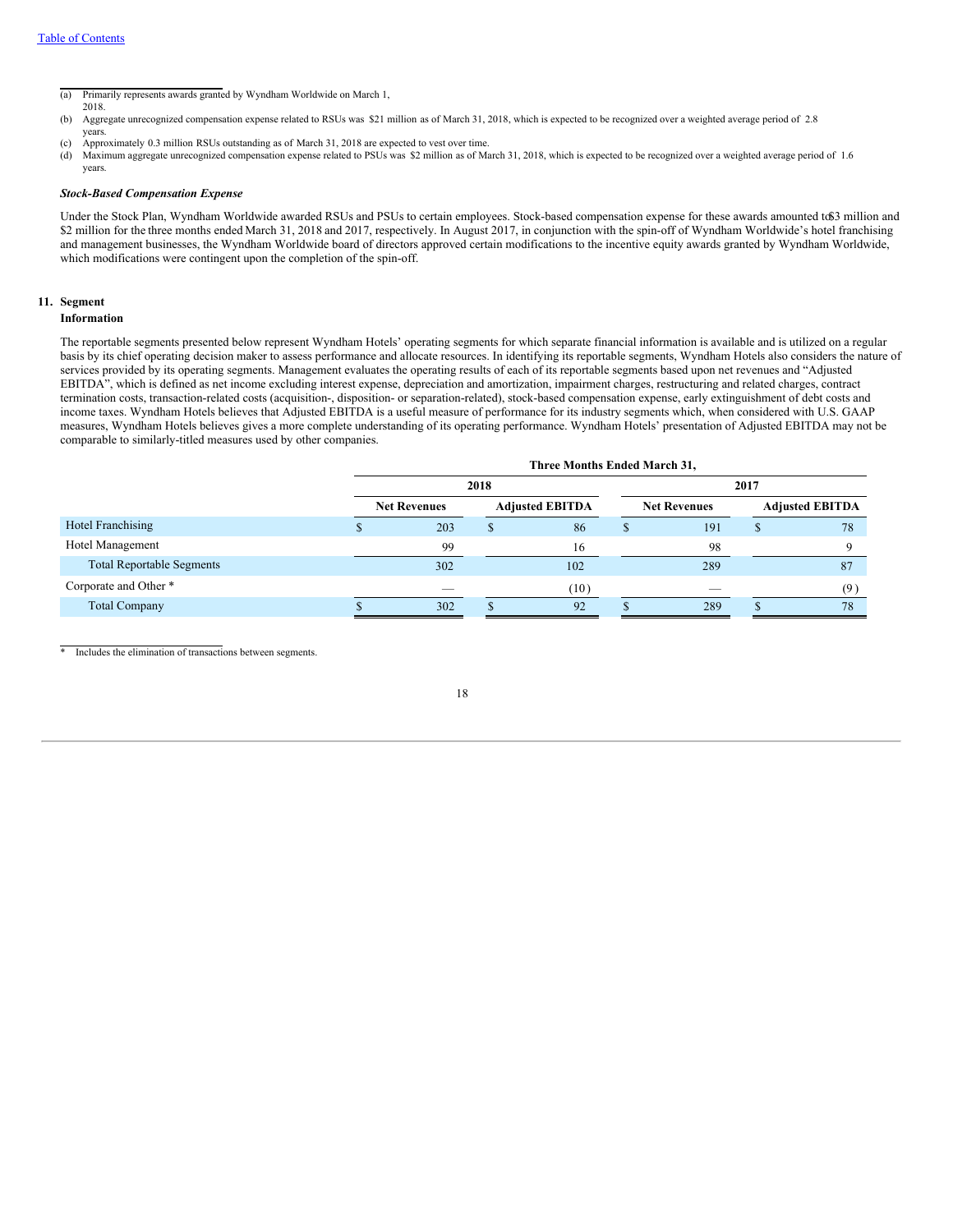- (a) Primarily represents awards granted by Wyndham Worldwide on March 1, 2018.
- (b) Aggregate unrecognized compensation expense related to RSUs was \$21 million as of March 31, 2018, which is expected to be recognized over a weighted average period of 2.8 years.
- (c) Approximately 0.3 million RSUs outstanding as of March 31, 2018 are expected to vest over time.
- (d) Maximum aggregate unrecognized compensation expense related to PSUs was \$2 million as of March 31, 2018, which is expected to be recognized over a weighted average period of 1.6 years.

#### *Stock-Based Compensation Expense*

Under the Stock Plan, Wyndham Worldwide awarded RSUs and PSUs to certain employees. Stock-based compensation expense for these awards amounted to\$3 million and \$2 million for the three months ended March 31, 2018 and 2017, respectively. In August 2017, in conjunction with the spin-off of Wyndham Worldwide's hotel franchising and management businesses, the Wyndham Worldwide board of directors approved certain modifications to the incentive equity awards granted by Wyndham Worldwide, which modifications were contingent upon the completion of the spin-off.

#### **11. Segment**

## **Information**

The reportable segments presented below represent Wyndham Hotels' operating segments for which separate financial information is available and is utilized on a regular basis by its chief operating decision maker to assess performance and allocate resources. In identifying its reportable segments, Wyndham Hotels also considers the nature of services provided by its operating segments. Management evaluates the operating results of each of its reportable segments based upon net revenues and "Adjusted EBITDA", which is defined as net income excluding interest expense, depreciation and amortization, impairment charges, restructuring and related charges, contract termination costs, transaction-related costs (acquisition-, disposition- or separation-related), stock-based compensation expense, early extinguishment of debt costs and income taxes. Wyndham Hotels believes that Adjusted EBITDA is a useful measure of performance for its industry segments which, when considered with U.S. GAAP measures, Wyndham Hotels believes gives a more complete understanding of its operating performance. Wyndham Hotels' presentation of Adjusted EBITDA may not be comparable to similarly-titled measures used by other companies.

|                                  | Three Months Ended March 31, |                     |  |                        |  |                     |                        |          |  |  |
|----------------------------------|------------------------------|---------------------|--|------------------------|--|---------------------|------------------------|----------|--|--|
|                                  | 2018                         |                     |  |                        |  |                     | 2017                   |          |  |  |
|                                  |                              | <b>Net Revenues</b> |  | <b>Adjusted EBITDA</b> |  | <b>Net Revenues</b> | <b>Adjusted EBITDA</b> |          |  |  |
| Hotel Franchising                |                              | 203                 |  | 86                     |  | 191                 | S                      | 78       |  |  |
| Hotel Management                 |                              | 99                  |  | 16                     |  | 98                  |                        | $\Omega$ |  |  |
| <b>Total Reportable Segments</b> |                              | 302                 |  | 102                    |  | 289                 |                        | 87       |  |  |
| Corporate and Other *            |                              |                     |  | (10)                   |  | __                  |                        | (9)      |  |  |
| <b>Total Company</b>             |                              | 302                 |  | 92                     |  | 289                 |                        | 78       |  |  |

\* Includes the elimination of transactions between segments.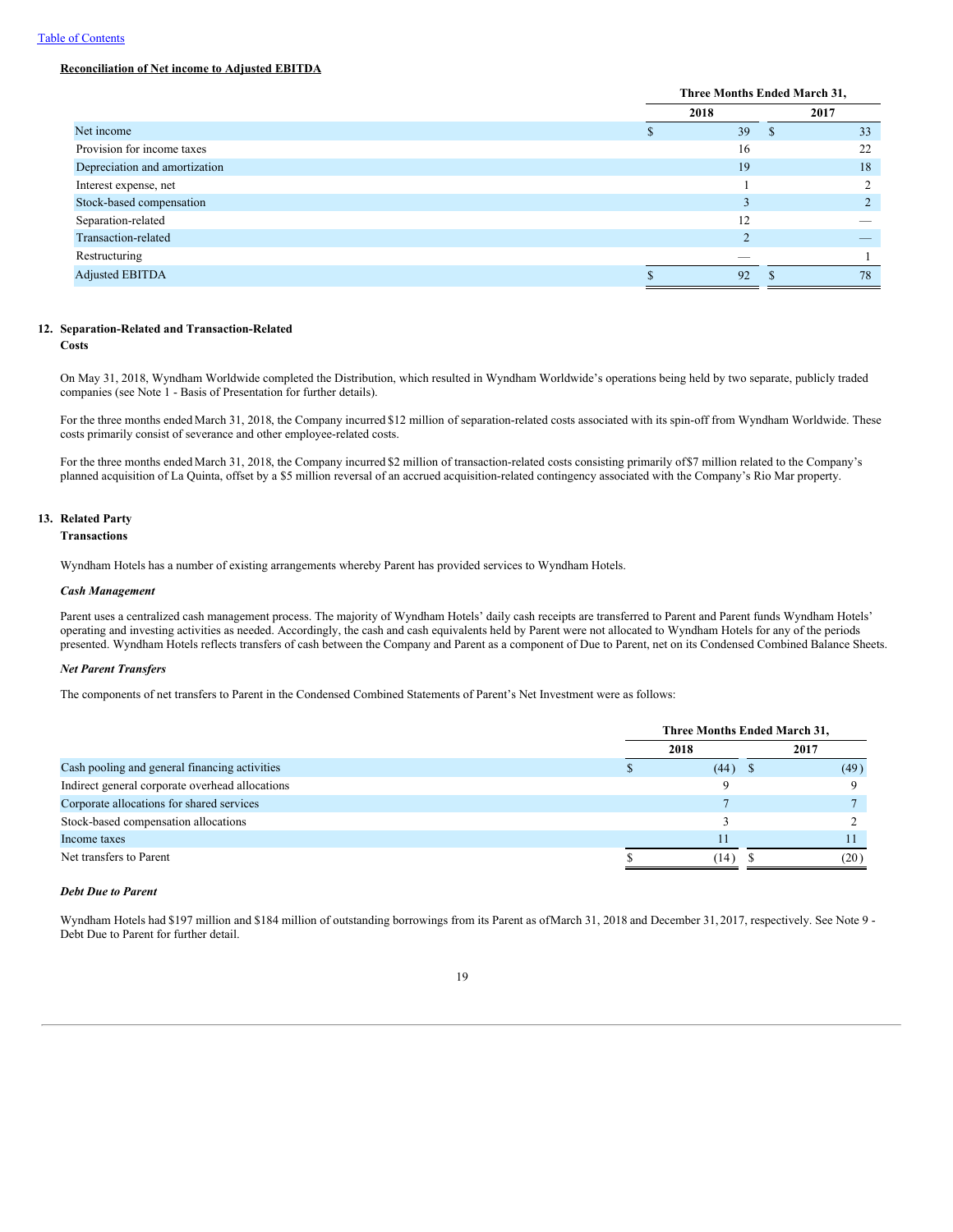# **Reconciliation of Net income to Adjusted EBITDA**

|                               | Three Months Ended March 31, |          |  |  |  |  |
|-------------------------------|------------------------------|----------|--|--|--|--|
|                               | 2018                         |          |  |  |  |  |
| Net income                    | 39                           | 33<br>-S |  |  |  |  |
| Provision for income taxes    | 16                           | 22       |  |  |  |  |
| Depreciation and amortization | 19                           | 18       |  |  |  |  |
| Interest expense, net         |                              | 2        |  |  |  |  |
| Stock-based compensation      |                              |          |  |  |  |  |
| Separation-related            | 12                           |          |  |  |  |  |
| Transaction-related           | $\bigcap$                    |          |  |  |  |  |
| Restructuring                 | _                            |          |  |  |  |  |
| <b>Adjusted EBITDA</b>        | 92                           | 78       |  |  |  |  |

#### **12. Separation-Related and Transaction-Related**

#### **Costs**

On May 31, 2018, Wyndham Worldwide completed the Distribution, which resulted in Wyndham Worldwide's operations being held by two separate, publicly traded companies (see Note 1 - Basis of Presentation for further details).

For the three months ended March 31, 2018, the Company incurred \$12 million of separation-related costs associated with its spin-off from Wyndham Worldwide. These costs primarily consist of severance and other employee-related costs.

For the three months ended March 31, 2018, the Company incurred \$2 million of transaction-related costs consisting primarily of \$7 million related to the Company's planned acquisition of La Quinta, offset by a \$5 million reversal of an accrued acquisition-related contingency associated with the Company's Rio Mar property.

# **13. Related Party**

# **Transactions**

Wyndham Hotels has a number of existing arrangements whereby Parent has provided services to Wyndham Hotels.

## *Cash Management*

Parent uses a centralized cash management process. The majority of Wyndham Hotels' daily cash receipts are transferred to Parent and Parent funds Wyndham Hotels' operating and investing activities as needed. Accordingly, the cash and cash equivalents held by Parent were not allocated to Wyndham Hotels for any of the periods presented. Wyndham Hotels reflects transfers of cash between the Company and Parent as a component of Due to Parent, net on its Condensed Combined Balance Sheets.

# *Net Parent Transfers*

The components of net transfers to Parent in the Condensed Combined Statements of Parent's Net Investment were as follows:

|                                                 | Three Months Ended March 31, |  |      |  |  |
|-------------------------------------------------|------------------------------|--|------|--|--|
|                                                 | 2018                         |  | 2017 |  |  |
| Cash pooling and general financing activities   | $(44)$ \$                    |  | (49) |  |  |
| Indirect general corporate overhead allocations |                              |  |      |  |  |
| Corporate allocations for shared services       |                              |  |      |  |  |
| Stock-based compensation allocations            |                              |  |      |  |  |
| Income taxes                                    |                              |  |      |  |  |
| Net transfers to Parent                         | (14)                         |  | (20) |  |  |

## *Debt Due to Parent*

Wyndham Hotels had \$197 million and \$184 million of outstanding borrowings from its Parent as ofMarch 31, 2018 and December 31, 2017, respectively. See Note 9 - Debt Due to Parent for further detail.

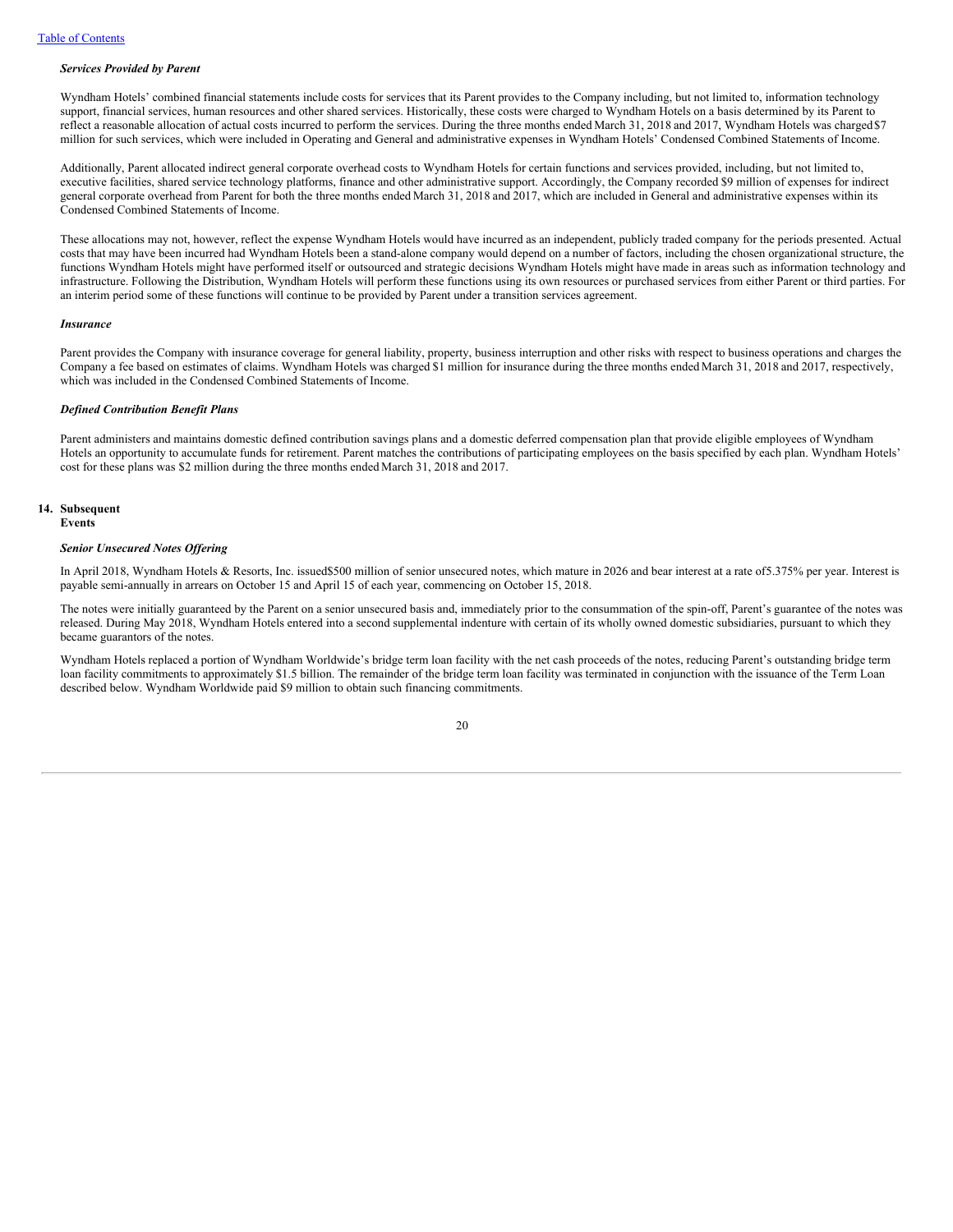#### *Services Provided by Parent*

Wyndham Hotels' combined financial statements include costs for services that its Parent provides to the Company including, but not limited to, information technology support, financial services, human resources and other shared services. Historically, these costs were charged to Wyndham Hotels on a basis determined by its Parent to reflect a reasonable allocation of actual costs incurred to perform the services. During the three months ended March 31, 2018 and 2017, Wyndham Hotels was charged\$7 million for such services, which were included in Operating and General and administrative expenses in Wyndham Hotels' Condensed Combined Statements of Income.

Additionally, Parent allocated indirect general corporate overhead costs to Wyndham Hotels for certain functions and services provided, including, but not limited to, executive facilities, shared service technology platforms, finance and other administrative support. Accordingly, the Company recorded \$9 million of expenses for indirect general corporate overhead from Parent for both the three months ended March 31, 2018 and 2017, which are included in General and administrative expenses within its Condensed Combined Statements of Income.

These allocations may not, however, reflect the expense Wyndham Hotels would have incurred as an independent, publicly traded company for the periods presented. Actual costs that may have been incurred had Wyndham Hotels been a stand-alone company would depend on a number of factors, including the chosen organizational structure, the functions Wyndham Hotels might have performed itself or outsourced and strategic decisions Wyndham Hotels might have made in areas such as information technology and infrastructure. Following the Distribution, Wyndham Hotels will perform these functions using its own resources or purchased services from either Parent or third parties. For an interim period some of these functions will continue to be provided by Parent under a transition services agreement.

#### *Insurance*

Parent provides the Company with insurance coverage for general liability, property, business interruption and other risks with respect to business operations and charges the Company a fee based on estimates of claims. Wyndham Hotels was charged \$1 million for insurance during the three months ended March 31, 2018 and 2017, respectively, which was included in the Condensed Combined Statements of Income.

#### *Defined Contribution Benefit Plans*

Parent administers and maintains domestic defined contribution savings plans and a domestic deferred compensation plan that provide eligible employees of Wyndham Hotels an opportunity to accumulate funds for retirement. Parent matches the contributions of participating employees on the basis specified by each plan. Wyndham Hotels' cost for these plans was \$2 million during the three months ended March 31, 2018 and 2017.

#### **14. Subsequent**

#### **Events**

#### *Senior Unsecured Notes Of ering*

In April 2018, Wyndham Hotels & Resorts, Inc. issued\$500 million of senior unsecured notes, which mature in 2026 and bear interest at a rate of5.375% per year. Interest is payable semi-annually in arrears on October 15 and April 15 of each year, commencing on October 15, 2018.

The notes were initially guaranteed by the Parent on a senior unsecured basis and, immediately prior to the consummation of the spin-off, Parent's guarantee of the notes was released. During May 2018, Wyndham Hotels entered into a second supplemental indenture with certain of its wholly owned domestic subsidiaries, pursuant to which they became guarantors of the notes.

Wyndham Hotels replaced a portion of Wyndham Worldwide's bridge term loan facility with the net cash proceeds of the notes, reducing Parent's outstanding bridge term loan facility commitments to approximately \$1.5 billion. The remainder of the bridge term loan facility was terminated in conjunction with the issuance of the Term Loan described below. Wyndham Worldwide paid \$9 million to obtain such financing commitments.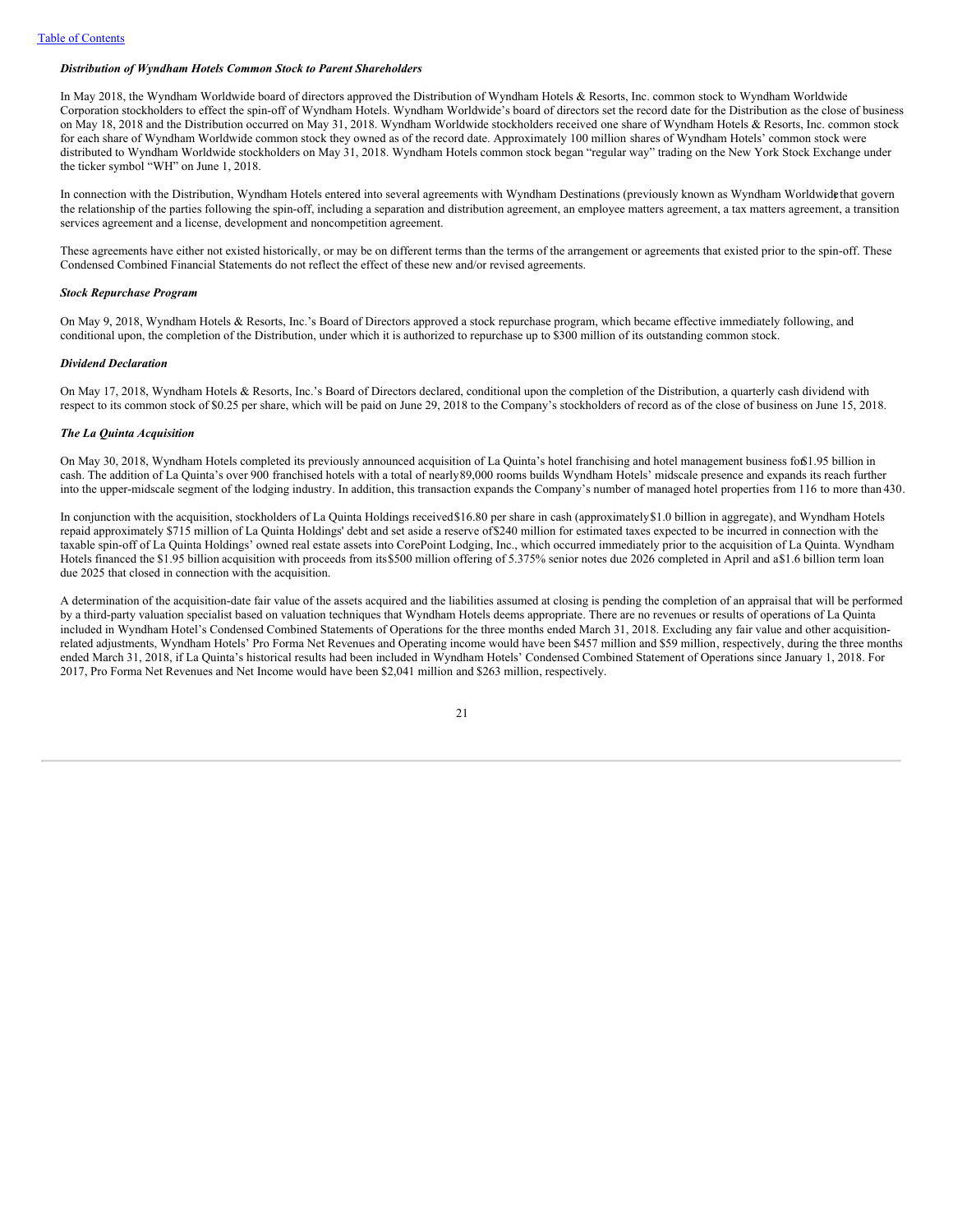#### *Distribution of Wyndham Hotels Common Stock to Parent Shareholders*

In May 2018, the Wyndham Worldwide board of directors approved the Distribution of Wyndham Hotels & Resorts, Inc. common stock to Wyndham Worldwide Corporation stockholders to effect the spin-off of Wyndham Hotels. Wyndham Worldwide's board of directors set the record date for the Distribution as the close of business on May 18, 2018 and the Distribution occurred on May 31, 2018. Wyndham Worldwide stockholders received one share of Wyndham Hotels & Resorts, Inc. common stock for each share of Wyndham Worldwide common stock they owned as of the record date. Approximately 100 million shares of Wyndham Hotels' common stock were distributed to Wyndham Worldwide stockholders on May 31, 2018. Wyndham Hotels common stock began "regular way" trading on the New York Stock Exchange under the ticker symbol "WH" on June 1, 2018.

In connection with the Distribution, Wyndham Hotels entered into several agreements with Wyndham Destinations (previously known as Wyndham Worldwidt that govern the relationship of the parties following the spin-off, including a separation and distribution agreement, an employee matters agreement, a tax matters agreement, a transition services agreement and a license, development and noncompetition agreement.

These agreements have either not existed historically, or may be on different terms than the terms of the arrangement or agreements that existed prior to the spin-off. These Condensed Combined Financial Statements do not reflect the effect of these new and/or revised agreements.

#### *Stock Repurchase Program*

On May 9, 2018, Wyndham Hotels & Resorts, Inc.'s Board of Directors approved a stock repurchase program, which became effective immediately following, and conditional upon, the completion of the Distribution, under which it is authorized to repurchase up to \$300 million of its outstanding common stock.

#### *Dividend Declaration*

On May 17, 2018, Wyndham Hotels & Resorts, Inc.'s Board of Directors declared, conditional upon the completion of the Distribution, a quarterly cash dividend with respect to its common stock of \$0.25 per share, which will be paid on June 29, 2018 to the Company's stockholders of record as of the close of business on June 15, 2018.

#### *The La Quinta Acquisition*

On May 30, 2018, Wyndham Hotels completed its previously announced acquisition of La Quinta's hotel franchising and hotel management business for\$1.95 billion in cash. The addition of La Quinta's over 900 franchised hotels with a total of nearly89,000 rooms builds Wyndham Hotels' midscale presence and expands its reach further into the upper-midscale segment of the lodging industry. In addition, this transaction expands the Company's number of managed hotel properties from 116 to more than 430.

In conjunction with the acquisition, stockholders of La Quinta Holdings received\$16.80 per share in cash (approximately\$1.0 billion in aggregate), and Wyndham Hotels repaid approximately \$715 million of La Quinta Holdings' debt and set aside a reserve of\$240 million for estimated taxes expected to be incurred in connection with the taxable spin-off of La Quinta Holdings' owned real estate assets into CorePoint Lodging, Inc., which occurred immediately prior to the acquisition of La Quinta. Wyndham Hotels financed the \$1.95 billion acquisition with proceeds from its\$500 million offering of 5.375% senior notes due 2026 completed in April and a\$1.6 billion term loan due 2025 that closed in connection with the acquisition.

A determination of the acquisition-date fair value of the assets acquired and the liabilities assumed at closing is pending the completion of an appraisal that will be performed by a third-party valuation specialist based on valuation techniques that Wyndham Hotels deems appropriate. There are no revenues or results of operations of La Quinta included in Wyndham Hotel's Condensed Combined Statements of Operations for the three months ended March 31, 2018. Excluding any fair value and other acquisitionrelated adjustments, Wyndham Hotels' Pro Forma Net Revenues and Operating income would have been \$457 million and \$59 million, respectively, during the three months ended March 31, 2018, if La Quinta's historical results had been included in Wyndham Hotels' Condensed Combined Statement of Operations since January 1, 2018. For 2017, Pro Forma Net Revenues and Net Income would have been \$2,041 million and \$263 million, respectively.

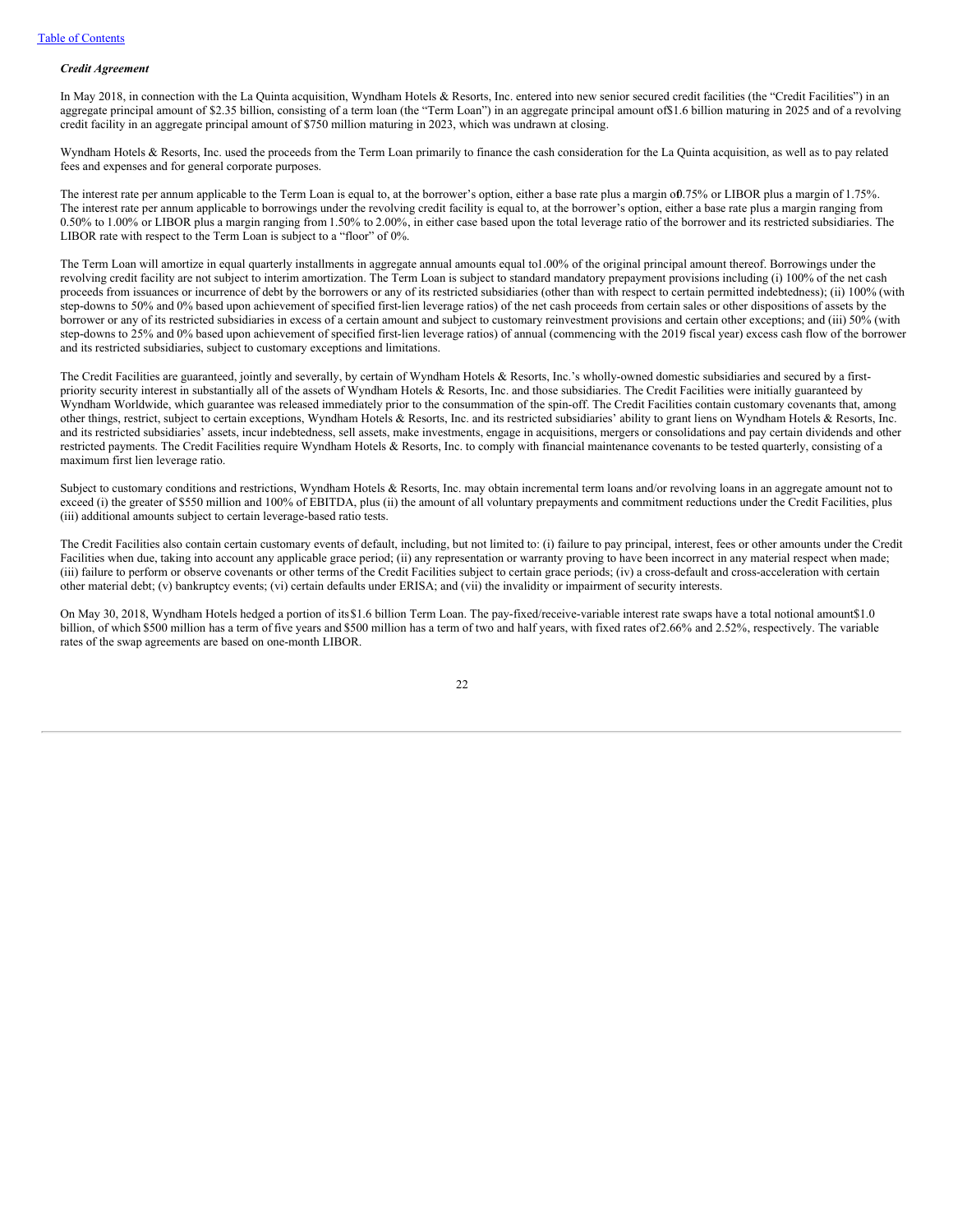#### *Credit Agreement*

In May 2018, in connection with the La Quinta acquisition, Wyndham Hotels & Resorts, Inc. entered into new senior secured credit facilities (the "Credit Facilities") in an aggregate principal amount of \$2.35 billion, consisting of a term loan (the "Term Loan") in an aggregate principal amount of \$1.6 billion maturing in 2025 and of a revolving credit facility in an aggregate principal amount of \$750 million maturing in 2023, which was undrawn at closing.

Wyndham Hotels & Resorts, Inc. used the proceeds from the Term Loan primarily to finance the cash consideration for the La Quinta acquisition, as well as to pay related fees and expenses and for general corporate purposes.

The interest rate per annum applicable to the Term Loan is equal to, at the borrower's option, either a base rate plus a margin of 0.75% or LIBOR plus a margin of 1.75%. The interest rate per annum applicable to borrowings under the revolving credit facility is equal to, at the borrower's option, either a base rate plus a margin ranging from 0.50% to 1.00% or LIBOR plus a margin ranging from 1.50% to 2.00%, in either case based upon the total leverage ratio of the borrower and its restricted subsidiaries. The LIBOR rate with respect to the Term Loan is subject to a "floor" of 0%.

The Term Loan will amortize in equal quarterly installments in aggregate annual amounts equal to1.00% of the original principal amount thereof. Borrowings under the revolving credit facility are not subject to interim amortization. The Term Loan is subject to standard mandatory prepayment provisions including (i) 100% of the net cash proceeds from issuances or incurrence of debt by the borrowers or any of its restricted subsidiaries (other than with respect to certain permitted indebtedness); (ii) 100% (with step-downs to 50% and 0% based upon achievement of specified first-lien leverage ratios) of the net cash proceeds from certain sales or other dispositions of assets by the borrower or any of its restricted subsidiaries in excess of a certain amount and subject to customary reinvestment provisions and certain other exceptions; and (iii) 50% (with step-downs to 25% and 0% based upon achievement of specified first-lien leverage ratios) of annual (commencing with the 2019 fiscal year) excess cash flow of the borrower and its restricted subsidiaries, subject to customary exceptions and limitations.

The Credit Facilities are guaranteed, jointly and severally, by certain of Wyndham Hotels & Resorts, Inc.'s wholly-owned domestic subsidiaries and secured by a firstpriority security interest in substantially all of the assets of Wyndham Hotels  $&$  Resorts, Inc. and those subsidiaries. The Credit Facilities were initially guaranteed by Wyndham Worldwide, which guarantee was released immediately prior to the consummation of the spin-off. The Credit Facilities contain customary covenants that, among other things, restrict, subject to certain exceptions, Wyndham Hotels & Resorts, Inc. and its restricted subsidiaries' ability to grant liens on Wyndham Hotels & Resorts, Inc. and its restricted subsidiaries' assets, incur indebtedness, sell assets, make investments, engage in acquisitions, mergers or consolidations and pay certain dividends and other restricted payments. The Credit Facilities require Wyndham Hotels & Resorts, Inc. to comply with financial maintenance covenants to be tested quarterly, consisting of a maximum first lien leverage ratio.

Subject to customary conditions and restrictions, Wyndham Hotels & Resorts, Inc. may obtain incremental term loans and/or revolving loans in an aggregate amount not to exceed (i) the greater of \$550 million and 100% of EBITDA, plus (ii) the amount of all voluntary prepayments and commitment reductions under the Credit Facilities, plus (iii) additional amounts subject to certain leverage-based ratio tests.

The Credit Facilities also contain certain customary events of default, including, but not limited to: (i) failure to pay principal, interest, fees or other amounts under the Credit Facilities when due, taking into account any applicable grace period; (ii) any representation or warranty proving to have been incorrect in any material respect when made; (iii) failure to perform or observe covenants or other terms of the Credit Facilities subject to certain grace periods; (iv) a cross-default and cross-acceleration with certain other material debt; (v) bankruptcy events; (vi) certain defaults under ERISA; and (vii) the invalidity or impairment of security interests.

On May 30, 2018, Wyndham Hotels hedged a portion of its\$1.6 billion Term Loan. The pay-fixed/receive-variable interest rate swaps have a total notional amount\$1.0 billion, of which \$500 million has a term of five years and \$500 million has a term of two and half years, with fixed rates of 2.66% and 2.52%, respectively. The variable rates of the swap agreements are based on one-month LIBOR.

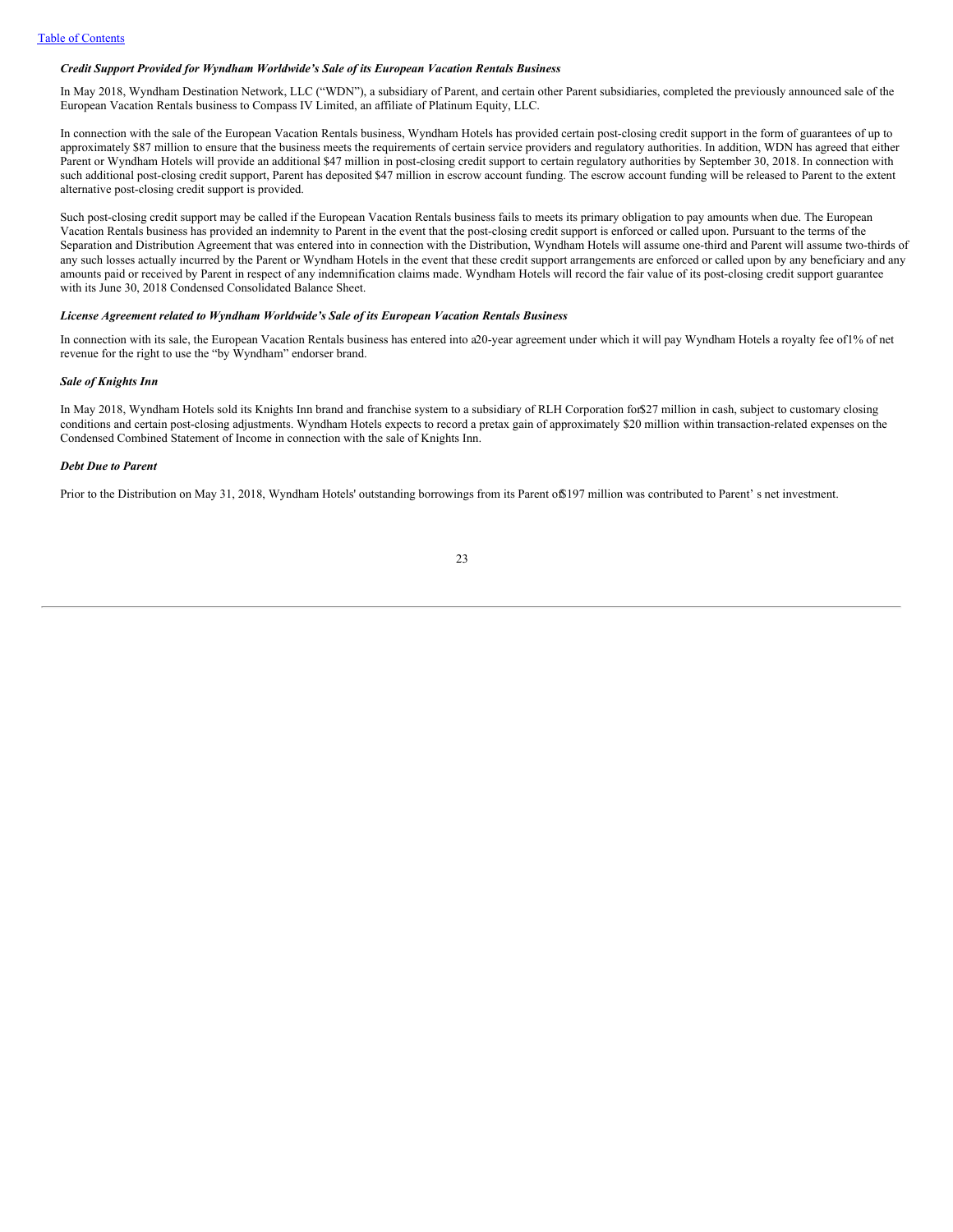#### *Credit Support Provided for Wyndham Worldwide's Sale of its European Vacation Rentals Business*

In May 2018, Wyndham Destination Network, LLC ("WDN"), a subsidiary of Parent, and certain other Parent subsidiaries, completed the previously announced sale of the European Vacation Rentals business to Compass IV Limited, an affiliate of Platinum Equity, LLC.

In connection with the sale of the European Vacation Rentals business, Wyndham Hotels has provided certain post-closing credit support in the form of guarantees of up to approximately \$87 million to ensure that the business meets the requirements of certain service providers and regulatory authorities. In addition, WDN has agreed that either Parent or Wyndham Hotels will provide an additional \$47 million in post-closing credit support to certain regulatory authorities by September 30, 2018. In connection with such additional post-closing credit support, Parent has deposited \$47 million in escrow account funding. The escrow account funding will be released to Parent to the extent alternative post-closing credit support is provided.

Such post-closing credit support may be called if the European Vacation Rentals business fails to meets its primary obligation to pay amounts when due. The European Vacation Rentals business has provided an indemnity to Parent in the event that the post-closing credit support is enforced or called upon. Pursuant to the terms of the Separation and Distribution Agreement that was entered into in connection with the Distribution, Wyndham Hotels will assume one-third and Parent will assume two-thirds of any such losses actually incurred by the Parent or Wyndham Hotels in the event that these credit support arrangements are enforced or called upon by any beneficiary and any amounts paid or received by Parent in respect of any indemnification claims made. Wyndham Hotels will record the fair value of its post-closing credit support guarantee with its June 30, 2018 Condensed Consolidated Balance Sheet.

#### *License Agreement related to Wyndham Worldwide's Sale of its European Vacation Rentals Business*

In connection with its sale, the European Vacation Rentals business has entered into a20-year agreement under which it will pay Wyndham Hotels a royalty fee of1% of net revenue for the right to use the "by Wyndham" endorser brand.

## *Sale of Knights Inn*

In May 2018, Wyndham Hotels sold its Knights Inn brand and franchise system to a subsidiary of RLH Corporation for\$27 million in cash, subject to customary closing conditions and certain post-closing adjustments. Wyndham Hotels expects to record a pretax gain of approximately \$20 million within transaction-related expenses on the Condensed Combined Statement of Income in connection with the sale of Knights Inn.

#### *Debt Due to Parent*

Prior to the Distribution on May 31, 2018, Wyndham Hotels' outstanding borrowings from its Parent of 197 million was contributed to Parent' s net investment.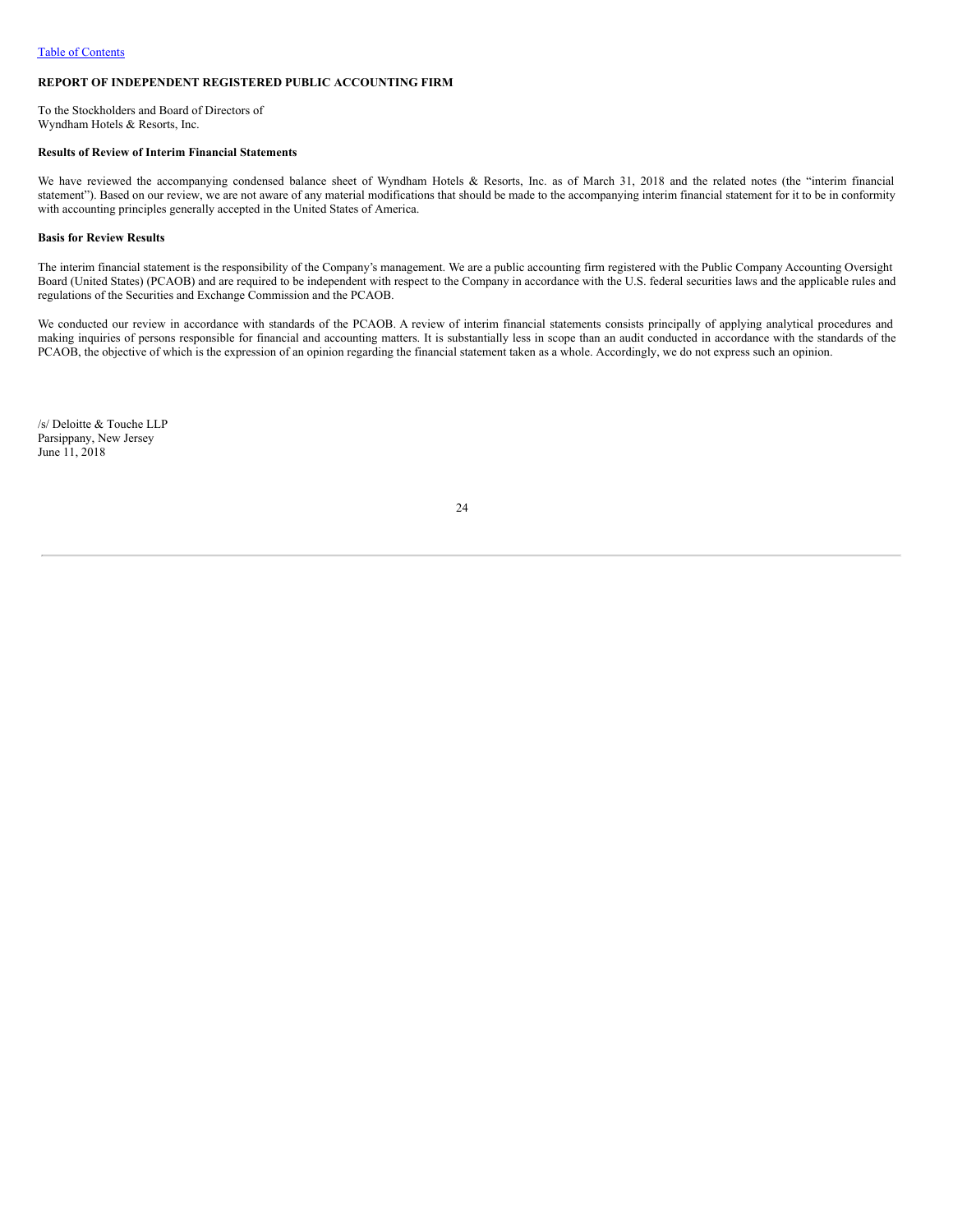#### <span id="page-25-0"></span>**REPORT OF INDEPENDENT REGISTERED PUBLIC ACCOUNTING FIRM**

To the Stockholders and Board of Directors of Wyndham Hotels & Resorts, Inc.

# **Results of Review of Interim Financial Statements**

We have reviewed the accompanying condensed balance sheet of Wyndham Hotels & Resorts, Inc. as of March 31, 2018 and the related notes (the "interim financial statement"). Based on our review, we are not aware of any material modifications that should be made to the accompanying interim financial statement for it to be in conformity with accounting principles generally accepted in the United States of America.

# **Basis for Review Results**

The interim financial statement is the responsibility of the Company's management. We are a public accounting firm registered with the Public Company Accounting Oversight Board (United States) (PCAOB) and are required to be independent with respect to the Company in accordance with the U.S. federal securities laws and the applicable rules and regulations of the Securities and Exchange Commission and the PCAOB.

We conducted our review in accordance with standards of the PCAOB. A review of interim financial statements consists principally of applying analytical procedures and making inquiries of persons responsible for financial and accounting matters. It is substantially less in scope than an audit conducted in accordance with the standards of the PCAOB, the objective of which is the expression of an opinion regarding the financial statement taken as a whole. Accordingly, we do not express such an opinion.

/s/ Deloitte & Touche LLP Parsippany, New Jersey June 11, 2018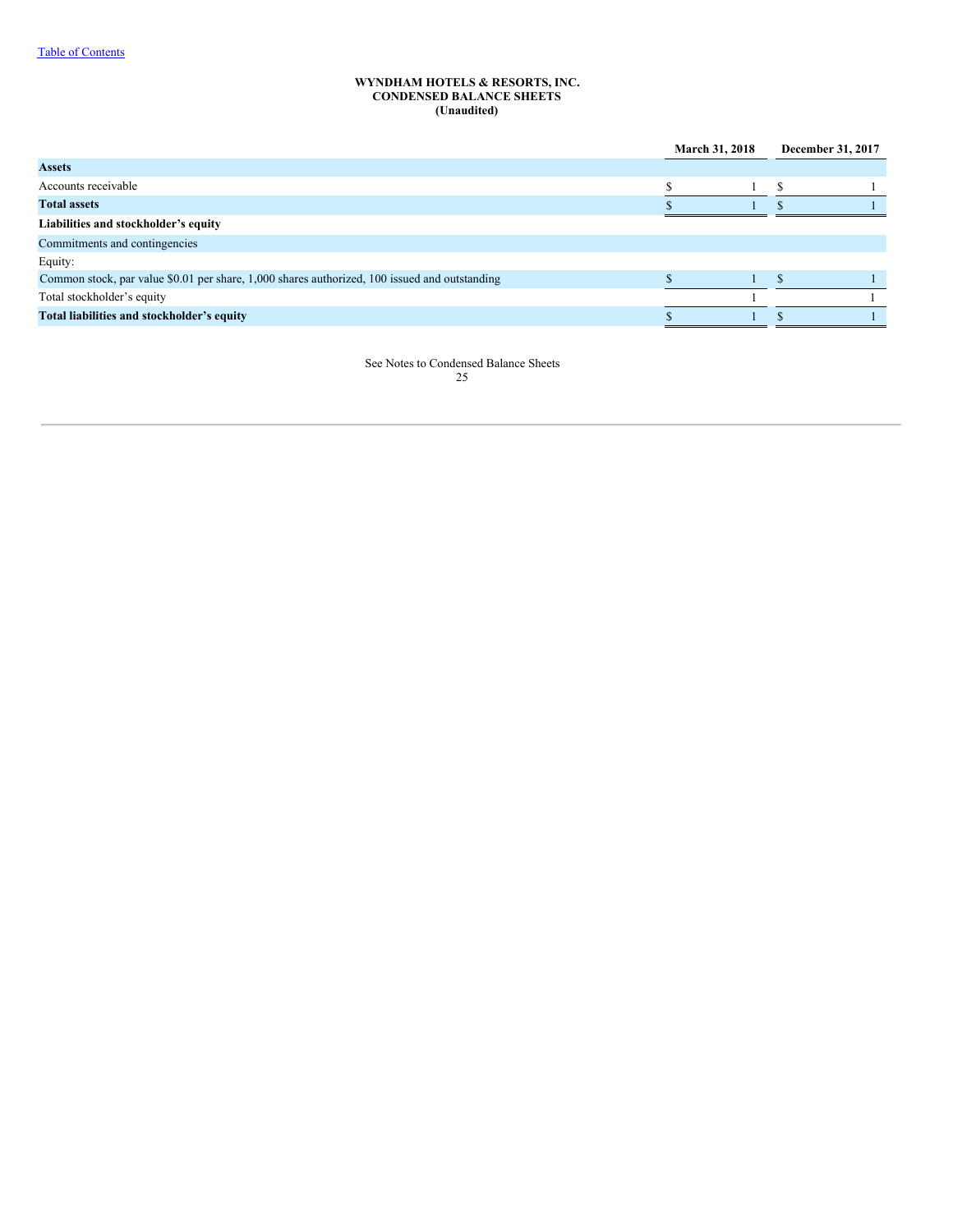#### **WYNDHAM HOTELS & RESORTS, INC. CONDENSED BALANCE SHEETS (Unaudited)**

<span id="page-26-0"></span>

|                                                                                               | March 31, 2018 |  | December 31, 2017 |  |
|-----------------------------------------------------------------------------------------------|----------------|--|-------------------|--|
| <b>Assets</b>                                                                                 |                |  |                   |  |
| Accounts receivable                                                                           |                |  |                   |  |
| <b>Total assets</b>                                                                           |                |  |                   |  |
| Liabilities and stockholder's equity                                                          |                |  |                   |  |
| Commitments and contingencies                                                                 |                |  |                   |  |
| Equity:                                                                                       |                |  |                   |  |
| Common stock, par value \$0.01 per share, 1,000 shares authorized, 100 issued and outstanding |                |  |                   |  |
| Total stockholder's equity                                                                    |                |  |                   |  |
| Total liabilities and stockholder's equity                                                    |                |  |                   |  |

See Notes to Condensed Balance Sheets 25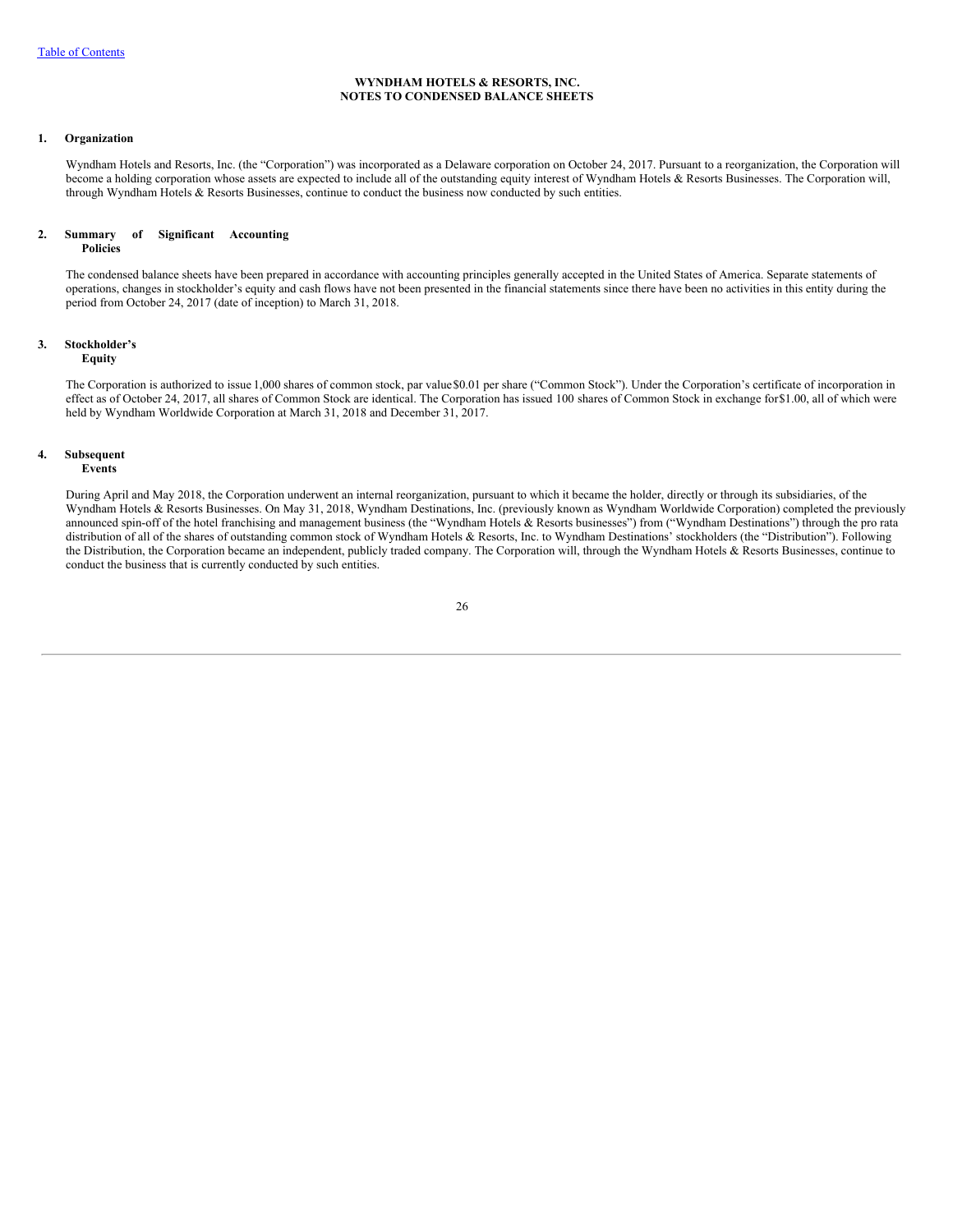#### **WYNDHAM HOTELS & RESORTS, INC. NOTES TO CONDENSED BALANCE SHEETS**

#### <span id="page-27-0"></span>**1. Organization**

Wyndham Hotels and Resorts, Inc. (the "Corporation") was incorporated as a Delaware corporation on October 24, 2017. Pursuant to a reorganization, the Corporation will become a holding corporation whose assets are expected to include all of the outstanding equity interest of Wyndham Hotels & Resorts Businesses. The Corporation will, through Wyndham Hotels & Resorts Businesses, continue to conduct the business now conducted by such entities.

#### **2. Summary of Significant Accounting**

#### **Policies**

The condensed balance sheets have been prepared in accordance with accounting principles generally accepted in the United States of America. Separate statements of operations, changes in stockholder's equity and cash flows have not been presented in the financial statements since there have been no activities in this entity during the period from October 24, 2017 (date of inception) to March 31, 2018.

# **3. Stockholder's**

#### **Equity**

The Corporation is authorized to issue 1,000 shares of common stock, par value \$0.01 per share ("Common Stock"). Under the Corporation's certificate of incorporation in effect as of October 24, 2017, all shares of Common Stock are identical. The Corporation has issued 100 shares of Common Stock in exchange for\$1.00, all of which were held by Wyndham Worldwide Corporation at March 31, 2018 and December 31, 2017.

## **4. Subsequent**

## **Events**

During April and May 2018, the Corporation underwent an internal reorganization, pursuant to which it became the holder, directly or through its subsidiaries, of the Wyndham Hotels & Resorts Businesses. On May 31, 2018, Wyndham Destinations, Inc. (previously known as Wyndham Worldwide Corporation) completed the previously announced spin-off of the hotel franchising and management business (the "Wyndham Hotels & Resorts businesses") from ("Wyndham Destinations") through the pro rata distribution of all of the shares of outstanding common stock of Wyndham Hotels & Resorts, Inc. to Wyndham Destinations' stockholders (the "Distribution"). Following the Distribution, the Corporation became an independent, publicly traded company. The Corporation will, through the Wyndham Hotels & Resorts Businesses, continue to conduct the business that is currently conducted by such entities.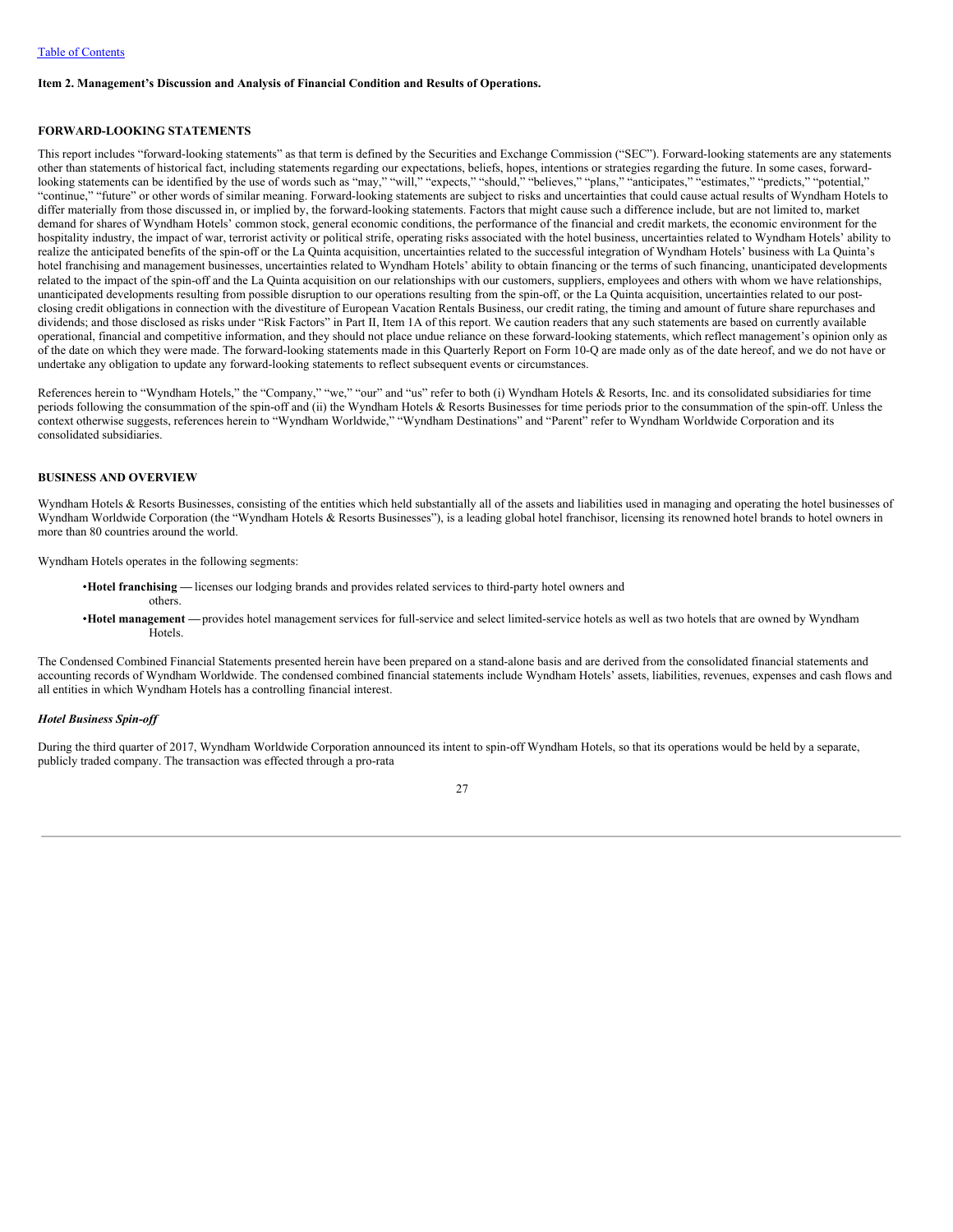## <span id="page-28-0"></span>**Item 2. Management's Discussion and Analysis of Financial Condition and Results of Operations.**

#### <span id="page-28-1"></span>**FORWARD-LOOKING STATEMENTS**

This report includes "forward-looking statements" as that term is defined by the Securities and Exchange Commission ("SEC"). Forward-looking statements are any statements other than statements of historical fact, including statements regarding our expectations, beliefs, hopes, intentions or strategies regarding the future. In some cases, forwardlooking statements can be identified by the use of words such as "may," "will," "expects," "hould," "believes," "plans," "anticipates," "estimates," "predicts," "potential," "continue," "future" or other words of similar meaning. Forward-looking statements are subject to risks and uncertainties that could cause actual results of Wyndham Hotels to differ materially from those discussed in, or implied by, the forward-looking statements. Factors that might cause such a difference include, but are not limited to, market demand for shares of Wyndham Hotels' common stock, general economic conditions, the performance of the financial and credit markets, the economic environment for the hospitality industry, the impact of war, terrorist activity or political strife, operating risks associated with the hotel business, uncertainties related to Wyndham Hotels' ability to realize the anticipated benefits of the spin-off or the La Quinta acquisition, uncertainties related to the successful integration of Wyndham Hotels' business with La Quinta's hotel franchising and management businesses, uncertainties related to Wyndham Hotels' ability to obtain financing or the terms of such financing, unanticipated developments related to the impact of the spin-off and the La Quinta acquisition on our relationships with our customers, suppliers, employees and others with whom we have relationships, unanticipated developments resulting from possible disruption to our operations resulting from the spin-off, or the La Quinta acquisition, uncertainties related to our postclosing credit obligations in connection with the divestiture of European Vacation Rentals Business, our credit rating, the timing and amount of future share repurchases and dividends; and those disclosed as risks under "Risk Factors" in Part II, Item 1A of this report. We caution readers that any such statements are based on currently available operational, financial and competitive information, and they should not place undue reliance on these forward-looking statements, which reflect management's opinion only as of the date on which they were made. The forward-looking statements made in this Quarterly Report on Form 10-Q are made only as of the date hereof, and we do not have or undertake any obligation to update any forward-looking statements to reflect subsequent events or circumstances.

References herein to "Wyndham Hotels," the "Company," "we," "our" and "us" refer to both (i) Wyndham Hotels & Resorts, Inc. and its consolidated subsidiaries for time periods following the consummation of the spin-off and (ii) the Wyndham Hotels & Resorts Businesses for time periods prior to the consummation of the spin-off. Unless the context otherwise suggests, references herein to "Wyndham Worldwide," "Wyndham Destinations" and "Parent" refer to Wyndham Worldwide Corporation and its consolidated subsidiaries.

## **BUSINESS AND OVERVIEW**

Wyndham Hotels & Resorts Businesses, consisting of the entities which held substantially all of the assets and liabilities used in managing and operating the hotel businesses of Wyndham Worldwide Corporation (the "Wyndham Hotels & Resorts Businesses"), is a leading global hotel franchisor, licensing its renowned hotel brands to hotel owners in more than 80 countries around the world.

Wyndham Hotels operates in the following segments:

Hotels.

- •**Hotel franchising —** licenses our lodging brands and provides related services to third-party hotel owners and others. •**Hotel management —**provides hotel management services for full-service and select limited-service hotels as well as two hotels that are owned by Wyndham
- The Condensed Combined Financial Statements presented herein have been prepared on a stand-alone basis and are derived from the consolidated financial statements and accounting records of Wyndham Worldwide. The condensed combined financial statements include Wyndham Hotels' assets, liabilities, revenues, expenses and cash flows and all entities in which Wyndham Hotels has a controlling financial interest.

#### *Hotel Business Spin-of*

During the third quarter of 2017, Wyndham Worldwide Corporation announced its intent to spin-off Wyndham Hotels, so that its operations would be held by a separate, publicly traded company. The transaction was effected through a pro-rata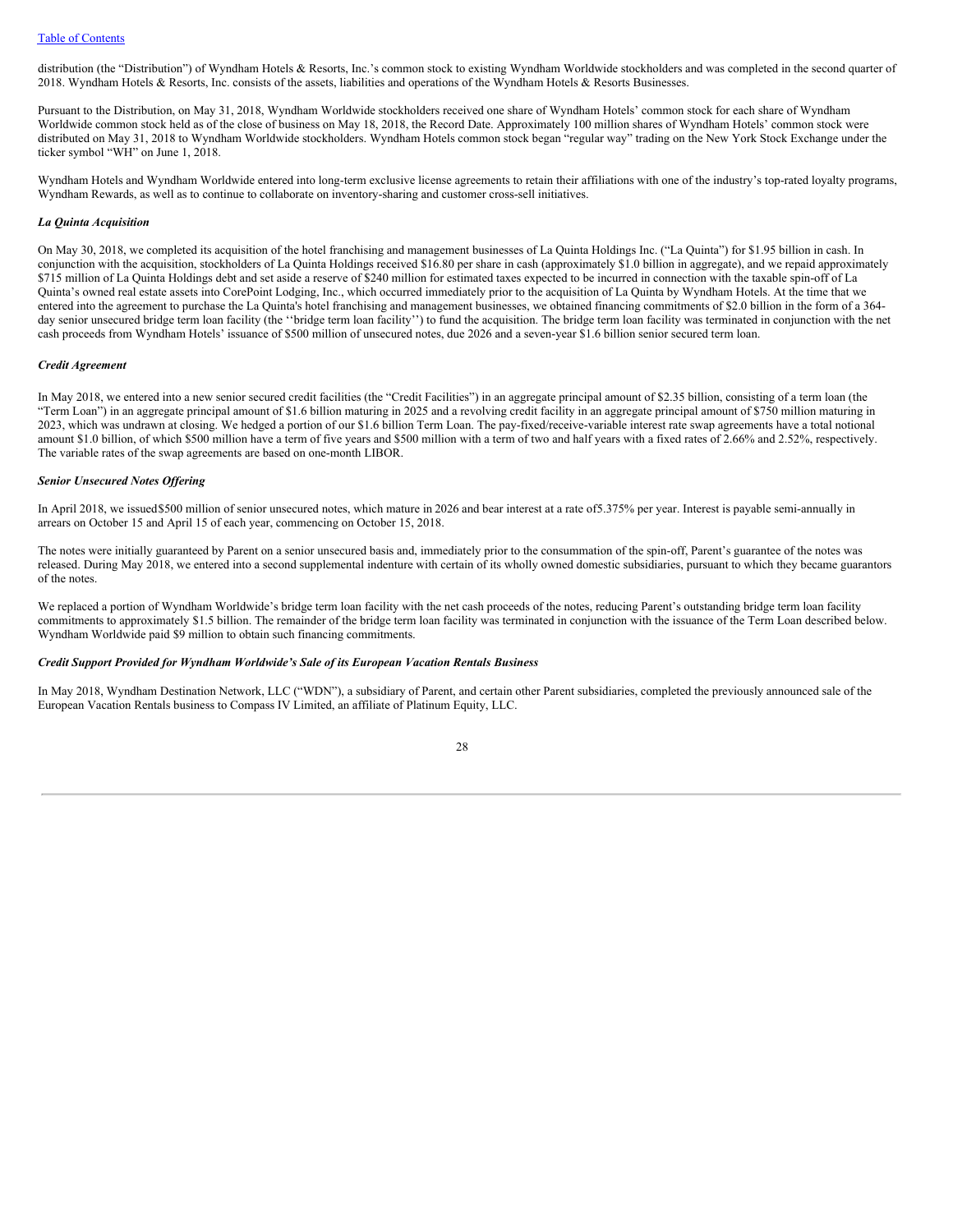## Table of Contents

distribution (the "Distribution") of Wyndham Hotels & Resorts, Inc.'s common stock to existing Wyndham Worldwide stockholders and was completed in the second quarter of 2018. Wyndham Hotels & Resorts, Inc. consists of the assets, liabilities and operations of the Wyndham Hotels & Resorts Businesses.

Pursuant to the Distribution, on May 31, 2018, Wyndham Worldwide stockholders received one share of Wyndham Hotels' common stock for each share of Wyndham Worldwide common stock held as of the close of business on May 18, 2018, the Record Date. Approximately 100 million shares of Wyndham Hotels' common stock were distributed on May 31, 2018 to Wyndham Worldwide stockholders. Wyndham Hotels common stock began "regular way" trading on the New York Stock Exchange under the ticker symbol "WH" on June 1, 2018.

Wyndham Hotels and Wyndham Worldwide entered into long-term exclusive license agreements to retain their affiliations with one of the industry's top-rated loyalty programs, Wyndham Rewards, as well as to continue to collaborate on inventory-sharing and customer cross-sell initiatives.

#### *La Quinta Acquisition*

On May 30, 2018, we completed its acquisition of the hotel franchising and management businesses of La Quinta Holdings Inc. ("La Quinta") for \$1.95 billion in cash. In conjunction with the acquisition, stockholders of La Quinta Holdings received \$16.80 per share in cash (approximately \$1.0 billion in aggregate), and we repaid approximately \$715 million of La Quinta Holdings debt and set aside a reserve of \$240 million for estimated taxes expected to be incurred in connection with the taxable spin-off of La Quinta's owned real estate assets into CorePoint Lodging, Inc., which occurred immediately prior to the acquisition of La Quinta by Wyndham Hotels. At the time that we entered into the agreement to purchase the La Quinta's hotel franchising and management businesses, we obtained financing commitments of \$2.0 billion in the form of a 364 day senior unsecured bridge term loan facility (the "bridge term loan facility") to fund the acquisition. The bridge term loan facility was terminated in conjunction with the net cash proceeds from Wyndham Hotels' issuance of \$500 million of unsecured notes, due 2026 and a seven-year \$1.6 billion senior secured term loan.

#### *Credit Agreement*

In May 2018, we entered into a new senior secured credit facilities (the "Credit Facilities") in an aggregate principal amount of \$2.35 billion, consisting of a term loan (the "Term Loan") in an aggregate principal amount of \$1.6 billion maturing in 2025 and a revolving credit facility in an aggregate principal amount of \$750 million maturing in 2023, which was undrawn at closing. We hedged a portion of our \$1.6 billion Term Loan. The pay-fixed/receive-variable interest rate swap agreements have a total notional amount \$1.0 billion, of which \$500 million have a term of five years and \$500 million with a term of two and half years with a fixed rates of 2.66% and 2.52%, respectively. The variable rates of the swap agreements are based on one-month LIBOR.

#### *Senior Unsecured Notes Of ering*

In April 2018, we issued\$500 million of senior unsecured notes, which mature in 2026 and bear interest at a rate of5.375% per year. Interest is payable semi-annually in arrears on October 15 and April 15 of each year, commencing on October 15, 2018.

The notes were initially guaranteed by Parent on a senior unsecured basis and, immediately prior to the consummation of the spin-off, Parent's guarantee of the notes was released. During May 2018, we entered into a second supplemental indenture with certain of its wholly owned domestic subsidiaries, pursuant to which they became guarantors of the notes.

We replaced a portion of Wyndham Worldwide's bridge term loan facility with the net cash proceeds of the notes, reducing Parent's outstanding bridge term loan facility commitments to approximately \$1.5 billion. The remainder of the bridge term loan facility was terminated in conjunction with the issuance of the Term Loan described below. Wyndham Worldwide paid \$9 million to obtain such financing commitments.

#### *Credit Support Provided for Wyndham Worldwide's Sale of its European Vacation Rentals Business*

In May 2018, Wyndham Destination Network, LLC ("WDN"), a subsidiary of Parent, and certain other Parent subsidiaries, completed the previously announced sale of the European Vacation Rentals business to Compass IV Limited, an affiliate of Platinum Equity, LLC.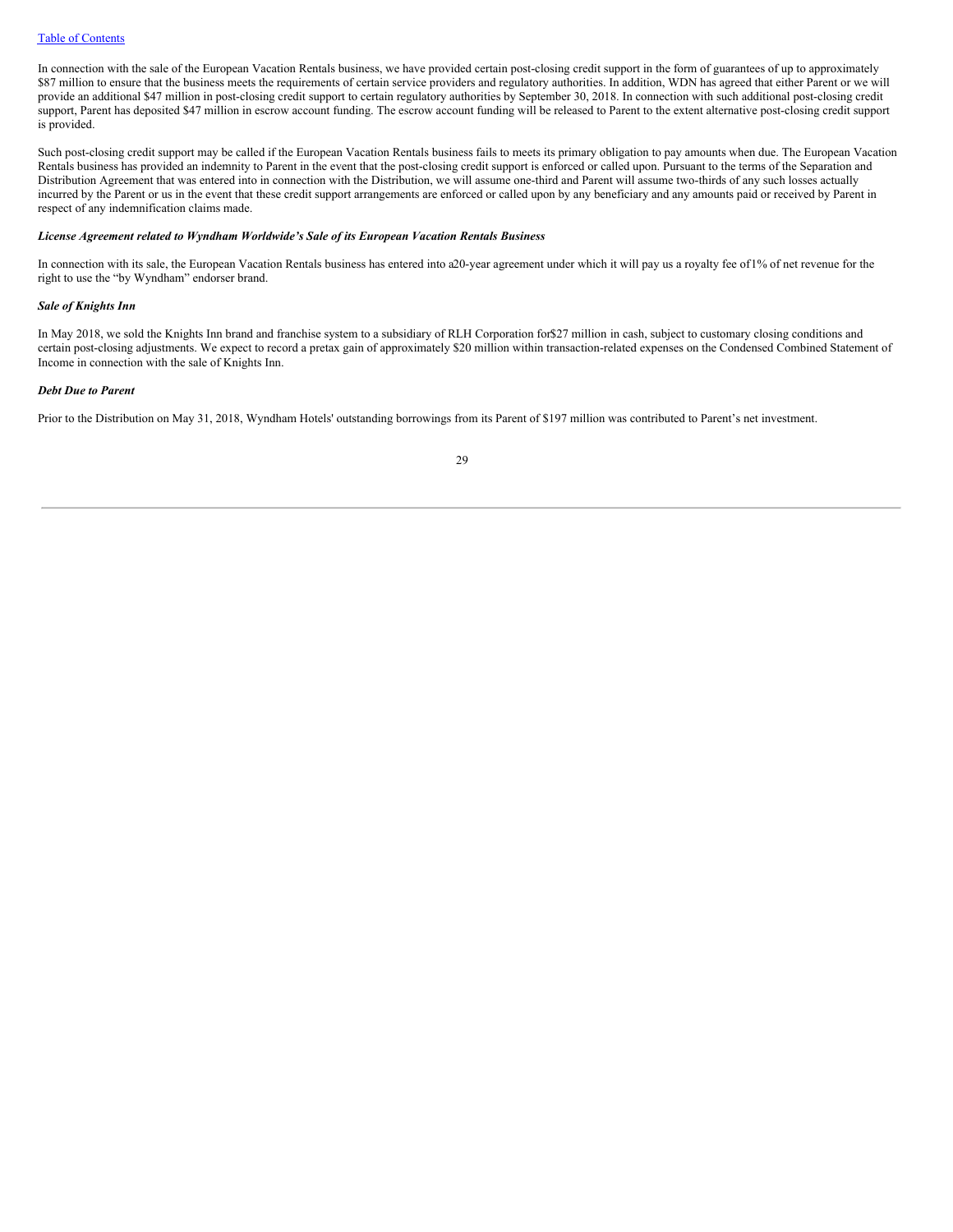## Table of Contents

In connection with the sale of the European Vacation Rentals business, we have provided certain post-closing credit support in the form of guarantees of up to approximately \$87 million to ensure that the business meets the requirements of certain service providers and regulatory authorities. In addition, WDN has agreed that either Parent or we will provide an additional \$47 million in post-closing credit support to certain regulatory authorities by September 30, 2018. In connection with such additional post-closing credit support, Parent has deposited \$47 million in escrow account funding. The escrow account funding will be released to Parent to the extent alternative post-closing credit support is provided.

Such post-closing credit support may be called if the European Vacation Rentals business fails to meets its primary obligation to pay amounts when due. The European Vacation Rentals business has provided an indemnity to Parent in the event that the post-closing credit support is enforced or called upon. Pursuant to the terms of the Separation and Distribution Agreement that was entered into in connection with the Distribution, we will assume one-third and Parent will assume two-thirds of any such losses actually incurred by the Parent or us in the event that these credit support arrangements are enforced or called upon by any beneficiary and any amounts paid or received by Parent in respect of any indemnification claims made.

#### *License Agreement related to Wyndham Worldwide's Sale of its European Vacation Rentals Business*

In connection with its sale, the European Vacation Rentals business has entered into a20-year agreement under which it will pay us a royalty fee of1% of net revenue for the right to use the "by Wyndham" endorser brand.

## *Sale of Knights Inn*

In May 2018, we sold the Knights Inn brand and franchise system to a subsidiary of RLH Corporation for\$27 million in cash, subject to customary closing conditions and certain post-closing adjustments. We expect to record a pretax gain of approximately \$20 million within transaction-related expenses on the Condensed Combined Statement of Income in connection with the sale of Knights Inn.

## *Debt Due to Parent*

Prior to the Distribution on May 31, 2018, Wyndham Hotels' outstanding borrowings from its Parent of \$197 million was contributed to Parent's net investment.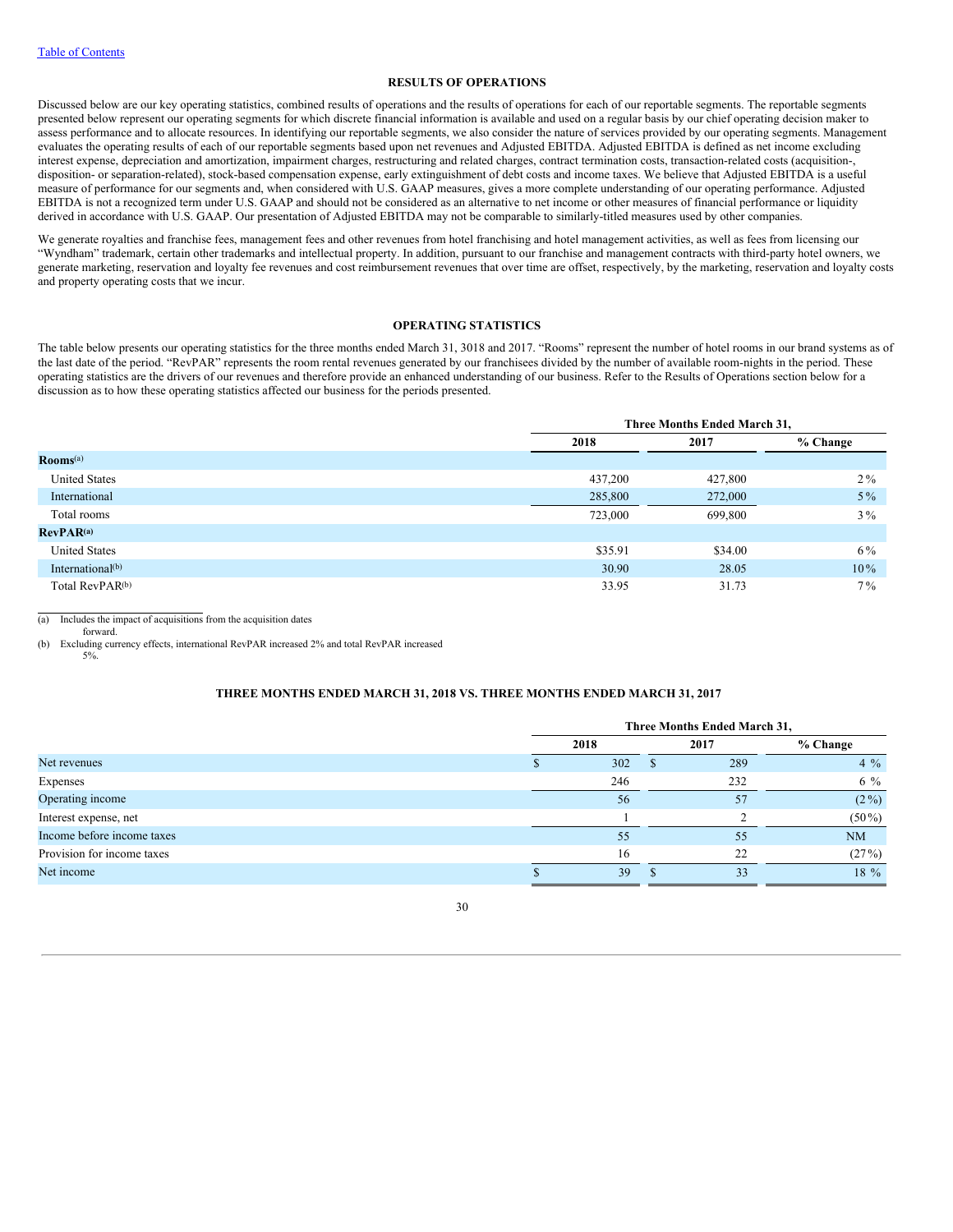## **RESULTS OF OPERATIONS**

Discussed below are our key operating statistics, combined results of operations and the results of operations for each of our reportable segments. The reportable segments presented below represent our operating segments for which discrete financial information is available and used on a regular basis by our chief operating decision maker to assess performance and to allocate resources. In identifying our reportable segments, we also consider the nature of services provided by our operating segments. Management evaluates the operating results of each of our reportable segments based upon net revenues and Adjusted EBITDA. Adjusted EBITDA is defined as net income excluding interest expense, depreciation and amortization, impairment charges, restructuring and related charges, contract termination costs, transaction-related costs (acquisition-, disposition- or separation-related), stock-based compensation expense, early extinguishment of debt costs and income taxes. We believe that Adjusted EBITDA is a useful measure of performance for our segments and, when considered with U.S. GAAP measures, gives a more complete understanding of our operating performance. Adjusted EBITDA is not a recognized term under U.S. GAAP and should not be considered as an alternative to net income or other measures of financial performance or liquidity derived in accordance with U.S. GAAP. Our presentation of Adjusted EBITDA may not be comparable to similarly-titled measures used by other companies.

We generate royalties and franchise fees, management fees and other revenues from hotel franchising and hotel management activities, as well as fees from licensing our "Wyndham" trademark, certain other trademarks and intellectual property. In addition, pursuant to our franchise and management contracts with third-party hotel owners, we generate marketing, reservation and loyalty fee revenues and cost reimbursement revenues that over time are offset, respectively, by the marketing, reservation and loyalty costs and property operating costs that we incur.

## **OPERATING STATISTICS**

The table below presents our operating statistics for the three months ended March 31, 3018 and 2017. "Rooms" represent the number of hotel rooms in our brand systems as of the last date of the period. "RevPAR" represents the room rental revenues generated by our franchisees divided by the number of available room-nights in the period. These operating statistics are the drivers of our revenues and therefore provide an enhanced understanding of our business. Refer to the Results of Operations section below for a discussion as to how these operating statistics affected our business for the periods presented.

|                               | Three Months Ended March 31, |         |            |  |  |  |
|-------------------------------|------------------------------|---------|------------|--|--|--|
|                               | 2018                         | 2017    | $%$ Change |  |  |  |
| $\mathbf{Rooms}^{\text{(a)}}$ |                              |         |            |  |  |  |
| <b>United States</b>          | 437,200                      | 427,800 | $2\%$      |  |  |  |
| International                 | 285,800                      | 272,000 | $5\%$      |  |  |  |
| Total rooms                   | 723,000                      | 699,800 | $3\%$      |  |  |  |
| RevPAR <sup>(a)</sup>         |                              |         |            |  |  |  |
| <b>United States</b>          | \$35.91                      | \$34.00 | 6 %        |  |  |  |
| International <sup>(b)</sup>  | 30.90                        | 28.05   | $10\%$     |  |  |  |
| Total RevPAR <sup>(b)</sup>   | 33.95                        | 31.73   | $7\%$      |  |  |  |

(a) Includes the impact of acquisitions from the acquisition dates forward.

(b) Excluding currency effects, international RevPAR increased 2% and total RevPAR increased 5%.

## **THREE MONTHS ENDED MARCH 31, 2018 VS. THREE MONTHS ENDED MARCH 31, 2017**

|                            | Three Months Ended March 31, |     |    |      |            |  |  |  |
|----------------------------|------------------------------|-----|----|------|------------|--|--|--|
|                            | 2018                         |     |    | 2017 | $%$ Change |  |  |  |
| Net revenues               |                              | 302 | -S | 289  | $4\%$      |  |  |  |
| Expenses                   |                              | 246 |    | 232  | $6\%$      |  |  |  |
| Operating income           |                              | 56  |    | 57   | $(2\%)$    |  |  |  |
| Interest expense, net      |                              |     |    |      | $(50\%)$   |  |  |  |
| Income before income taxes |                              | 55  |    | 55   | <b>NM</b>  |  |  |  |
| Provision for income taxes |                              | 16  |    | 22   | (27%)      |  |  |  |
| Net income                 |                              | 39  |    | 33   | 18 %       |  |  |  |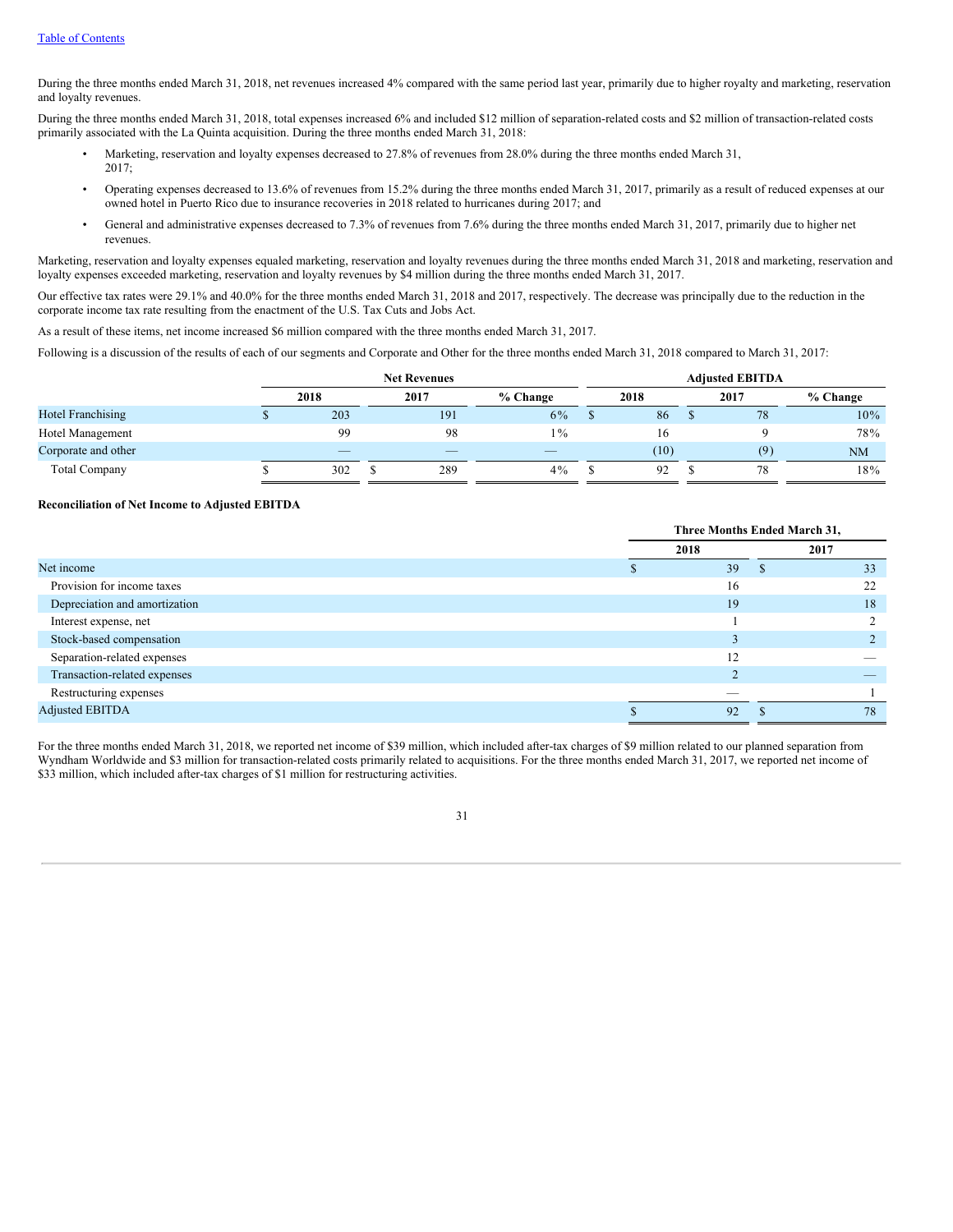During the three months ended March 31, 2018, net revenues increased 4% compared with the same period last year, primarily due to higher royalty and marketing, reservation and loyalty revenues.

During the three months ended March 31, 2018, total expenses increased 6% and included \$12 million of separation-related costs and \$2 million of transaction-related costs primarily associated with the La Quinta acquisition. During the three months ended March 31, 2018:

- Marketing, reservation and loyalty expenses decreased to 27.8% of revenues from 28.0% during the three months ended March 31, 2017;
- Operating expenses decreased to 13.6% of revenues from 15.2% during the three months ended March 31, 2017, primarily as a result of reduced expenses at our owned hotel in Puerto Rico due to insurance recoveries in 2018 related to hurricanes during 2017; and
- General and administrative expenses decreased to 7.3% of revenues from 7.6% during the three months ended March 31, 2017, primarily due to higher net revenues.

Marketing, reservation and loyalty expenses equaled marketing, reservation and loyalty revenues during the three months ended March 31, 2018 and marketing, reservation and loyalty expenses exceeded marketing, reservation and loyalty revenues by \$4 million during the three months ended March 31, 2017.

Our effective tax rates were 29.1% and 40.0% for the three months ended March 31, 2018 and 2017, respectively. The decrease was principally due to the reduction in the corporate income tax rate resulting from the enactment of the U.S. Tax Cuts and Jobs Act.

As a result of these items, net income increased \$6 million compared with the three months ended March 31, 2017.

Following is a discussion of the results of each of our segments and Corporate and Other for the three months ended March 31, 2018 compared to March 31, 2017:

|                          |                          | <b>Net Revenues</b>      |            | <b>Adjusted EBITDA</b> |      |  |      |           |
|--------------------------|--------------------------|--------------------------|------------|------------------------|------|--|------|-----------|
|                          | 2018                     | 2017                     | $%$ Change |                        | 2018 |  | 2017 | % Change  |
| <b>Hotel Franchising</b> | 203                      | 191                      | 6%         |                        | 86   |  | 78   | 10%       |
| Hotel Management         | 99                       | 98                       | $1\%$      |                        | 16   |  |      | 78%       |
| Corporate and other      | $\overline{\phantom{a}}$ | $\overline{\phantom{a}}$ | $-$        |                        | (10) |  | (9)  | <b>NM</b> |
| <b>Total Company</b>     | 302                      | 289                      | $4\%$      |                        | 92   |  | 78   | 18%       |

# **Reconciliation of Net Income to Adjusted EBITDA**

|                               | Three Months Ended March 31, |      |    |      |
|-------------------------------|------------------------------|------|----|------|
|                               |                              | 2018 |    | 2017 |
| Net income                    |                              | 39   | -S | 33   |
| Provision for income taxes    |                              | 16   |    | 22   |
| Depreciation and amortization |                              | 19   |    | 18   |
| Interest expense, net         |                              |      |    |      |
| Stock-based compensation      |                              |      |    |      |
| Separation-related expenses   |                              | 12   |    |      |
| Transaction-related expenses  |                              |      |    |      |
| Restructuring expenses        |                              |      |    |      |
| <b>Adjusted EBITDA</b>        |                              | 92   |    | 78   |

For the three months ended March 31, 2018, we reported net income of \$39 million, which included after-tax charges of \$9 million related to our planned separation from Wyndham Worldwide and \$3 million for transaction-related costs primarily related to acquisitions. For the three months ended March 31, 2017, we reported net income of \$33 million, which included after-tax charges of \$1 million for restructuring activities.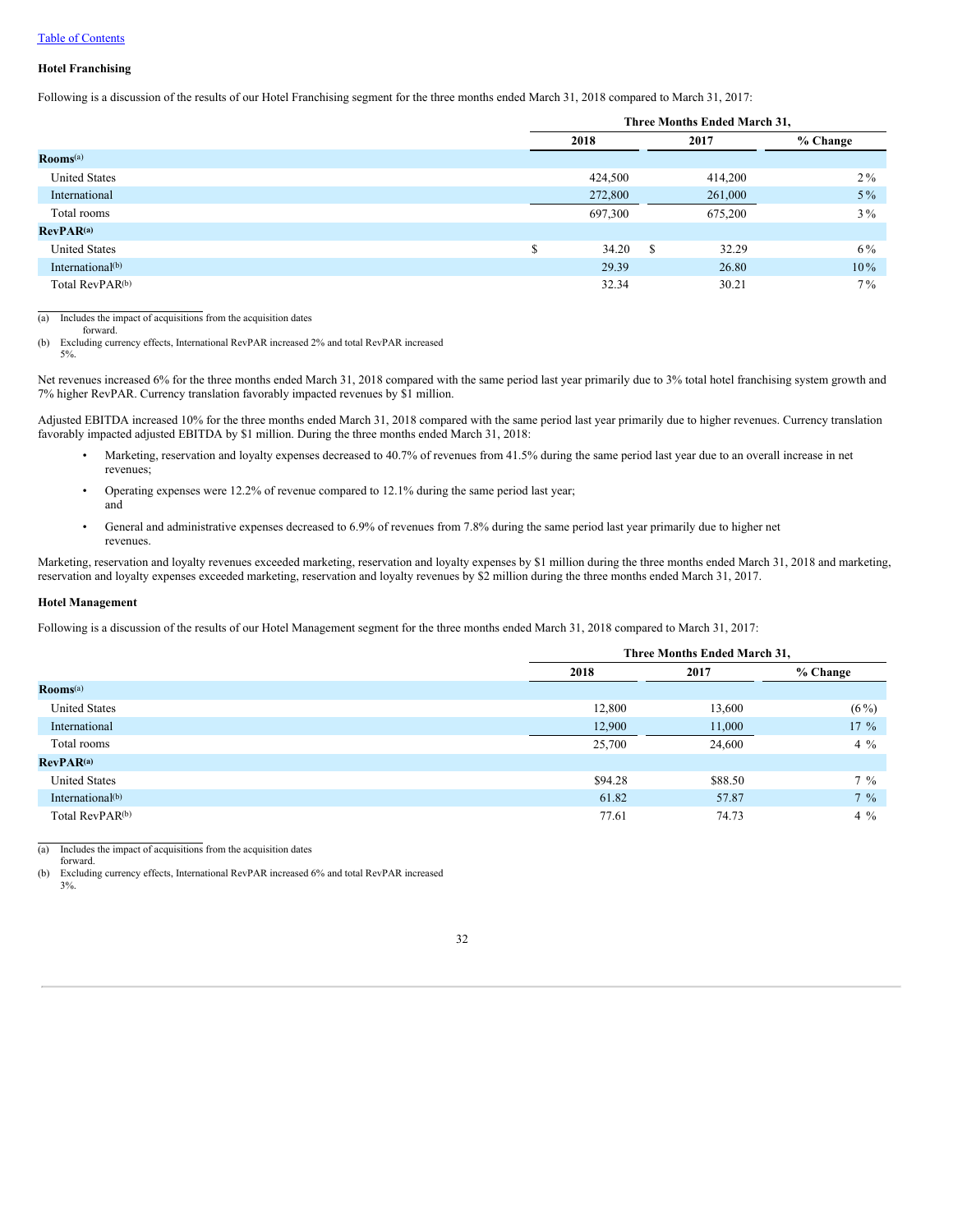## Table of Contents

#### **Hotel Franchising**

Following is a discussion of the results of our Hotel Franchising segment for the three months ended March 31, 2018 compared to March 31, 2017:

|                               |        | Three Months Ended March 31, |   |         |            |  |  |
|-------------------------------|--------|------------------------------|---|---------|------------|--|--|
|                               |        | 2018                         |   | 2017    | $%$ Change |  |  |
| $\mathbf{Rooms}^{\text{(a)}}$ |        |                              |   |         |            |  |  |
| <b>United States</b>          |        | 424,500                      |   | 414,200 | $2\%$      |  |  |
| International                 |        | 272,800                      |   | 261,000 | $5\%$      |  |  |
| Total rooms                   |        | 697,300                      |   | 675,200 | $3\%$      |  |  |
| <b>RevPAR<sup>(a)</sup></b>   |        |                              |   |         |            |  |  |
| <b>United States</b>          | ¢<br>ъ | 34.20                        | S | 32.29   | 6 %        |  |  |
| International $(b)$           |        | 29.39                        |   | 26.80   | $10\%$     |  |  |
| Total RevPAR <sup>(b)</sup>   |        | 32.34                        |   | 30.21   | $7\%$      |  |  |

(a) Includes the impact of acquisitions from the acquisition dates forward.

(b) Excluding currency effects, International RevPAR increased 2% and total RevPAR increased

5%.

Net revenues increased 6% for the three months ended March 31, 2018 compared with the same period last year primarily due to 3% total hotel franchising system growth and 7% higher RevPAR. Currency translation favorably impacted revenues by \$1 million.

Adjusted EBITDA increased 10% for the three months ended March 31, 2018 compared with the same period last year primarily due to higher revenues. Currency translation favorably impacted adjusted EBITDA by \$1 million. During the three months ended March 31, 2018:

- Marketing, reservation and loyalty expenses decreased to 40.7% of revenues from 41.5% during the same period last year due to an overall increase in net revenues;
- Operating expenses were 12.2% of revenue compared to 12.1% during the same period last year; and
- General and administrative expenses decreased to 6.9% of revenues from 7.8% during the same period last year primarily due to higher net revenues

Marketing, reservation and loyalty revenues exceeded marketing, reservation and loyalty expenses by \$1 million during the three months ended March 31, 2018 and marketing, reservation and loyalty expenses exceeded marketing, reservation and loyalty revenues by \$2 million during the three months ended March 31, 2017.

#### **Hotel Management**

Following is a discussion of the results of our Hotel Management segment for the three months ended March 31, 2018 compared to March 31, 2017:

|                               |         | Three Months Ended March 31, |          |  |  |  |
|-------------------------------|---------|------------------------------|----------|--|--|--|
|                               | 2018    | 2017                         | % Change |  |  |  |
| $\mathbf{Rooms}^{\text{(a)}}$ |         |                              |          |  |  |  |
| <b>United States</b>          | 12,800  | 13,600                       | $(6\%)$  |  |  |  |
| International                 | 12,900  | 11,000                       | $17\%$   |  |  |  |
| Total rooms                   | 25,700  | 24,600                       | $4\%$    |  |  |  |
| <b>RevPAR<sup>(a)</sup></b>   |         |                              |          |  |  |  |
| <b>United States</b>          | \$94.28 | \$88.50                      | $7\%$    |  |  |  |
| International <sup>(b)</sup>  | 61.82   | 57.87                        | $7\%$    |  |  |  |
| Total RevPAR <sup>(b)</sup>   | 77.61   | 74.73                        | $4\%$    |  |  |  |

(a) Includes the impact of acquisitions from the acquisition dates

(b) Excluding currency effects, International RevPAR increased 6% and total RevPAR increased 3%.

forward.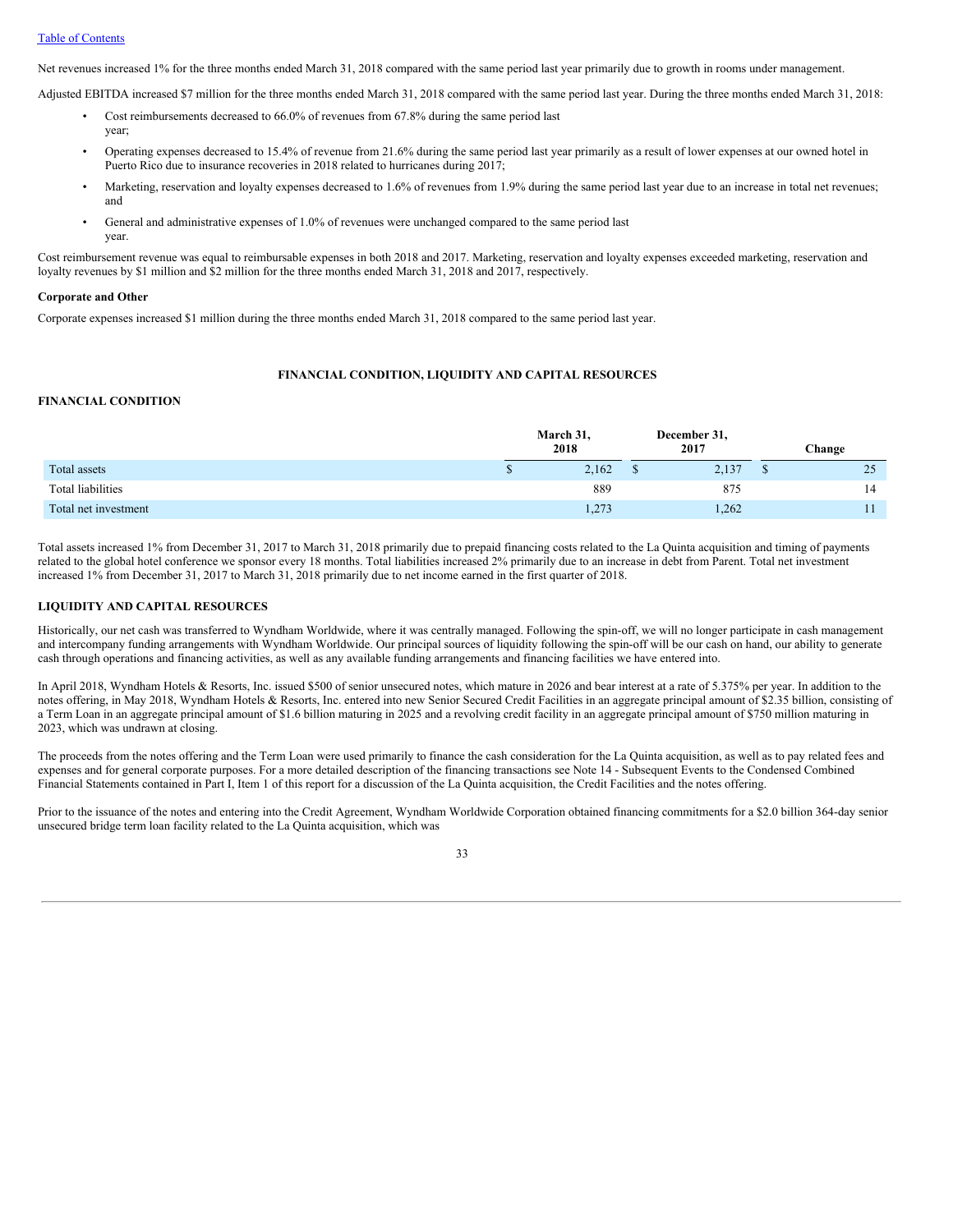Net revenues increased 1% for the three months ended March 31, 2018 compared with the same period last year primarily due to growth in rooms under management.

Adjusted EBITDA increased \$7 million for the three months ended March 31, 2018 compared with the same period last year. During the three months ended March 31, 2018:

- Cost reimbursements decreased to 66.0% of revenues from 67.8% during the same period last year;
- Operating expenses decreased to 15.4% of revenue from 21.6% during the same period last year primarily as a result of lower expenses at our owned hotel in Puerto Rico due to insurance recoveries in 2018 related to hurricanes during 2017;
- Marketing, reservation and loyalty expenses decreased to 1.6% of revenues from 1.9% during the same period last year due to an increase in total net revenues; and
- General and administrative expenses of 1.0% of revenues were unchanged compared to the same period last year.

Cost reimbursement revenue was equal to reimbursable expenses in both 2018 and 2017. Marketing, reservation and loyalty expenses exceeded marketing, reservation and loyalty revenues by \$1 million and \$2 million for the three months ended March 31, 2018 and 2017, respectively.

# **Corporate and Other**

Corporate expenses increased \$1 million during the three months ended March 31, 2018 compared to the same period last year.

# **FINANCIAL CONDITION, LIQUIDITY AND CAPITAL RESOURCES**

## **FINANCIAL CONDITION**

|                      | March 31,<br>2018 | December 31,<br>2017 | Change  |
|----------------------|-------------------|----------------------|---------|
| Total assets         | 2,162<br>۰υ       | 2,137                | 25<br>D |
| Total liabilities    | 889               | 875                  | 14      |
| Total net investment | 1,273             | 1,262                | 11      |

Total assets increased 1% from December 31, 2017 to March 31, 2018 primarily due to prepaid financing costs related to the La Quinta acquisition and timing of payments related to the global hotel conference we sponsor every 18 months. Total liabilities increased 2% primarily due to an increase in debt from Parent. Total net investment increased 1% from December 31, 2017 to March 31, 2018 primarily due to net income earned in the first quarter of 2018.

## **LIQUIDITY AND CAPITAL RESOURCES**

Historically, our net cash was transferred to Wyndham Worldwide, where it was centrally managed. Following the spin-off, we will no longer participate in cash management and intercompany funding arrangements with Wyndham Worldwide. Our principal sources of liquidity following the spin-off will be our cash on hand, our ability to generate cash through operations and financing activities, as well as any available funding arrangements and financing facilities we have entered into.

In April 2018, Wyndham Hotels & Resorts, Inc. issued \$500 of senior unsecured notes, which mature in 2026 and bear interest at a rate of 5.375% per year. In addition to the notes offering, in May 2018, Wyndham Hotels & Resorts, Inc. entered into new Senior Secured Credit Facilities in an aggregate principal amount of \$2.35 billion, consisting of a Term Loan in an aggregate principal amount of \$1.6 billion maturing in 2025 and a revolving credit facility in an aggregate principal amount of \$750 million maturing in 2023, which was undrawn at closing.

The proceeds from the notes offering and the Term Loan were used primarily to finance the cash consideration for the La Quinta acquisition, as well as to pay related fees and expenses and for general corporate purposes. For a more detailed description of the financing transactions see Note 14 - Subsequent Events to the Condensed Combined Financial Statements contained in Part I, Item 1 of this report for a discussion of the La Quinta acquisition, the Credit Facilities and the notes offering.

Prior to the issuance of the notes and entering into the Credit Agreement, Wyndham Worldwide Corporation obtained financing commitments for a \$2.0 billion 364-day senior unsecured bridge term loan facility related to the La Quinta acquisition, which was

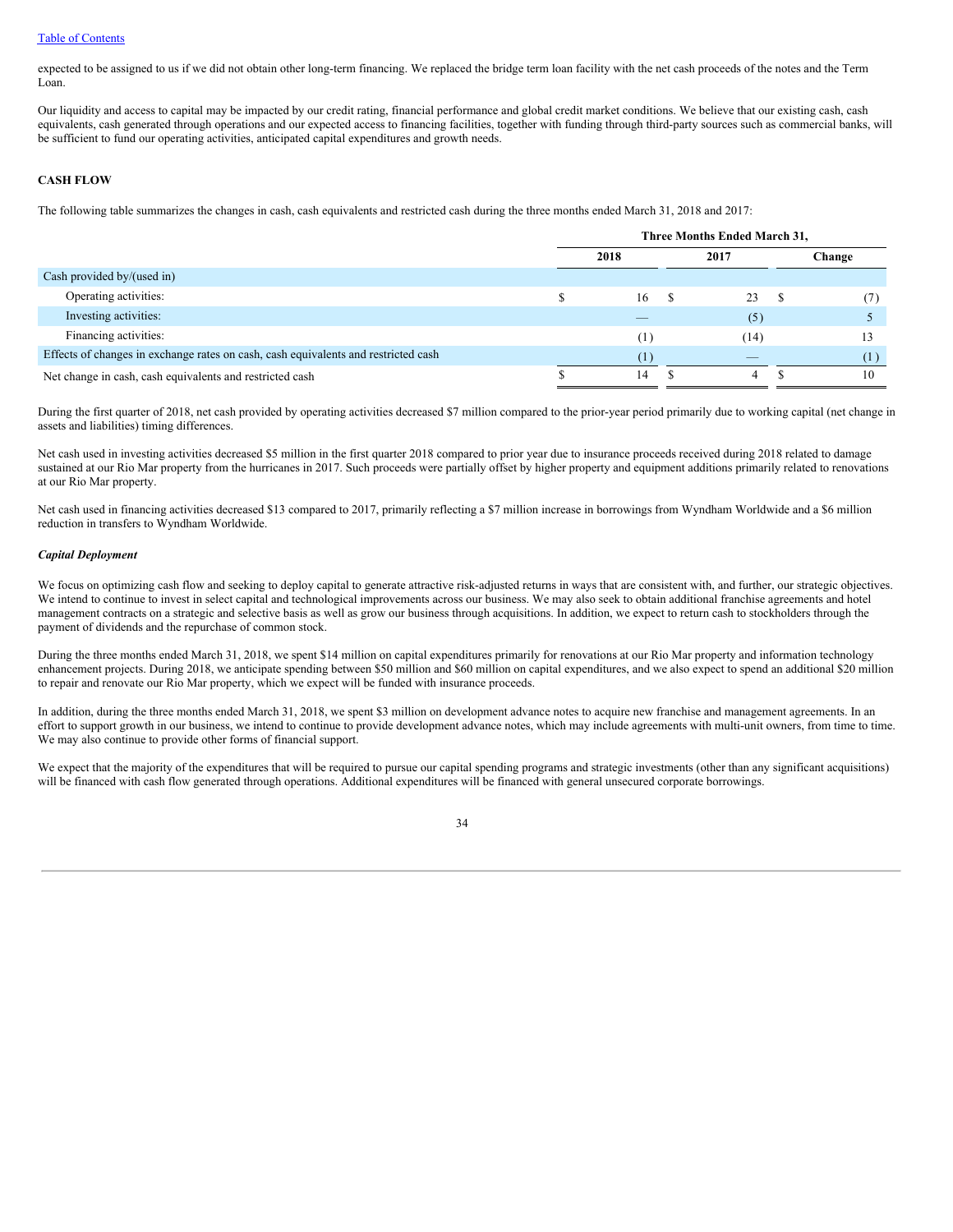expected to be assigned to us if we did not obtain other long-term financing. We replaced the bridge term loan facility with the net cash proceeds of the notes and the Term Loan.

Our liquidity and access to capital may be impacted by our credit rating, financial performance and global credit market conditions. We believe that our existing cash, cash equivalents, cash generated through operations and our expected access to financing facilities, together with funding through third-party sources such as commercial banks, will be sufficient to fund our operating activities, anticipated capital expenditures and growth needs.

#### **CASH FLOW**

The following table summarizes the changes in cash, cash equivalents and restricted cash during the three months ended March 31, 2018 and 2017:

|                                                                                    | Three Months Ended March 31, |           |      |  |        |
|------------------------------------------------------------------------------------|------------------------------|-----------|------|--|--------|
|                                                                                    |                              | 2018      | 2017 |  | Change |
| Cash provided by/(used in)                                                         |                              |           |      |  |        |
| Operating activities:                                                              |                              | 16<br>- S | 23   |  |        |
| Investing activities:                                                              |                              |           | (5)  |  |        |
| Financing activities:                                                              |                              | (1)       | (14) |  |        |
| Effects of changes in exchange rates on cash, cash equivalents and restricted cash |                              | Ш         | _    |  |        |
| Net change in cash, cash equivalents and restricted cash                           |                              | ι4        |      |  | 6      |

During the first quarter of 2018, net cash provided by operating activities decreased \$7 million compared to the prior-year period primarily due to working capital (net change in assets and liabilities) timing differences.

Net cash used in investing activities decreased \$5 million in the first quarter 2018 compared to prior year due to insurance proceeds received during 2018 related to damage sustained at our Rio Mar property from the hurricanes in 2017. Such proceeds were partially offset by higher property and equipment additions primarily related to renovations at our Rio Mar property.

Net cash used in financing activities decreased \$13 compared to 2017, primarily reflecting a \$7 million increase in borrowings from Wyndham Worldwide and a \$6 million reduction in transfers to Wyndham Worldwide.

## *Capital Deployment*

We focus on optimizing cash flow and seeking to deploy capital to generate attractive risk-adjusted returns in ways that are consistent with, and further, our strategic objectives. We intend to continue to invest in select capital and technological improvements across our business. We may also seek to obtain additional franchise agreements and hotel management contracts on a strategic and selective basis as well as grow our business through acquisitions. In addition, we expect to return cash to stockholders through the payment of dividends and the repurchase of common stock.

During the three months ended March 31, 2018, we spent \$14 million on capital expenditures primarily for renovations at our Rio Mar property and information technology enhancement projects. During 2018, we anticipate spending between \$50 million and \$60 million on capital expenditures, and we also expect to spend an additional \$20 million to repair and renovate our Rio Mar property, which we expect will be funded with insurance proceeds.

In addition, during the three months ended March 31, 2018, we spent \$3 million on development advance notes to acquire new franchise and management agreements. In an effort to support growth in our business, we intend to continue to provide development advance notes, which may include agreements with multi-unit owners, from time to time. We may also continue to provide other forms of financial support.

We expect that the majority of the expenditures that will be required to pursue our capital spending programs and strategic investments (other than any significant acquisitions) will be financed with cash flow generated through operations. Additional expenditures will be financed with general unsecured corporate borrowings.

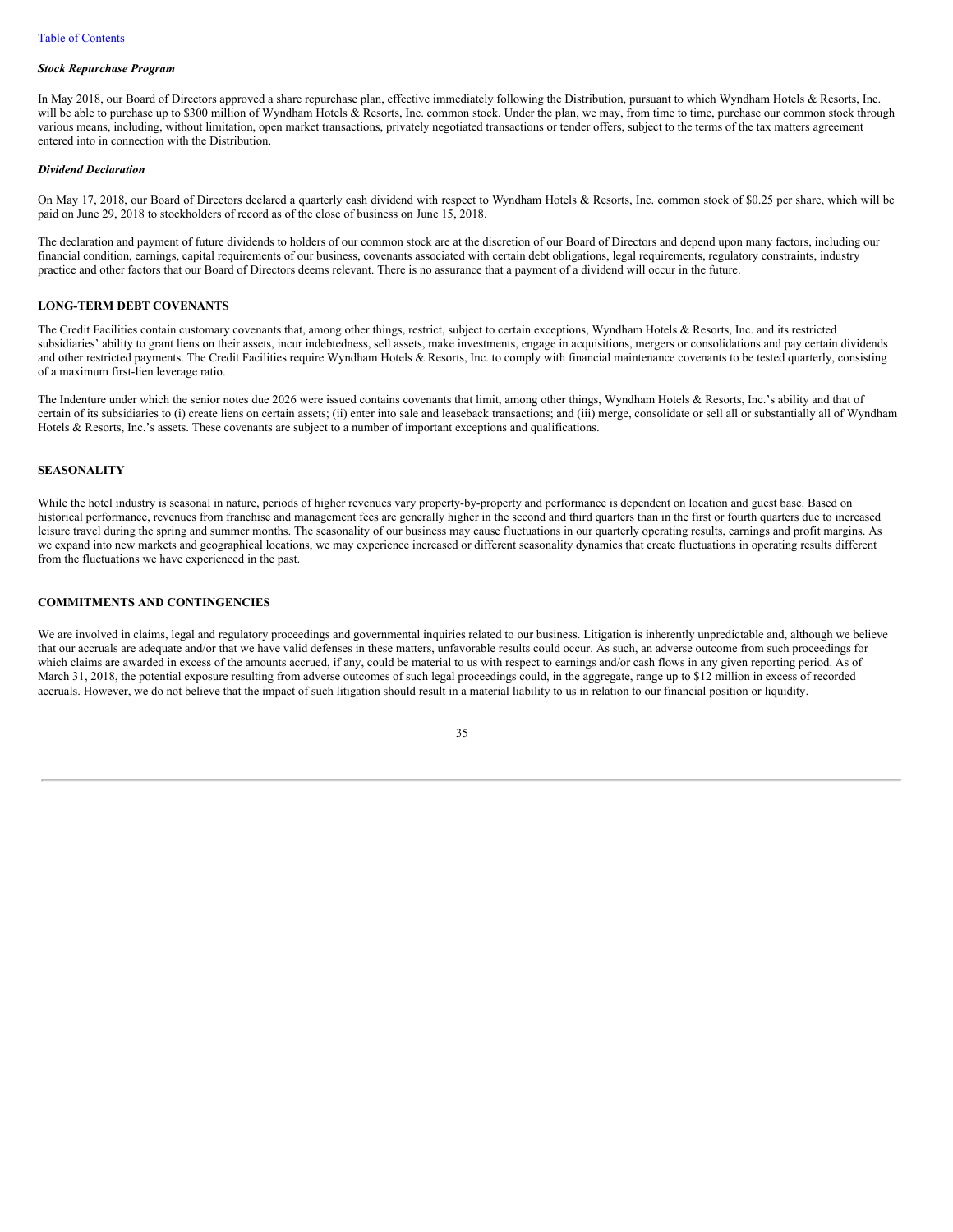#### *Stock Repurchase Program*

In May 2018, our Board of Directors approved a share repurchase plan, effective immediately following the Distribution, pursuant to which Wyndham Hotels & Resorts, Inc. will be able to purchase up to \$300 million of Wyndham Hotels & Resorts, Inc. common stock. Under the plan, we may, from time to time, purchase our common stock through various means, including, without limitation, open market transactions, privately negotiated transactions or tender offers, subject to the terms of the tax matters agreement entered into in connection with the Distribution.

#### *Dividend Declaration*

On May 17, 2018, our Board of Directors declared a quarterly cash dividend with respect to Wyndham Hotels & Resorts, Inc. common stock of \$0.25 per share, which will be paid on June 29, 2018 to stockholders of record as of the close of business on June 15, 2018.

The declaration and payment of future dividends to holders of our common stock are at the discretion of our Board of Directors and depend upon many factors, including our financial condition, earnings, capital requirements of our business, covenants associated with certain debt obligations, legal requirements, regulatory constraints, industry practice and other factors that our Board of Directors deems relevant. There is no assurance that a payment of a dividend will occur in the future.

# **LONG-TERM DEBT COVENANTS**

The Credit Facilities contain customary covenants that, among other things, restrict, subject to certain exceptions, Wyndham Hotels & Resorts, Inc. and its restricted subsidiaries' ability to grant liens on their assets, incur indebtedness, sell assets, make investments, engage in acquisitions, mergers or consolidations and pay certain dividends and other restricted payments. The Credit Facilities require Wyndham Hotels & Resorts, Inc. to comply with financial maintenance covenants to be tested quarterly, consisting of a maximum first-lien leverage ratio.

The Indenture under which the senior notes due 2026 were issued contains covenants that limit, among other things, Wyndham Hotels & Resorts, Inc.'s ability and that of certain of its subsidiaries to (i) create liens on certain assets; (ii) enter into sale and leaseback transactions; and (iii) merge, consolidate or sell all or substantially all of Wyndham Hotels & Resorts, Inc.'s assets. These covenants are subject to a number of important exceptions and qualifications.

## **SEASONALITY**

While the hotel industry is seasonal in nature, periods of higher revenues vary property-by-property and performance is dependent on location and guest base. Based on historical performance, revenues from franchise and management fees are generally higher in the second and third quarters than in the first or fourth quarters due to increased leisure travel during the spring and summer months. The seasonality of our business may cause fluctuations in our quarterly operating results, earnings and profit margins. As we expand into new markets and geographical locations, we may experience increased or different seasonality dynamics that create fluctuations in operating results different from the fluctuations we have experienced in the past.

#### **COMMITMENTS AND CONTINGENCIES**

We are involved in claims, legal and regulatory proceedings and governmental inquiries related to our business. Litigation is inherently unpredictable and, although we believe that our accruals are adequate and/or that we have valid defenses in these matters, unfavorable results could occur. As such, an adverse outcome from such proceedings for which claims are awarded in excess of the amounts accrued, if any, could be material to us with respect to earnings and/or cash flows in any given reporting period. As of March 31, 2018, the potential exposure resulting from adverse outcomes of such legal proceedings could, in the aggregate, range up to \$12 million in excess of recorded accruals. However, we do not believe that the impact of such litigation should result in a material liability to us in relation to our financial position or liquidity.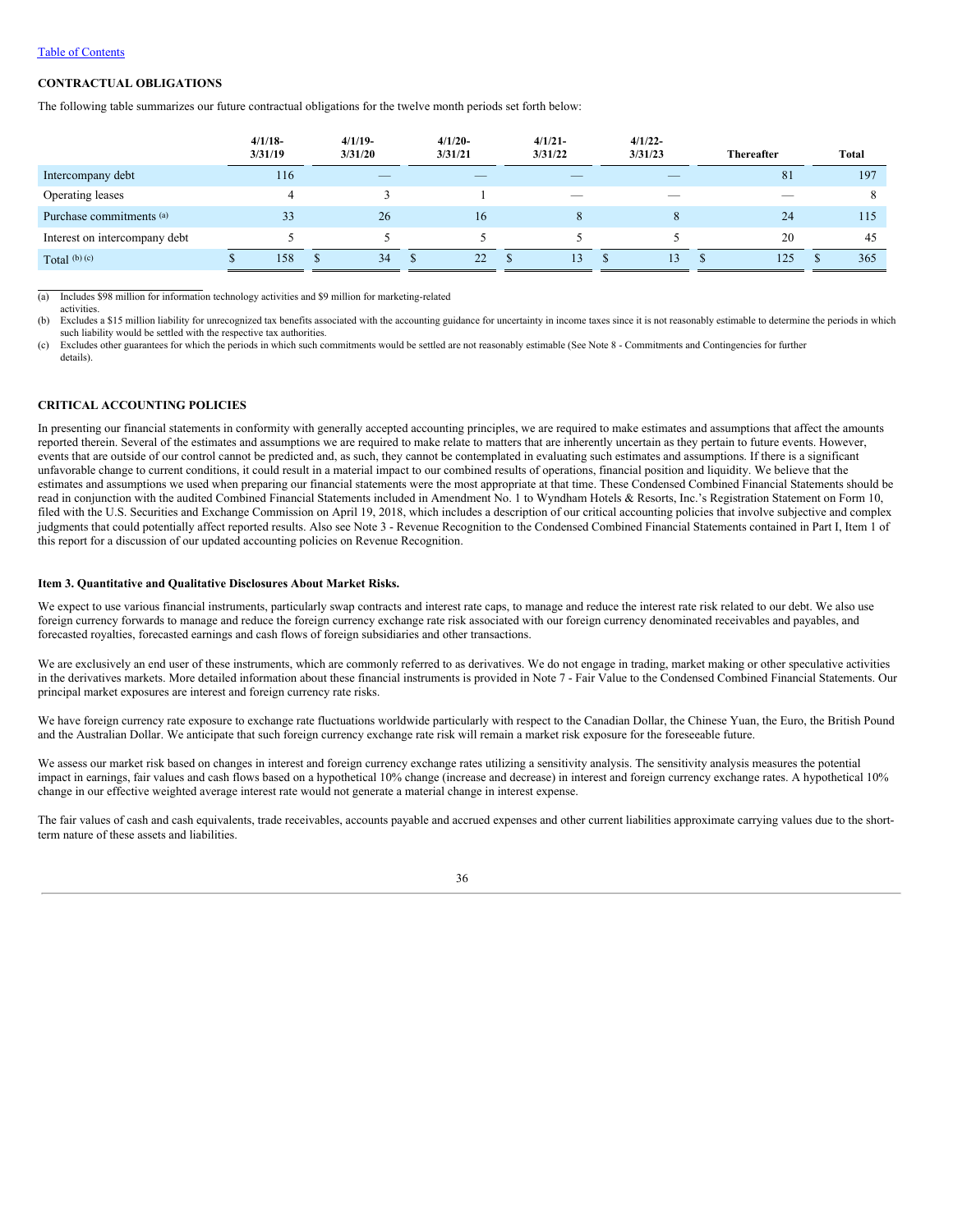activities.

# **CONTRACTUAL OBLIGATIONS**

The following table summarizes our future contractual obligations for the twelve month periods set forth below:

|                               | $4/1/18$ -<br>3/31/19 | $4/1/19$ -<br>3/31/20 |                          | $4/1/20-$<br>3/31/21 |    | $4/1/21-$<br>3/31/22     | $4/1/22-$<br>3/31/23 | <b>Thereafter</b>        | Total |
|-------------------------------|-----------------------|-----------------------|--------------------------|----------------------|----|--------------------------|----------------------|--------------------------|-------|
| Intercompany debt             | 116                   |                       | $\overline{\phantom{a}}$ |                      | _  | $\overline{\phantom{a}}$ | $-$                  | 81                       | 197   |
| Operating leases              | 4                     |                       |                          |                      |    | $\overline{\phantom{a}}$ | _                    | $\overline{\phantom{a}}$ | 8     |
| Purchase commitments (a)      | 33                    |                       | 26                       |                      | 16 | 8                        | $\delta$             | 24                       | 115   |
| Interest on intercompany debt |                       |                       |                          |                      |    |                          |                      | 20                       | 45    |
| Total $(b)$ (c)               | 158                   |                       | 34                       |                      | 22 | 13                       | 13                   | 125                      | 365   |

(a) Includes \$98 million for information technology activities and \$9 million for marketing-related

(b) Excludes a \$15 million liability for unrecognized tax benefits associated with the accounting guidance for uncertainty in income taxes since it is not reasonably estimable to determine the periods in which such liability would be settled with the respective tax authorities.

(c) Excludes other guarantees for which the periods in which such commitments would be settled are not reasonably estimable (See Note 8 - Commitments and Contingencies for further details).

## **CRITICAL ACCOUNTING POLICIES**

In presenting our financial statements in conformity with generally accepted accounting principles, we are required to make estimates and assumptions that affect the amounts reported therein. Several of the estimates and assumptions we are required to make relate to matters that are inherently uncertain as they pertain to future events. However, events that are outside of our control cannot be predicted and, as such, they cannot be contemplated in evaluating such estimates and assumptions. If there is a significant unfavorable change to current conditions, it could result in a material impact to our combined results of operations, financial position and liquidity. We believe that the estimates and assumptions we used when preparing our financial statements were the most appropriate at that time. These Condensed Combined Financial Statements should be read in conjunction with the audited Combined Financial Statements included in Amendment No. 1 to Wyndham Hotels & Resorts, Inc.'s Registration Statement on Form 10, filed with the U.S. Securities and Exchange Commission on April 19, 2018, which includes a description of our critical accounting policies that involve subjective and complex judgments that could potentially affect reported results. Also see Note 3 - Revenue Recognition to the Condensed Combined Financial Statements contained in Part I, Item 1 of this report for a discussion of our updated accounting policies on Revenue Recognition.

#### <span id="page-37-0"></span>**Item 3. Quantitative and Qualitative Disclosures About Market Risks.**

We expect to use various financial instruments, particularly swap contracts and interest rate caps, to manage and reduce the interest rate risk related to our debt. We also use foreign currency forwards to manage and reduce the foreign currency exchange rate risk associated with our foreign currency denominated receivables and payables, and forecasted royalties, forecasted earnings and cash flows of foreign subsidiaries and other transactions.

We are exclusively an end user of these instruments, which are commonly referred to as derivatives. We do not engage in trading, market making or other speculative activities in the derivatives markets. More detailed information about these financial instruments is provided in Note 7 - Fair Value to the Condensed Combined Financial Statements. Our principal market exposures are interest and foreign currency rate risks.

We have foreign currency rate exposure to exchange rate fluctuations worldwide particularly with respect to the Canadian Dollar, the Chinese Yuan, the Euro, the British Pound and the Australian Dollar. We anticipate that such foreign currency exchange rate risk will remain a market risk exposure for the foreseeable future.

We assess our market risk based on changes in interest and foreign currency exchange rates utilizing a sensitivity analysis. The sensitivity analysis measures the potential impact in earnings, fair values and cash flows based on a hypothetical 10% change (increase and decrease) in interest and foreign currency exchange rates. A hypothetical 10% change in our effective weighted average interest rate would not generate a material change in interest expense.

The fair values of cash and cash equivalents, trade receivables, accounts payable and accrued expenses and other current liabilities approximate carrying values due to the shortterm nature of these assets and liabilities.

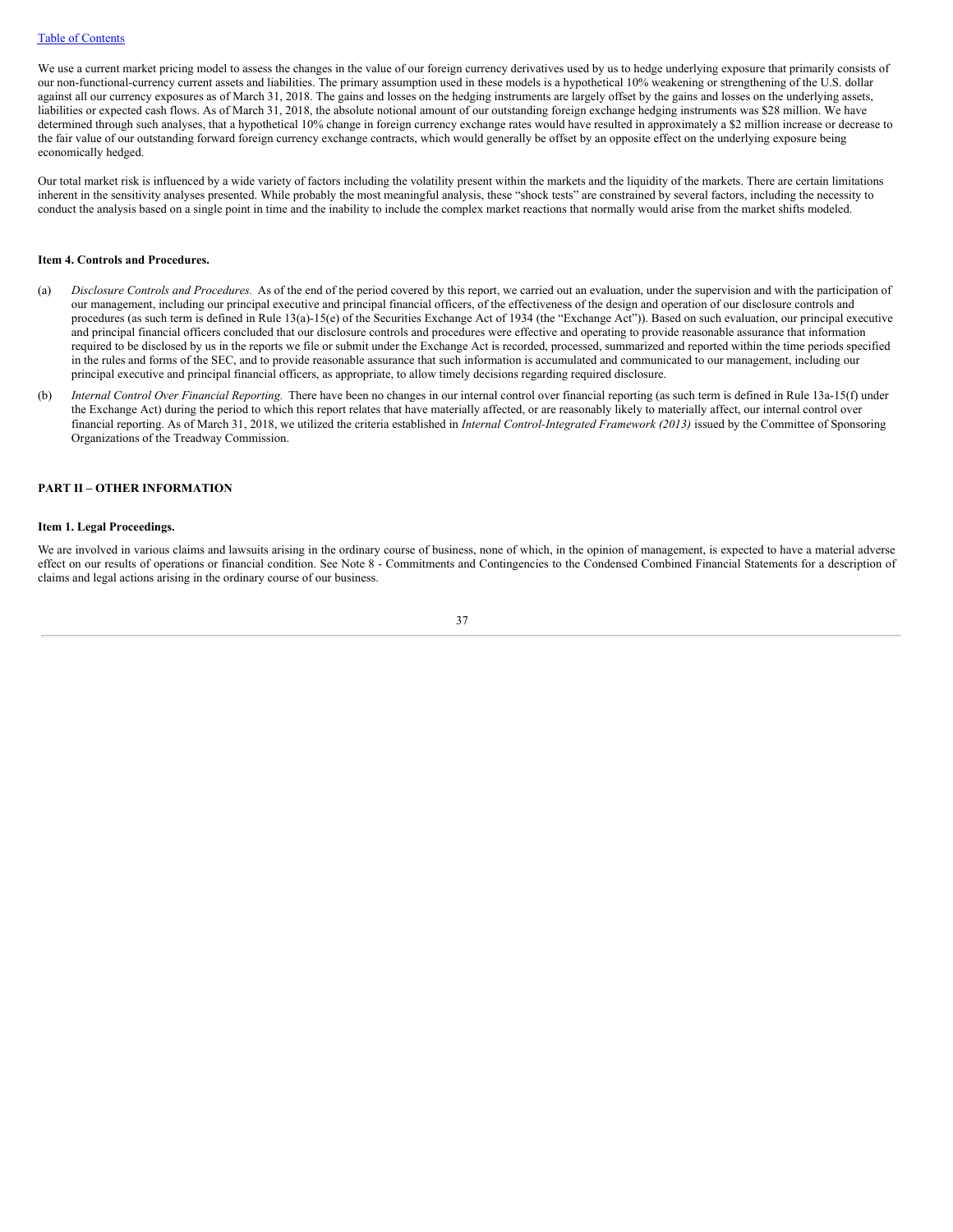We use a current market pricing model to assess the changes in the value of our foreign currency derivatives used by us to hedge underlying exposure that primarily consists of our non-functional-currency current assets and liabilities. The primary assumption used in these models is a hypothetical 10% weakening or strengthening of the U.S. dollar against all our currency exposures as of March 31, 2018. The gains and losses on the hedging instruments are largely offset by the gains and losses on the underlying assets, liabilities or expected cash flows. As of March 31, 2018, the absolute notional amount of our outstanding foreign exchange hedging instruments was \$28 million. We have determined through such analyses, that a hypothetical 10% change in foreign currency exchange rates would have resulted in approximately a \$2 million increase or decrease to the fair value of our outstanding forward foreign currency exchange contracts, which would generally be offset by an opposite effect on the underlying exposure being economically hedged.

Our total market risk is influenced by a wide variety of factors including the volatility present within the markets and the liquidity of the markets. There are certain limitations inherent in the sensitivity analyses presented. While probably the most meaningful analysis, these "shock tests" are constrained by several factors, including the necessity to conduct the analysis based on a single point in time and the inability to include the complex market reactions that normally would arise from the market shifts modeled.

## <span id="page-38-0"></span>**Item 4. Controls and Procedures.**

- (a) *Disclosure Controls and Procedures*. As of the end of the period covered by this report, we carried out an evaluation, under the supervision and with the participation of our management, including our principal executive and principal financial officers, of the effectiveness of the design and operation of our disclosure controls and procedures (as such term is defined in Rule 13(a)-15(e) of the Securities Exchange Act of 1934 (the "Exchange Act")). Based on such evaluation, our principal executive and principal financial officers concluded that our disclosure controls and procedures were effective and operating to provide reasonable assurance that information required to be disclosed by us in the reports we file or submit under the Exchange Act is recorded, processed, summarized and reported within the time periods specified in the rules and forms of the SEC, and to provide reasonable assurance that such information is accumulated and communicated to our management, including our principal executive and principal financial officers, as appropriate, to allow timely decisions regarding required disclosure.
- (b) *Internal Control Over Financial Reporting.* There have been no changes in our internal control over financial reporting (as such term is defined in Rule 13a-15(f) under the Exchange Act) during the period to which this report relates that have materially affected, or are reasonably likely to materially affect, our internal control over financial reporting. As of March 31, 2018, we utilized the criteria established in *Internal Control-Integrated Framework (2013)* issued by the Committee of Sponsoring Organizations of the Treadway Commission.

#### <span id="page-38-1"></span>**PART II – OTHER INFORMATION**

#### **Item 1. Legal Proceedings.**

We are involved in various claims and lawsuits arising in the ordinary course of business, none of which, in the opinion of management, is expected to have a material adverse effect on our results of operations or financial condition. See Note 8 - Commitments and Contingencies to the Condensed Combined Financial Statements for a description of claims and legal actions arising in the ordinary course of our business.

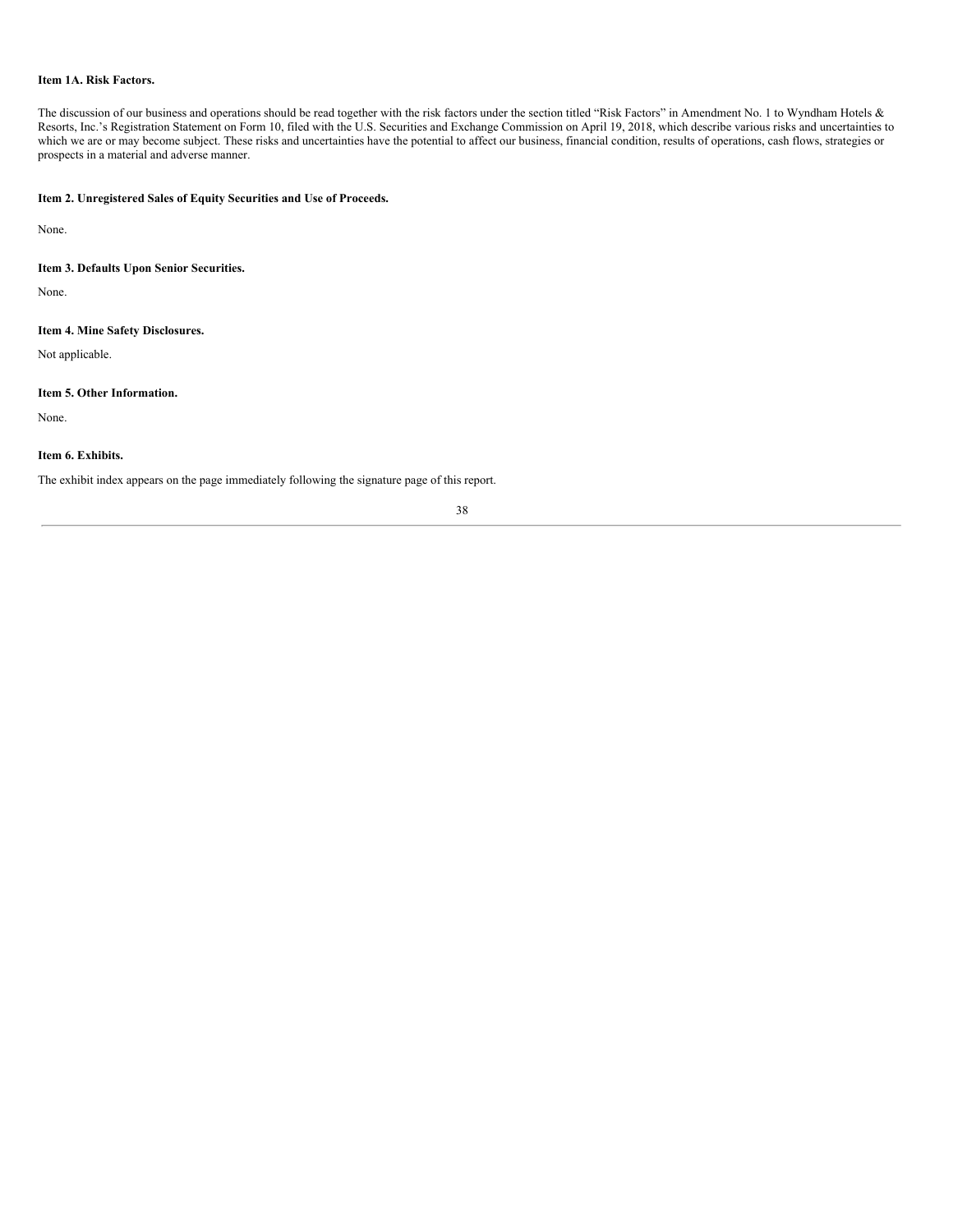# <span id="page-39-0"></span>**Item 1A. Risk Factors.**

The discussion of our business and operations should be read together with the risk factors under the section titled "Risk Factors" in Amendment No. 1 to Wyndham Hotels & Resorts, Inc.'s Registration Statement on Form 10, filed with the U.S. Securities and Exchange Commission on April 19, 2018, which describe various risks and uncertainties to which we are or may become subject. These risks and uncertainties have the potential to affect our business, financial condition, results of operations, cash flows, strategies or prospects in a material and adverse manner.

# <span id="page-39-1"></span>**Item 2. Unregistered Sales of Equity Securities and Use of Proceeds.**

<span id="page-39-2"></span>None.

# **Item 3. Defaults Upon Senior Securities.**

<span id="page-39-3"></span>None.

# **Item 4. Mine Safety Disclosures.**

<span id="page-39-4"></span>Not applicable.

## **Item 5. Other Information.**

<span id="page-39-5"></span>None.

#### **Item 6. Exhibits.**

The exhibit index appears on the page immediately following the signature page of this report.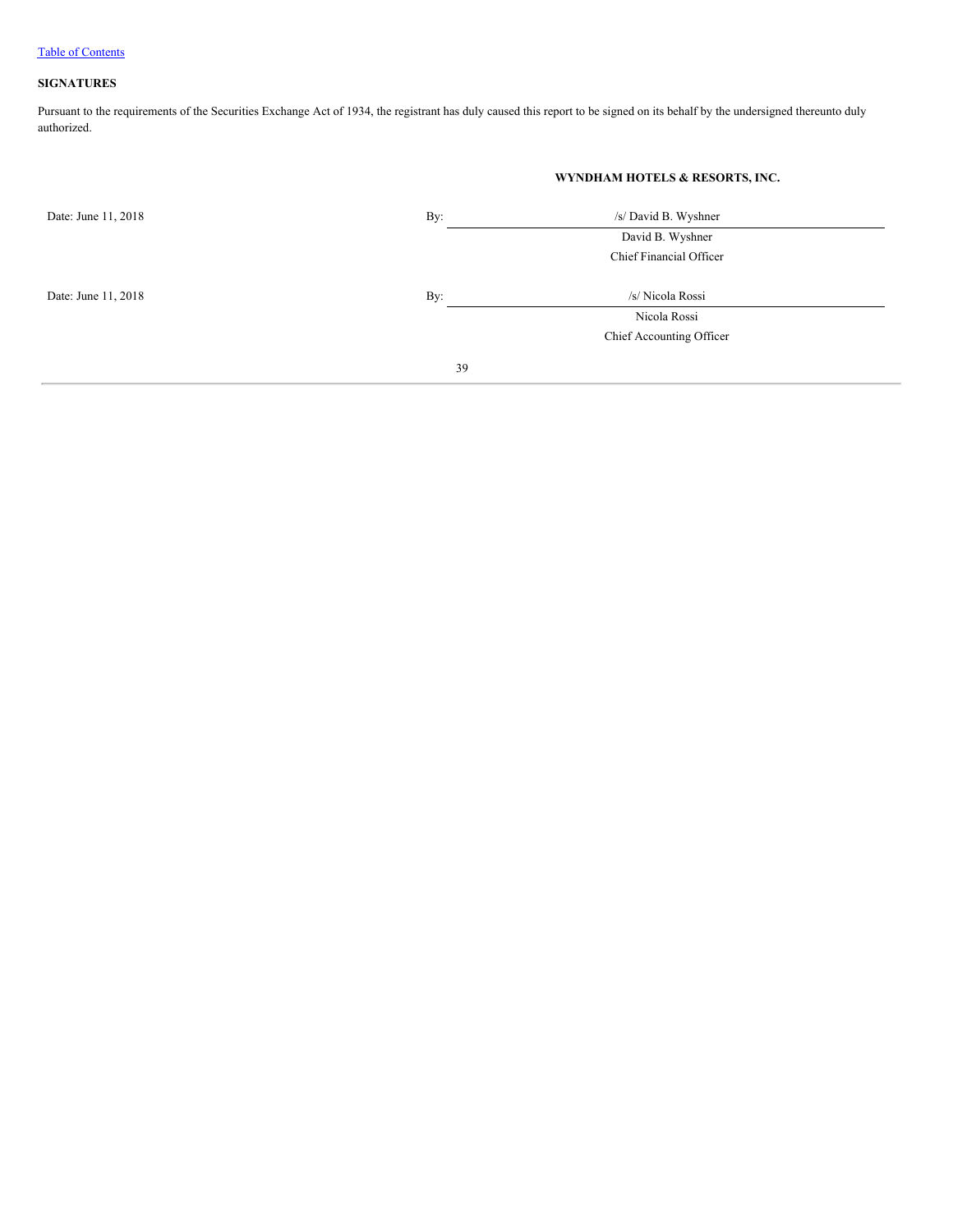# <span id="page-40-0"></span>**SIGNATURES**

Pursuant to the requirements of the Securities Exchange Act of 1934, the registrant has duly caused this report to be signed on its behalf by the undersigned thereunto duly authorized.

|                     |     | WYNDHAM HOTELS & RESORTS, INC. |  |
|---------------------|-----|--------------------------------|--|
| Date: June 11, 2018 | By: | /s/ David B. Wyshner           |  |
|                     |     | David B. Wyshner               |  |
|                     |     | Chief Financial Officer        |  |
| Date: June 11, 2018 | By: | /s/ Nicola Rossi               |  |
|                     |     | Nicola Rossi                   |  |
|                     |     | Chief Accounting Officer       |  |
|                     | 39  |                                |  |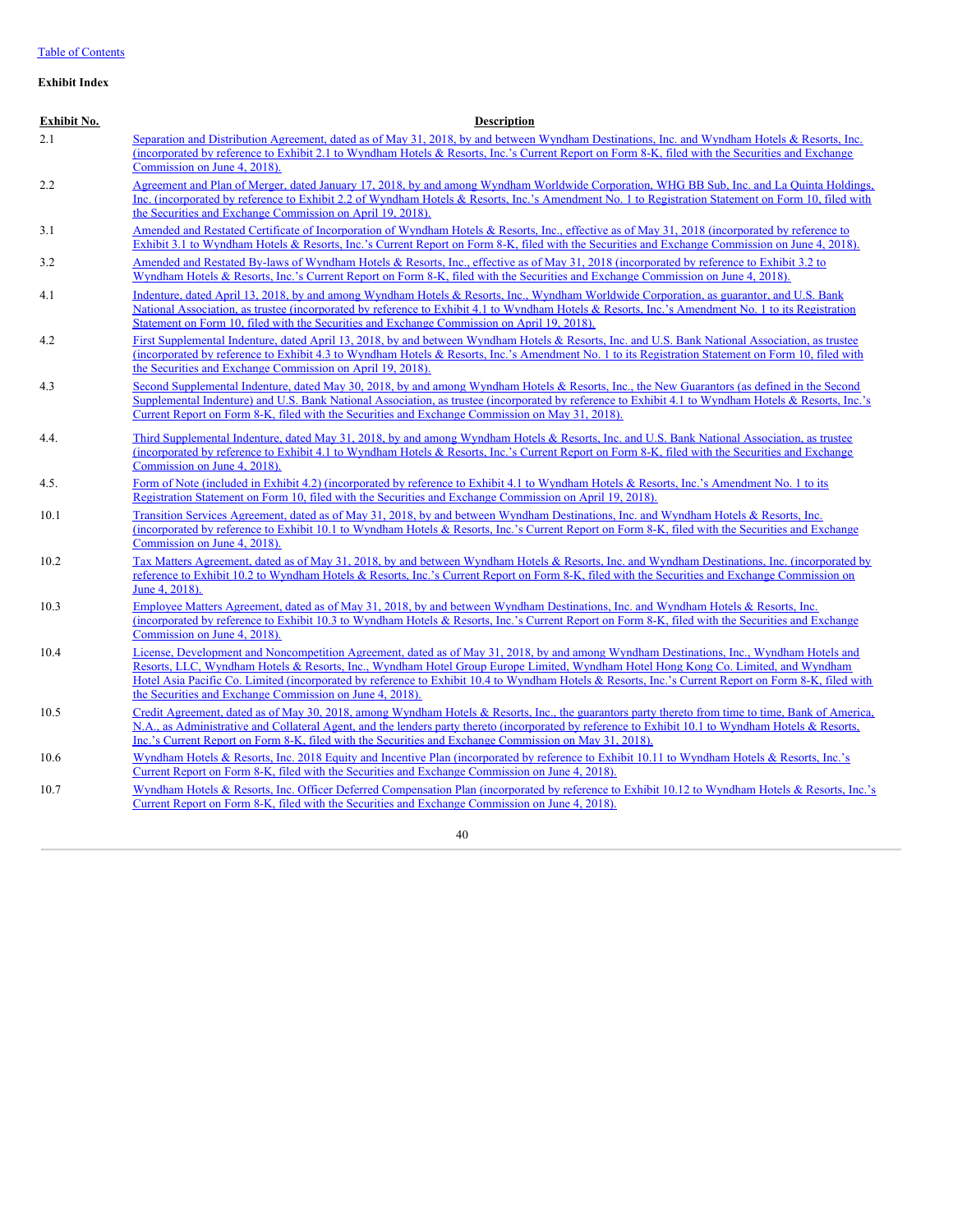## **Exhibit Index**

| <b>Exhibit No.</b> | <b>Description</b>                                                                                                                                                                                                                                                                                                                                                                                                                                                                                 |
|--------------------|----------------------------------------------------------------------------------------------------------------------------------------------------------------------------------------------------------------------------------------------------------------------------------------------------------------------------------------------------------------------------------------------------------------------------------------------------------------------------------------------------|
| 2.1                | Separation and Distribution Agreement, dated as of May 31, 2018, by and between Wyndham Destinations, Inc. and Wyndham Hotels & Resorts, Inc.<br>(incorporated by reference to Exhibit 2.1 to Wyndham Hotels & Resorts, Inc.'s Current Report on Form 8-K, filed with the Securities and Exchange<br>Commission on June 4, 2018).                                                                                                                                                                  |
| 2.2                | Agreement and Plan of Merger, dated January 17, 2018, by and among Wyndham Worldwide Corporation, WHG BB Sub, Inc. and La Quinta Holdings,<br>Inc. (incorporated by reference to Exhibit 2.2 of Wyndham Hotels & Resorts, Inc.'s Amendment No. 1 to Registration Statement on Form 10, filed with<br>the Securities and Exchange Commission on April 19, 2018).                                                                                                                                    |
| 3.1                | Amended and Restated Certificate of Incorporation of Wyndham Hotels & Resorts, Inc., effective as of May 31, 2018 (incorporated by reference to<br>Exhibit 3.1 to Wyndham Hotels & Resorts, Inc.'s Current Report on Form 8-K, filed with the Securities and Exchange Commission on June 4, 2018).                                                                                                                                                                                                 |
| 3.2                | Amended and Restated By-laws of Wyndham Hotels & Resorts, Inc., effective as of May 31, 2018 (incorporated by reference to Exhibit 3.2 to<br>Wyndham Hotels & Resorts, Inc.'s Current Report on Form 8-K, filed with the Securities and Exchange Commission on June 4, 2018).                                                                                                                                                                                                                      |
| 4.1                | Indenture, dated April 13, 2018, by and among Wyndham Hotels & Resorts, Inc., Wyndham Worldwide Corporation, as guarantor, and U.S. Bank<br>National Association, as trustee (incorporated by reference to Exhibit 4.1 to Wyndham Hotels & Resorts, Inc.'s Amendment No. 1 to its Registration<br>Statement on Form 10, filed with the Securities and Exchange Commission on April 19, 2018).                                                                                                      |
| 4.2                | First Supplemental Indenture, dated April 13, 2018, by and between Wyndham Hotels & Resorts, Inc. and U.S. Bank National Association, as trustee<br>(incorporated by reference to Exhibit 4.3 to Wyndham Hotels & Resorts, Inc.'s Amendment No. 1 to its Registration Statement on Form 10, filed with<br>the Securities and Exchange Commission on April 19, 2018).                                                                                                                               |
| 4.3                | Second Supplemental Indenture, dated May 30, 2018, by and among Wyndham Hotels & Resorts, Inc., the New Guarantors (as defined in the Second<br>Supplemental Indenture) and U.S. Bank National Association, as trustee (incorporated by reference to Exhibit 4.1 to Wyndham Hotels & Resorts, Inc.'s<br>Current Report on Form 8-K, filed with the Securities and Exchange Commission on May 31, 2018).                                                                                            |
| 4.4.               | Third Supplemental Indenture, dated May 31, 2018, by and among Wyndham Hotels & Resorts, Inc. and U.S. Bank National Association, as trustee<br>(incorporated by reference to Exhibit 4.1 to Wyndham Hotels & Resorts, Inc.'s Current Report on Form 8-K, filed with the Securities and Exchange<br>Commission on June 4, 2018).                                                                                                                                                                   |
| 4.5.               | Form of Note (included in Exhibit 4.2) (incorporated by reference to Exhibit 4.1 to Wyndham Hotels & Resorts, Inc.'s Amendment No. 1 to its<br>Registration Statement on Form 10, filed with the Securities and Exchange Commission on April 19, 2018).                                                                                                                                                                                                                                            |
| 10.1               | Transition Services Agreement, dated as of May 31, 2018, by and between Wyndham Destinations, Inc. and Wyndham Hotels & Resorts, Inc.<br>(incorporated by reference to Exhibit 10.1 to Wyndham Hotels & Resorts, Inc.'s Current Report on Form 8-K, filed with the Securities and Exchange<br>Commission on June 4, 2018).                                                                                                                                                                         |
| 10.2               | Tax Matters Agreement, dated as of May 31, 2018, by and between Wyndham Hotels & Resorts, Inc. and Wyndham Destinations, Inc. (incorporated by<br>reference to Exhibit 10.2 to Wyndham Hotels & Resorts, Inc.'s Current Report on Form 8-K, filed with the Securities and Exchange Commission on<br>June 4, 2018).                                                                                                                                                                                 |
| 10.3               | Employee Matters Agreement, dated as of May 31, 2018, by and between Wyndham Destinations, Inc. and Wyndham Hotels & Resorts, Inc.<br>(incorporated by reference to Exhibit 10.3 to Wyndham Hotels & Resorts, Inc.'s Current Report on Form 8-K, filed with the Securities and Exchange<br>Commission on June 4, 2018).                                                                                                                                                                            |
| 10.4               | License, Development and Noncompetition Agreement, dated as of May 31, 2018, by and among Wyndham Destinations, Inc., Wyndham Hotels and<br>Resorts, LLC, Wyndham Hotels & Resorts, Inc., Wyndham Hotel Group Europe Limited, Wyndham Hotel Hong Kong Co. Limited, and Wyndham<br>Hotel Asia Pacific Co. Limited (incorporated by reference to Exhibit 10.4 to Wyndham Hotels & Resorts, Inc.'s Current Report on Form 8-K, filed with<br>the Securities and Exchange Commission on June 4, 2018). |
| 10.5               | Credit Agreement, dated as of May 30, 2018, among Wyndham Hotels & Resorts, Inc., the guarantors party thereto from time to time, Bank of America.<br>N.A., as Administrative and Collateral Agent, and the lenders party thereto (incorporated by reference to Exhibit 10.1 to Wyndham Hotels & Resorts,<br>Inc.'s Current Report on Form 8-K, filed with the Securities and Exchange Commission on May 31, 2018).                                                                                |
| 10.6               | Wyndham Hotels & Resorts, Inc. 2018 Equity and Incentive Plan (incorporated by reference to Exhibit 10.11 to Wyndham Hotels & Resorts, Inc.'s<br>Current Report on Form 8-K, filed with the Securities and Exchange Commission on June 4, 2018).                                                                                                                                                                                                                                                   |
| 10.7               | Wyndham Hotels & Resorts, Inc. Officer Deferred Compensation Plan (incorporated by reference to Exhibit 10.12 to Wyndham Hotels & Resorts, Inc.'s<br>Current Report on Form 8-K, filed with the Securities and Exchange Commission on June 4, 2018)                                                                                                                                                                                                                                                |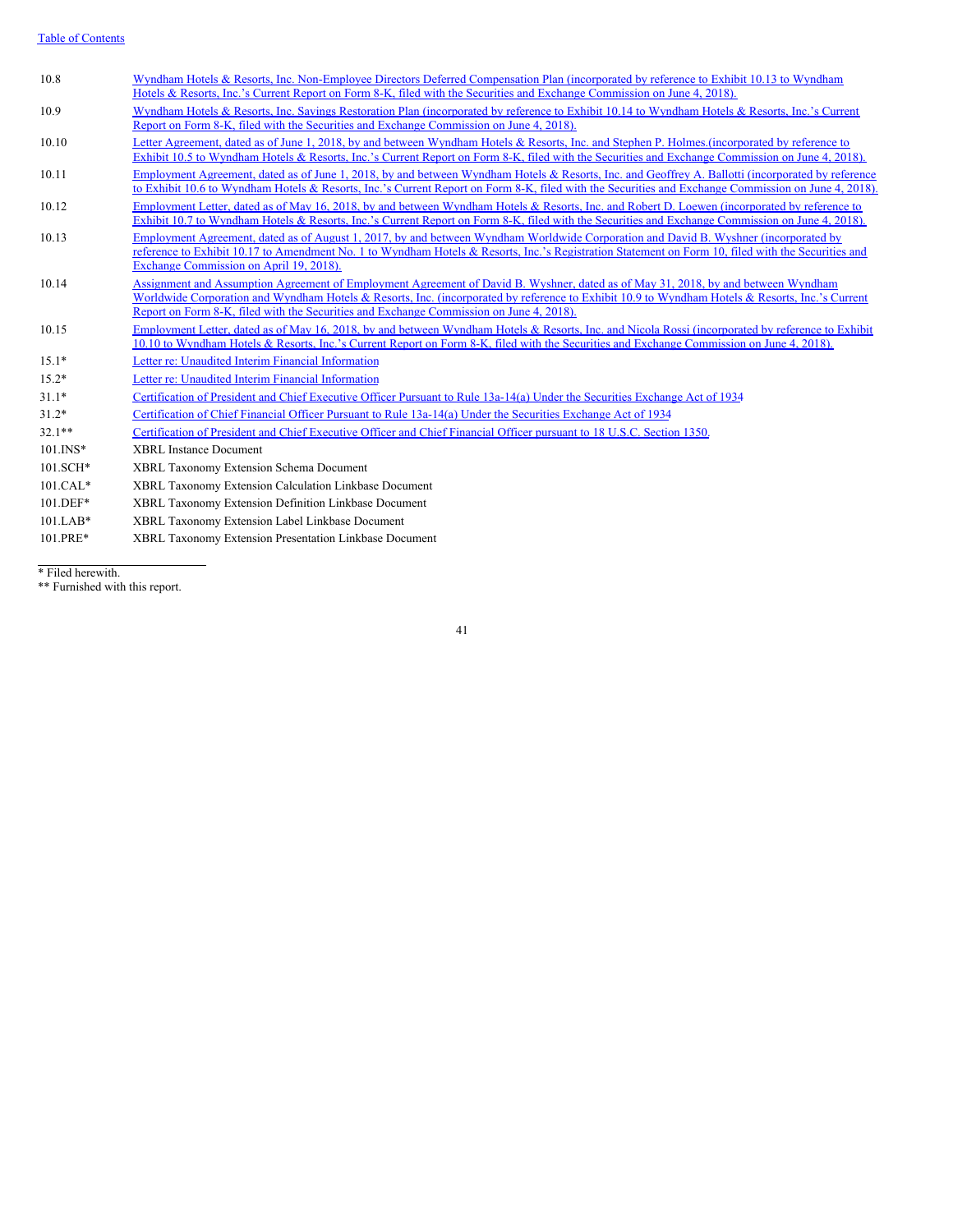| 10.8        | Wyndham Hotels & Resorts, Inc. Non-Employee Directors Deferred Compensation Plan (incorporated by reference to Exhibit 10.13 to Wyndham<br>Hotels & Resorts, Inc.'s Current Report on Form 8-K, filed with the Securities and Exchange Commission on June 4, 2018).                                                                                                             |
|-------------|---------------------------------------------------------------------------------------------------------------------------------------------------------------------------------------------------------------------------------------------------------------------------------------------------------------------------------------------------------------------------------|
| 10.9        | Wyndham Hotels & Resorts, Inc. Savings Restoration Plan (incorporated by reference to Exhibit 10.14 to Wyndham Hotels & Resorts, Inc.'s Current<br>Report on Form 8-K, filed with the Securities and Exchange Commission on June 4, 2018).                                                                                                                                      |
| 10.10       | Letter Agreement, dated as of June 1, 2018, by and between Wyndham Hotels & Resorts. Inc. and Stephen P. Holmes (incorporated by reference to<br>Exhibit 10.5 to Wyndham Hotels & Resorts, Inc.'s Current Report on Form 8-K, filed with the Securities and Exchange Commission on June 4, 2018).                                                                               |
| 10.11       | Employment Agreement, dated as of June 1, 2018, by and between Wyndham Hotels & Resorts, Inc. and Geoffrey A. Ballotti (incorporated by reference<br>to Exhibit 10.6 to Wyndham Hotels & Resorts, Inc.'s Current Report on Form 8-K, filed with the Securities and Exchange Commission on June 4, 2018).                                                                        |
| 10.12       | Employment Letter, dated as of May 16, 2018, by and between Wyndham Hotels & Resorts, Inc. and Robert D. Loewen (incorporated by reference to<br>Exhibit 10.7 to Wyndham Hotels & Resorts, Inc.'s Current Report on Form 8-K, filed with the Securities and Exchange Commission on June 4, 2018).                                                                               |
| 10.13       | Employment Agreement, dated as of August 1, 2017, by and between Wyndham Worldwide Corporation and David B. Wyshner (incorporated by<br>reference to Exhibit 10.17 to Amendment No. 1 to Wyndham Hotels & Resorts, Inc.'s Registration Statement on Form 10, filed with the Securities and<br>Exchange Commission on April 19, 2018).                                           |
| 10.14       | Assignment and Assumption Agreement of Employment Agreement of David B. Wyshner, dated as of May 31, 2018, by and between Wyndham<br>Worldwide Corporation and Wyndham Hotels & Resorts, Inc. (incorporated by reference to Exhibit 10.9 to Wyndham Hotels & Resorts, Inc.'s Current<br>Report on Form 8-K, filed with the Securities and Exchange Commission on June 4, 2018). |
| 10.15       | Employment Letter, dated as of May 16, 2018, by and between Wyndham Hotels & Resorts, Inc. and Nicola Rossi (incorporated by reference to Exhibit<br>10.10 to Wyndham Hotels & Resorts, Inc.'s Current Report on Form 8-K, filed with the Securities and Exchange Commission on June 4, 2018).                                                                                  |
| $15.1*$     | Letter re: Unaudited Interim Financial Information                                                                                                                                                                                                                                                                                                                              |
| $15.2*$     | Letter re: Unaudited Interim Financial Information                                                                                                                                                                                                                                                                                                                              |
| $31.1*$     | Certification of President and Chief Executive Officer Pursuant to Rule 13a-14(a) Under the Securities Exchange Act of 1934                                                                                                                                                                                                                                                     |
| $31.2*$     | Certification of Chief Financial Officer Pursuant to Rule 13a-14(a) Under the Securities Exchange Act of 1934                                                                                                                                                                                                                                                                   |
| $32.1**$    | Certification of President and Chief Executive Officer and Chief Financial Officer pursuant to 18 U.S.C. Section 1350.                                                                                                                                                                                                                                                          |
| $101.$ INS* | <b>XBRL Instance Document</b>                                                                                                                                                                                                                                                                                                                                                   |
| $101.SCH*$  | <b>XBRL Taxonomy Extension Schema Document</b>                                                                                                                                                                                                                                                                                                                                  |
| $101.CAL*$  | XBRL Taxonomy Extension Calculation Linkbase Document                                                                                                                                                                                                                                                                                                                           |
| 101.DEF*    | XBRL Taxonomy Extension Definition Linkbase Document                                                                                                                                                                                                                                                                                                                            |
| $101.LAB*$  | XBRL Taxonomy Extension Label Linkbase Document                                                                                                                                                                                                                                                                                                                                 |
| 101.PRE*    | XBRL Taxonomy Extension Presentation Linkbase Document                                                                                                                                                                                                                                                                                                                          |

\* Filed herewith.

\*\* Furnished with this report.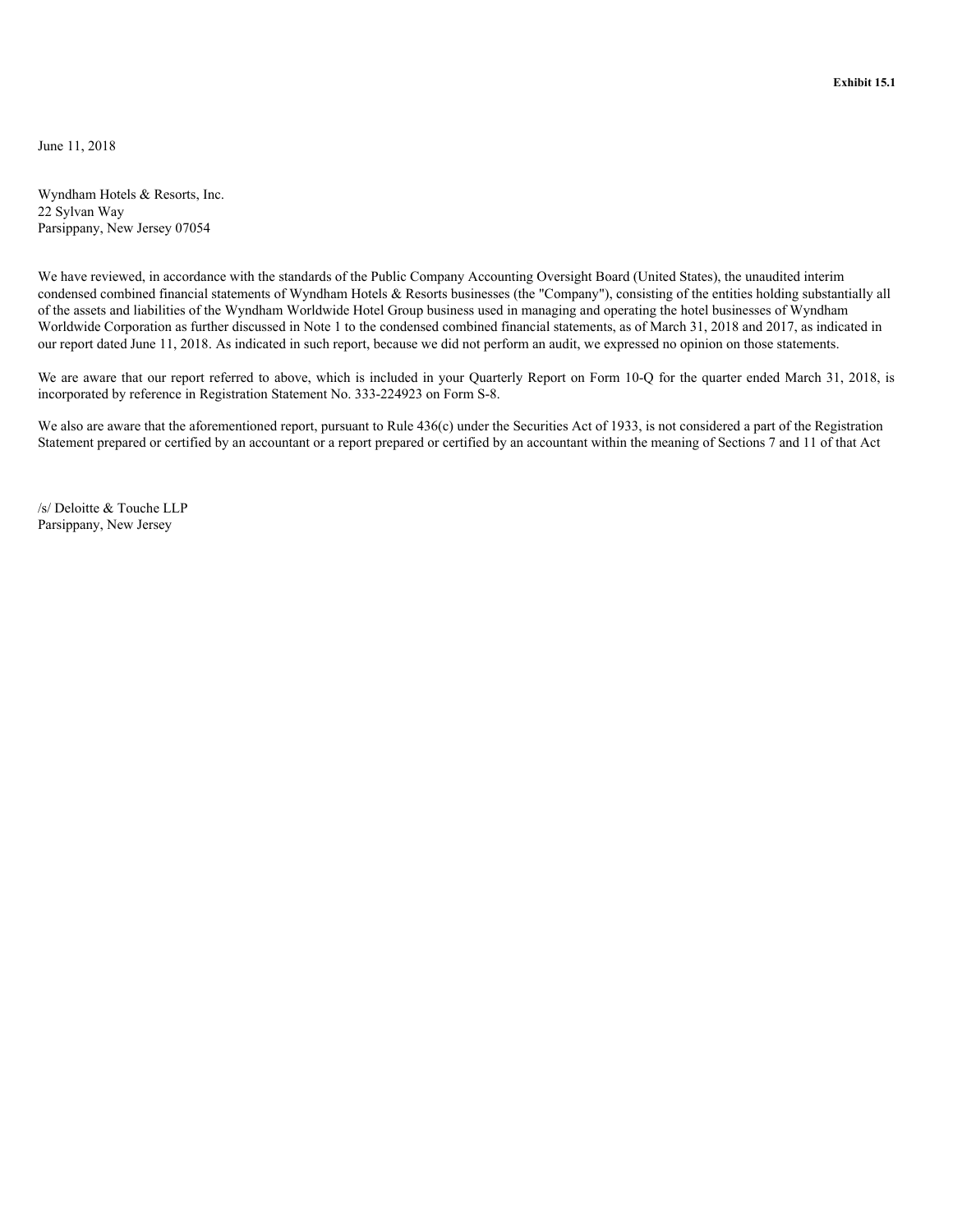**Exhibit 15.1**

<span id="page-43-0"></span>June 11, 2018

Wyndham Hotels & Resorts, Inc. 22 Sylvan Way Parsippany, New Jersey 07054

We have reviewed, in accordance with the standards of the Public Company Accounting Oversight Board (United States), the unaudited interim condensed combined financial statements of Wyndham Hotels & Resorts businesses (the "Company"), consisting of the entities holding substantially all of the assets and liabilities of the Wyndham Worldwide Hotel Group business used in managing and operating the hotel businesses of Wyndham Worldwide Corporation as further discussed in Note 1 to the condensed combined financial statements, as of March 31, 2018 and 2017, as indicated in our report dated June 11, 2018. As indicated in such report, because we did not perform an audit, we expressed no opinion on those statements.

We are aware that our report referred to above, which is included in your Quarterly Report on Form 10-Q for the quarter ended March 31, 2018, is incorporated by reference in Registration Statement No. 333-224923 on Form S-8.

We also are aware that the aforementioned report, pursuant to Rule 436(c) under the Securities Act of 1933, is not considered a part of the Registration Statement prepared or certified by an accountant or a report prepared or certified by an accountant within the meaning of Sections 7 and 11 of that Act

/s/ Deloitte & Touche LLP Parsippany, New Jersey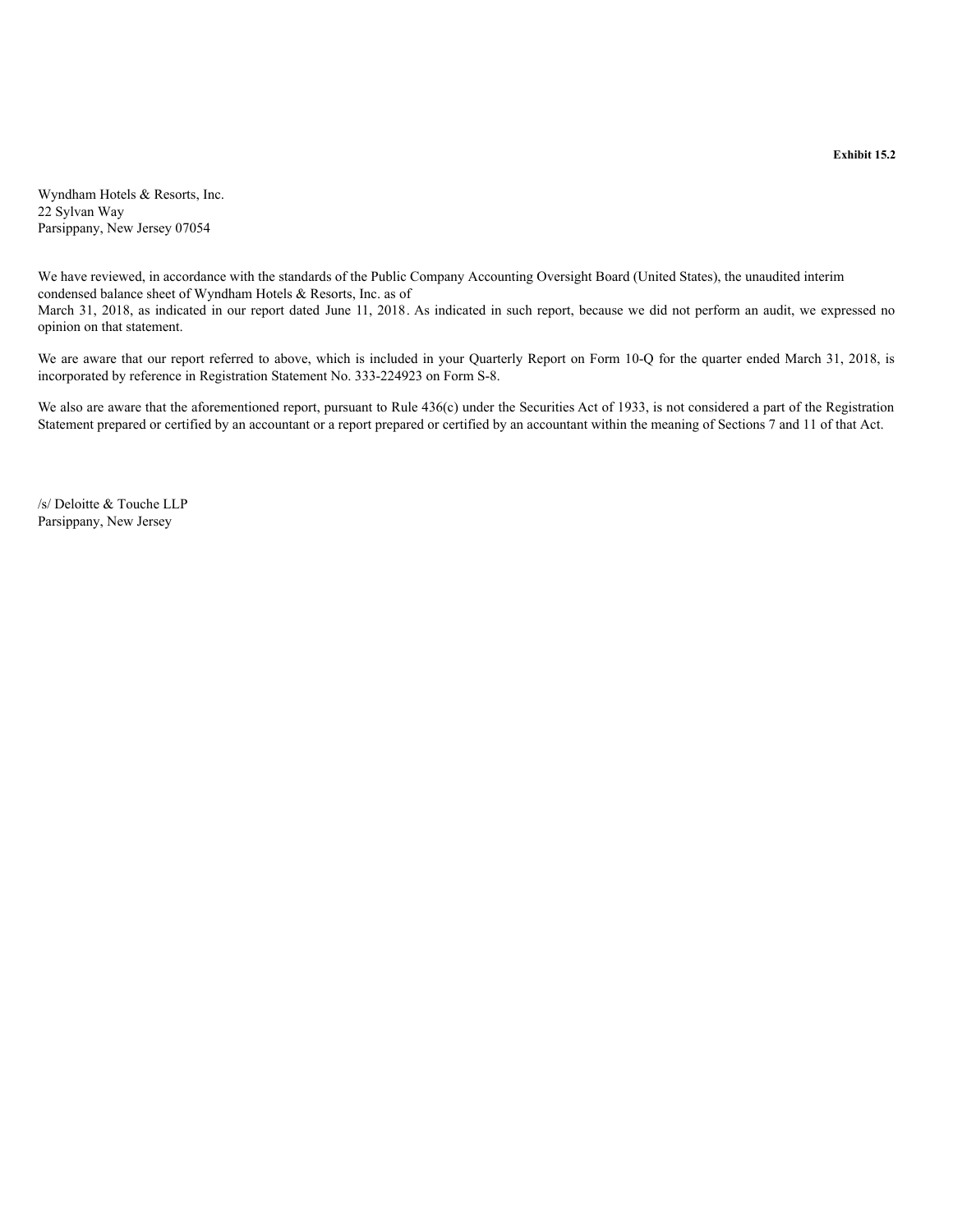<span id="page-44-0"></span>Wyndham Hotels & Resorts, Inc. 22 Sylvan Way Parsippany, New Jersey 07054

We have reviewed, in accordance with the standards of the Public Company Accounting Oversight Board (United States), the unaudited interim condensed balance sheet of Wyndham Hotels & Resorts, Inc. as of March 31, 2018, as indicated in our report dated June 11, 2018. As indicated in such report, because we did not perform an audit, we expressed no opinion on that statement.

We are aware that our report referred to above, which is included in your Quarterly Report on Form 10-Q for the quarter ended March 31, 2018, is incorporated by reference in Registration Statement No. 333-224923 on Form S-8.

We also are aware that the aforementioned report, pursuant to Rule 436(c) under the Securities Act of 1933, is not considered a part of the Registration Statement prepared or certified by an accountant or a report prepared or certified by an accountant within the meaning of Sections 7 and 11 of that Act.

/s/ Deloitte & Touche LLP Parsippany, New Jersey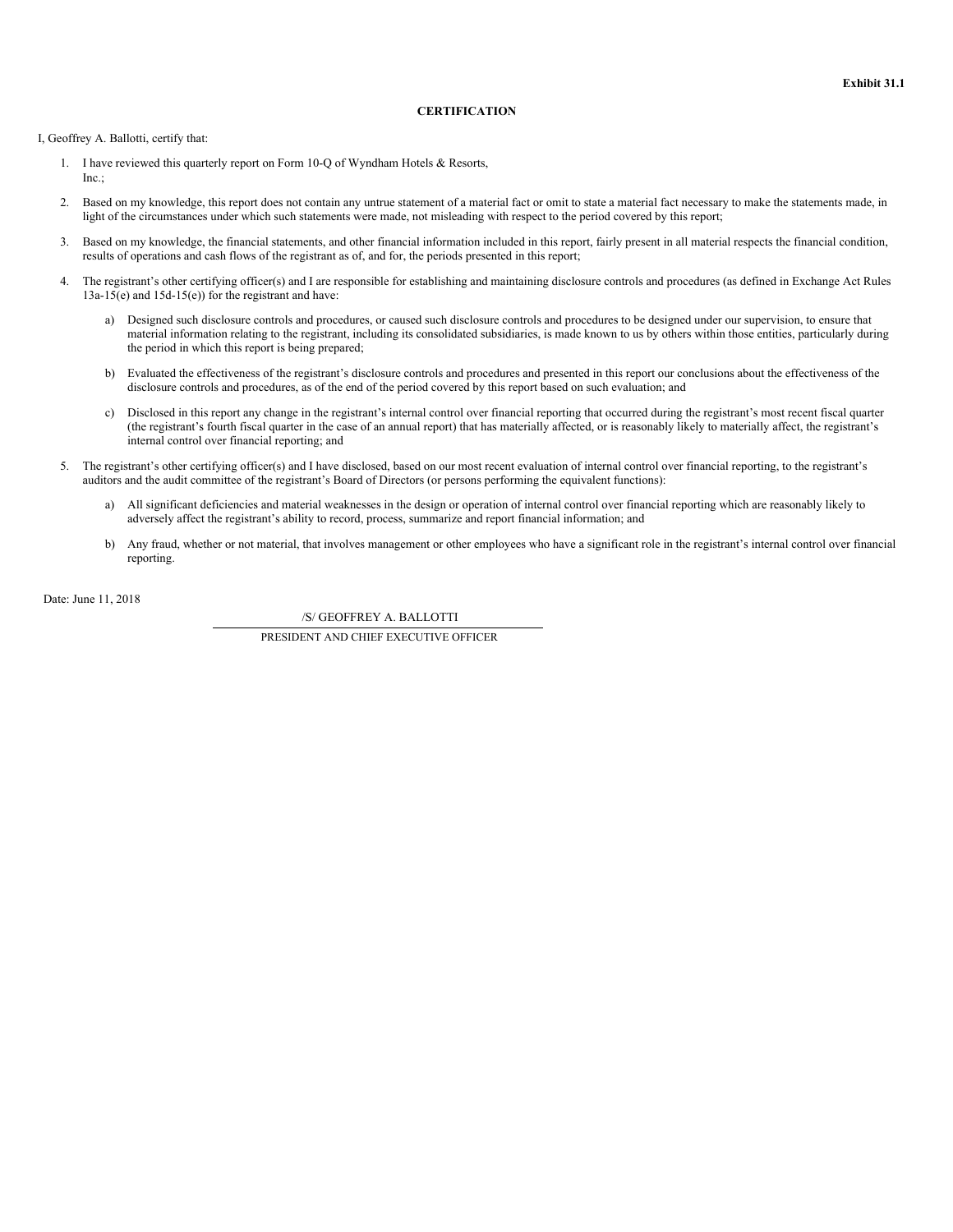## **CERTIFICATION**

<span id="page-45-0"></span>I, Geoffrey A. Ballotti, certify that:

- 1. I have reviewed this quarterly report on Form 10-Q of Wyndham Hotels & Resorts, Inc.;
- 2. Based on my knowledge, this report does not contain any untrue statement of a material fact or omit to state a material fact necessary to make the statements made, in light of the circumstances under which such statements were made, not misleading with respect to the period covered by this report;
- 3. Based on my knowledge, the financial statements, and other financial information included in this report, fairly present in all material respects the financial condition, results of operations and cash flows of the registrant as of, and for, the periods presented in this report;
- 4. The registrant's other certifying officer(s) and I are responsible for establishing and maintaining disclosure controls and procedures (as defined in Exchange Act Rules  $13a-15(e)$  and  $15d-15(e)$  for the registrant and have:
	- a) Designed such disclosure controls and procedures, or caused such disclosure controls and procedures to be designed under our supervision, to ensure that material information relating to the registrant, including its consolidated subsidiaries, is made known to us by others within those entities, particularly during the period in which this report is being prepared;
	- b) Evaluated the effectiveness of the registrant's disclosure controls and procedures and presented in this report our conclusions about the effectiveness of the disclosure controls and procedures, as of the end of the period covered by this report based on such evaluation; and
	- c) Disclosed in this report any change in the registrant's internal control over financial reporting that occurred during the registrant's most recent fiscal quarter (the registrant's fourth fiscal quarter in the case of an annual report) that has materially affected, or is reasonably likely to materially affect, the registrant's internal control over financial reporting; and
- 5. The registrant's other certifying officer(s) and I have disclosed, based on our most recent evaluation of internal control over financial reporting, to the registrant's auditors and the audit committee of the registrant's Board of Directors (or persons performing the equivalent functions):
	- a) All significant deficiencies and material weaknesses in the design or operation of internal control over financial reporting which are reasonably likely to adversely affect the registrant's ability to record, process, summarize and report financial information; and
	- b) Any fraud, whether or not material, that involves management or other employees who have a significant role in the registrant's internal control over financial reporting.

Date: June 11, 2018

/S/ GEOFFREY A. BALLOTTI PRESIDENT AND CHIEF EXECUTIVE OFFICER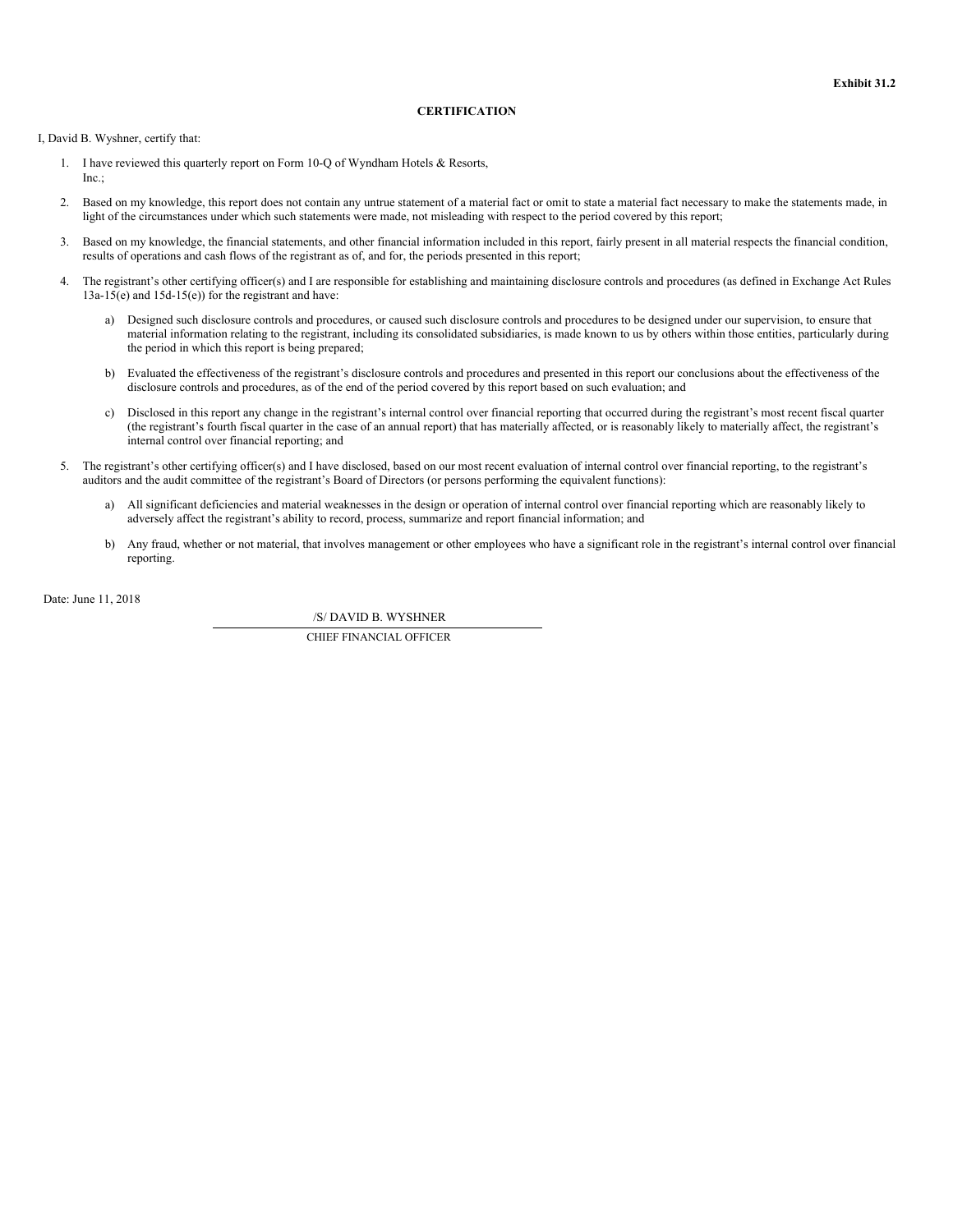## **CERTIFICATION**

<span id="page-46-0"></span>I, David B. Wyshner, certify that:

- 1. I have reviewed this quarterly report on Form 10-Q of Wyndham Hotels & Resorts, Inc.;
- 2. Based on my knowledge, this report does not contain any untrue statement of a material fact or omit to state a material fact necessary to make the statements made, in light of the circumstances under which such statements were made, not misleading with respect to the period covered by this report;
- 3. Based on my knowledge, the financial statements, and other financial information included in this report, fairly present in all material respects the financial condition, results of operations and cash flows of the registrant as of, and for, the periods presented in this report;
- 4. The registrant's other certifying officer(s) and I are responsible for establishing and maintaining disclosure controls and procedures (as defined in Exchange Act Rules  $13a-15(e)$  and  $15d-15(e)$  for the registrant and have:
	- a) Designed such disclosure controls and procedures, or caused such disclosure controls and procedures to be designed under our supervision, to ensure that material information relating to the registrant, including its consolidated subsidiaries, is made known to us by others within those entities, particularly during the period in which this report is being prepared;
	- b) Evaluated the effectiveness of the registrant's disclosure controls and procedures and presented in this report our conclusions about the effectiveness of the disclosure controls and procedures, as of the end of the period covered by this report based on such evaluation; and
	- c) Disclosed in this report any change in the registrant's internal control over financial reporting that occurred during the registrant's most recent fiscal quarter (the registrant's fourth fiscal quarter in the case of an annual report) that has materially affected, or is reasonably likely to materially affect, the registrant's internal control over financial reporting; and
- 5. The registrant's other certifying officer(s) and I have disclosed, based on our most recent evaluation of internal control over financial reporting, to the registrant's auditors and the audit committee of the registrant's Board of Directors (or persons performing the equivalent functions):
	- a) All significant deficiencies and material weaknesses in the design or operation of internal control over financial reporting which are reasonably likely to adversely affect the registrant's ability to record, process, summarize and report financial information; and
	- b) Any fraud, whether or not material, that involves management or other employees who have a significant role in the registrant's internal control over financial reporting.

Date: June 11, 2018

/S/ DAVID B. WYSHNER

CHIEF FINANCIAL OFFICER